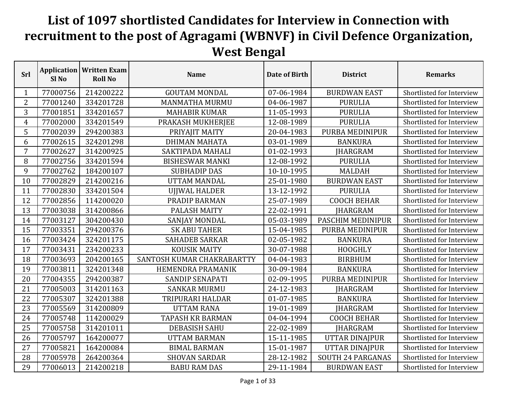## **List of 1097 shortlisted Candidates for Interview in Connection with recruitment to the post of Agragami (WBNVF) in Civil Defence Organization, West Bengal**

| Srl            | Sl <sub>No</sub> | <b>Application   Written Exam</b><br><b>Roll No</b> | <b>Name</b>                | Date of Birth | <b>District</b>          | <b>Remarks</b>            |
|----------------|------------------|-----------------------------------------------------|----------------------------|---------------|--------------------------|---------------------------|
| 1              | 77000756         | 214200222                                           | <b>GOUTAM MONDAL</b>       | 07-06-1984    | <b>BURDWAN EAST</b>      | Shortlisted for Interview |
| $\overline{2}$ | 77001240         | 334201728                                           | <b>MANMATHA MURMU</b>      | 04-06-1987    | <b>PURULIA</b>           | Shortlisted for Interview |
| 3              | 77001851         | 334201657                                           | <b>MAHABIR KUMAR</b>       | 11-05-1993    | <b>PURULIA</b>           | Shortlisted for Interview |
| $\overline{4}$ | 77002000         | 334201549                                           | PRAKASH MUKHERJEE          | 12-08-1989    | <b>PURULIA</b>           | Shortlisted for Interview |
| 5              | 77002039         | 294200383                                           | PRIYAJIT MAITY             | 20-04-1983    | PURBA MEDINIPUR          | Shortlisted for Interview |
| 6              | 77002615         | 324201298                                           | <b>DHIMAN MAHATA</b>       | 03-01-1989    | <b>BANKURA</b>           | Shortlisted for Interview |
| $\overline{7}$ | 77002627         | 314200925                                           | SAKTIPADA MAHALI           | 01-02-1993    | <b>JHARGRAM</b>          | Shortlisted for Interview |
| 8              | 77002756         | 334201594                                           | <b>BISHESWAR MANKI</b>     | 12-08-1992    | <b>PURULIA</b>           | Shortlisted for Interview |
| 9              | 77002762         | 184200107                                           | <b>SUBHADIP DAS</b>        | 10-10-1995    | <b>MALDAH</b>            | Shortlisted for Interview |
| 10             | 77002829         | 214200216                                           | <b>UTTAM MANDAL</b>        | 25-01-1980    | <b>BURDWAN EAST</b>      | Shortlisted for Interview |
| 11             | 77002830         | 334201504                                           | <b>UJJWAL HALDER</b>       | 13-12-1992    | <b>PURULIA</b>           | Shortlisted for Interview |
| 12             | 77002856         | 114200020                                           | PRADIP BARMAN              | 25-07-1989    | <b>COOCH BEHAR</b>       | Shortlisted for Interview |
| 13             | 77003038         | 314200866                                           | PALASH MAITY               | 22-02-1991    | <b>JHARGRAM</b>          | Shortlisted for Interview |
| 14             | 77003127         | 304200430                                           | SANJAY MONDAL              | 05-03-1989    | PASCHIM MEDINIPUR        | Shortlisted for Interview |
| 15             | 77003351         | 294200376                                           | <b>SK ABU TAHER</b>        | 15-04-1985    | PURBA MEDINIPUR          | Shortlisted for Interview |
| 16             | 77003424         | 324201175                                           | <b>SAHADEB SARKAR</b>      | 02-05-1982    | <b>BANKURA</b>           | Shortlisted for Interview |
| 17             | 77003431         | 234200233                                           | <b>KOUSIK MAITY</b>        | 30-07-1988    | <b>HOOGHLY</b>           | Shortlisted for Interview |
| 18             | 77003693         | 204200165                                           | SANTOSH KUMAR CHAKRABARTTY | 04-04-1983    | <b>BIRBHUM</b>           | Shortlisted for Interview |
| 19             | 77003811         | 324201348                                           | <b>HEMENDRA PRAMANIK</b>   | 30-09-1984    | <b>BANKURA</b>           | Shortlisted for Interview |
| 20             | 77004355         | 294200387                                           | <b>SANDIP SENAPATI</b>     | 02-09-1995    | PURBA MEDINIPUR          | Shortlisted for Interview |
| 21             | 77005003         | 314201163                                           | <b>SANKAR MURMU</b>        | 24-12-1983    | <b>JHARGRAM</b>          | Shortlisted for Interview |
| 22             | 77005307         | 324201388                                           | TRIPURARI HALDAR           | 01-07-1985    | <b>BANKURA</b>           | Shortlisted for Interview |
| 23             | 77005569         | 314200809                                           | <b>UTTAM RANA</b>          | 19-01-1989    | JHARGRAM                 | Shortlisted for Interview |
| 24             | 77005748         | 114200029                                           | <b>TAPASH KR BARMAN</b>    | 04-04-1994    | <b>COOCH BEHAR</b>       | Shortlisted for Interview |
| 25             | 77005758         | 314201011                                           | <b>DEBASISH SAHU</b>       | 22-02-1989    | JHARGRAM                 | Shortlisted for Interview |
| 26             | 77005797         | 164200077                                           | <b>UTTAM BARMAN</b>        | 15-11-1985    | UTTAR DINAJPUR           | Shortlisted for Interview |
| 27             | 77005821         | 164200084                                           | <b>BIMAL BARMAN</b>        | 15-01-1987    | UTTAR DINAJPUR           | Shortlisted for Interview |
| 28             | 77005978         | 264200364                                           | <b>SHOVAN SARDAR</b>       | 28-12-1982    | <b>SOUTH 24 PARGANAS</b> | Shortlisted for Interview |
| 29             | 77006013         | 214200218                                           | <b>BABU RAM DAS</b>        | 29-11-1984    | <b>BURDWAN EAST</b>      | Shortlisted for Interview |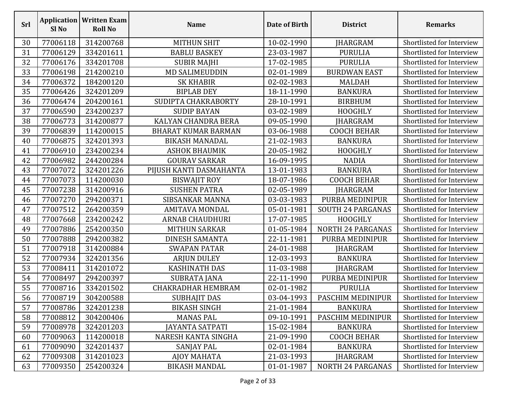| <b>Srl</b> | Sl <sub>No</sub> | <b>Application   Written Exam</b><br><b>Roll No</b> | <b>Name</b>                | Date of Birth | <b>District</b>          | <b>Remarks</b>            |
|------------|------------------|-----------------------------------------------------|----------------------------|---------------|--------------------------|---------------------------|
| 30         | 77006118         | 314200768                                           | <b>MITHUN SHIT</b>         | 10-02-1990    | JHARGRAM                 | Shortlisted for Interview |
| 31         | 77006129         | 334201611                                           | <b>BABLU BASKEY</b>        | 23-03-1987    | <b>PURULIA</b>           | Shortlisted for Interview |
| 32         | 77006176         | 334201708                                           | <b>SUBIR MAJHI</b>         | 17-02-1985    | <b>PURULIA</b>           | Shortlisted for Interview |
| 33         | 77006198         | 214200210                                           | <b>MD SALIMEUDDIN</b>      | 02-01-1989    | <b>BURDWAN EAST</b>      | Shortlisted for Interview |
| 34         | 77006372         | 184200120                                           | <b>SK KHABIR</b>           | 02-02-1983    | <b>MALDAH</b>            | Shortlisted for Interview |
| 35         | 77006426         | 324201209                                           | <b>BIPLAB DEY</b>          | 18-11-1990    | <b>BANKURA</b>           | Shortlisted for Interview |
| 36         | 77006474         | 204200161                                           | SUDIPTA CHAKRABORTY        | 28-10-1991    | <b>BIRBHUM</b>           | Shortlisted for Interview |
| 37         | 77006590         | 234200237                                           | <b>SUDIP BAYAN</b>         | 03-02-1989    | <b>HOOGHLY</b>           | Shortlisted for Interview |
| 38         | 77006773         | 314200877                                           | KALYAN CHANDRA BERA        | 09-05-1990    | <b>JHARGRAM</b>          | Shortlisted for Interview |
| 39         | 77006839         | 114200015                                           | <b>BHARAT KUMAR BARMAN</b> | 03-06-1988    | <b>COOCH BEHAR</b>       | Shortlisted for Interview |
| 40         | 77006875         | 324201393                                           | <b>BIKASH MANADAL</b>      | 21-02-1983    | <b>BANKURA</b>           | Shortlisted for Interview |
| 41         | 77006910         | 234200234                                           | <b>ASHOK BHAUMIK</b>       | 20-05-1982    | <b>HOOGHLY</b>           | Shortlisted for Interview |
| 42         | 77006982         | 244200284                                           | <b>GOURAV SARKAR</b>       | 16-09-1995    | <b>NADIA</b>             | Shortlisted for Interview |
| 43         | 77007072         | 324201226                                           | PIJUSH KANTI DASMAHANTA    | 13-01-1983    | <b>BANKURA</b>           | Shortlisted for Interview |
| 44         | 77007073         | 114200030                                           | <b>BISWAJIT ROY</b>        | 18-07-1986    | <b>COOCH BEHAR</b>       | Shortlisted for Interview |
| 45         | 77007238         | 314200916                                           | <b>SUSHEN PATRA</b>        | 02-05-1989    | <b>JHARGRAM</b>          | Shortlisted for Interview |
| 46         | 77007270         | 294200371                                           | SIBSANKAR MANNA            | 03-03-1983    | PURBA MEDINIPUR          | Shortlisted for Interview |
| 47         | 77007512         | 264200359                                           | <b>AMITAVA MONDAL</b>      | 05-01-1981    | <b>SOUTH 24 PARGANAS</b> | Shortlisted for Interview |
| 48         | 77007668         | 234200242                                           | <b>ARNAB CHAUDHURI</b>     | 17-07-1985    | <b>HOOGHLY</b>           | Shortlisted for Interview |
| 49         | 77007886         | 254200350                                           | <b>MITHUN SARKAR</b>       | 01-05-1984    | <b>NORTH 24 PARGANAS</b> | Shortlisted for Interview |
| 50         | 77007888         | 294200382                                           | <b>DINESH SAMANTA</b>      | 22-11-1981    | PURBA MEDINIPUR          | Shortlisted for Interview |
| 51         | 77007918         | 314200884                                           | <b>SWAPAN PATAR</b>        | 24-01-1988    | JHARGRAM                 | Shortlisted for Interview |
| 52         | 77007934         | 324201356                                           | <b>ARJUN DULEY</b>         | 12-03-1993    | <b>BANKURA</b>           | Shortlisted for Interview |
| 53         | 77008411         | 314201072                                           | <b>KASHINATH DAS</b>       | 11-03-1988    | JHARGRAM                 | Shortlisted for Interview |
| 54         | 77008497         | 294200397                                           | <b>SUBRATA JANA</b>        | 22-11-1990    | PURBA MEDINIPUR          | Shortlisted for Interview |
| 55         | 77008716         | 334201502                                           | <b>CHAKRADHAR HEMBRAM</b>  | 02-01-1982    | <b>PURULIA</b>           | Shortlisted for Interview |
| 56         | 77008719         | 304200588                                           | SUBHAJIT DAS               | 03-04-1993    | PASCHIM MEDINIPUR        | Shortlisted for Interview |
| 57         | 77008786         | 324201238                                           | <b>BIKASH SINGH</b>        | 21-01-1984    | <b>BANKURA</b>           | Shortlisted for Interview |
| 58         | 77008812         | 304200406                                           | <b>MANAS PAL</b>           | 09-10-1991    | PASCHIM MEDINIPUR        | Shortlisted for Interview |
| 59         | 77008978         | 324201203                                           | JAYANTA SATPATI            | 15-02-1984    | <b>BANKURA</b>           | Shortlisted for Interview |
| 60         | 77009063         | 114200018                                           | NARESH KANTA SINGHA        | 21-09-1990    | <b>COOCH BEHAR</b>       | Shortlisted for Interview |
| 61         | 77009090         | 324201437                                           | SANJAY PAL                 | 02-01-1984    | <b>BANKURA</b>           | Shortlisted for Interview |
| 62         | 77009308         | 314201023                                           | <b>AJOY MAHATA</b>         | 21-03-1993    | <b>IHARGRAM</b>          | Shortlisted for Interview |
| 63         | 77009350         | 254200324                                           | <b>BIKASH MANDAL</b>       | 01-01-1987    | <b>NORTH 24 PARGANAS</b> | Shortlisted for Interview |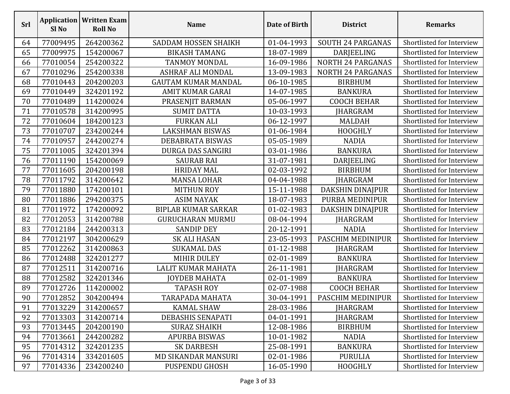| <b>Srl</b> | Sl No    | <b>Application   Written Exam</b><br><b>Roll No</b> | <b>Name</b>                | Date of Birth | <b>District</b>          | <b>Remarks</b>            |
|------------|----------|-----------------------------------------------------|----------------------------|---------------|--------------------------|---------------------------|
| 64         | 77009495 | 264200362                                           | SADDAM HOSSEN SHAIKH       | 01-04-1993    | <b>SOUTH 24 PARGANAS</b> | Shortlisted for Interview |
| 65         | 77009975 | 154200067                                           | <b>BIKASH TAMANG</b>       | 18-07-1989    | DARJEELING               | Shortlisted for Interview |
| 66         | 77010054 | 254200322                                           | <b>TANMOY MONDAL</b>       | 16-09-1986    | <b>NORTH 24 PARGANAS</b> | Shortlisted for Interview |
| 67         | 77010296 | 254200338                                           | ASHRAF ALI MONDAL          | 13-09-1983    | <b>NORTH 24 PARGANAS</b> | Shortlisted for Interview |
| 68         | 77010443 | 204200203                                           | <b>GAUTAM KUMAR MANDAL</b> | 06-10-1985    | <b>BIRBHUM</b>           | Shortlisted for Interview |
| 69         | 77010449 | 324201192                                           | AMIT KUMAR GARAI           | 14-07-1985    | <b>BANKURA</b>           | Shortlisted for Interview |
| 70         | 77010489 | 114200024                                           | PRASENJIT BARMAN           | 05-06-1997    | <b>COOCH BEHAR</b>       | Shortlisted for Interview |
| 71         | 77010578 | 314200995                                           | <b>SUMIT DATTA</b>         | 10-03-1993    | JHARGRAM                 | Shortlisted for Interview |
| 72         | 77010604 | 184200123                                           | <b>FURKAN ALI</b>          | 06-12-1997    | <b>MALDAH</b>            | Shortlisted for Interview |
| 73         | 77010707 | 234200244                                           | LAKSHMAN BISWAS            | 01-06-1984    | <b>HOOGHLY</b>           | Shortlisted for Interview |
| 74         | 77010957 | 244200274                                           | DEBABRATA BISWAS           | 05-05-1989    | <b>NADIA</b>             | Shortlisted for Interview |
| 75         | 77011005 | 324201394                                           | DURGA DAS SANGIRI          | 03-01-1986    | <b>BANKURA</b>           | Shortlisted for Interview |
| 76         | 77011190 | 154200069                                           | <b>SAURAB RAI</b>          | 31-07-1981    | DARJEELING               | Shortlisted for Interview |
| 77         | 77011605 | 204200198                                           | <b>HRIDAY MAL</b>          | 02-03-1992    | <b>BIRBHUM</b>           | Shortlisted for Interview |
| 78         | 77011792 | 314200642                                           | <b>MANSA LOHAR</b>         | 04-04-1988    | <b>JHARGRAM</b>          | Shortlisted for Interview |
| 79         | 77011880 | 174200101                                           | <b>MITHUN ROY</b>          | 15-11-1988    | DAKSHIN DINAJPUR         | Shortlisted for Interview |
| 80         | 77011886 | 294200375                                           | <b>ASIM NAYAK</b>          | 18-07-1983    | PURBA MEDINIPUR          | Shortlisted for Interview |
| 81         | 77011972 | 174200092                                           | <b>BIPLAB KUMAR SARKAR</b> | 01-02-1983    | DAKSHIN DINAJPUR         | Shortlisted for Interview |
| 82         | 77012053 | 314200788                                           | <b>GURUCHARAN MURMU</b>    | 08-04-1994    | JHARGRAM                 | Shortlisted for Interview |
| 83         | 77012184 | 244200313                                           | <b>SANDIP DEY</b>          | 20-12-1991    | <b>NADIA</b>             | Shortlisted for Interview |
| 84         | 77012197 | 304200629                                           | <b>SK ALI HASAN</b>        | 23-05-1993    | PASCHIM MEDINIPUR        | Shortlisted for Interview |
| 85         | 77012262 | 314200863                                           | <b>SUKAMAL DAS</b>         | 01-12-1988    | JHARGRAM                 | Shortlisted for Interview |
| 86         | 77012488 | 324201277                                           | <b>MIHIR DULEY</b>         | 02-01-1989    | <b>BANKURA</b>           | Shortlisted for Interview |
| 87         | 77012511 | 314200716                                           | LALIT KUMAR MAHATA         | 26-11-1981    | JHARGRAM                 | Shortlisted for Interview |
| 88         | 77012582 | 324201346                                           | <b>JOYDEB MAHATA</b>       | 02-01-1989    | <b>BANKURA</b>           | Shortlisted for Interview |
| 89         | 77012726 | 114200002                                           | <b>TAPASH ROY</b>          | 02-07-1988    | <b>COOCH BEHAR</b>       | Shortlisted for Interview |
| 90         | 77012852 | 304200494                                           | TARAPADA MAHATA            | 30-04-1991    | PASCHIM MEDINIPUR        | Shortlisted for Interview |
| 91         | 77013229 | 314200657                                           | <b>KAMAL SHAW</b>          | 28-03-1986    | JHARGRAM                 | Shortlisted for Interview |
| 92         | 77013303 | 314200714                                           | DEBASHIS SENAPATI          | 04-01-1991    | <b>JHARGRAM</b>          | Shortlisted for Interview |
| 93         | 77013445 | 204200190                                           | <b>SURAZ SHAIKH</b>        | 12-08-1986    | <b>BIRBHUM</b>           | Shortlisted for Interview |
| 94         | 77013661 | 244200282                                           | <b>APURBA BISWAS</b>       | 10-01-1982    | <b>NADIA</b>             | Shortlisted for Interview |
| 95         | 77014312 | 324201235                                           | <b>SK DARBESH</b>          | 25-08-1991    | <b>BANKURA</b>           | Shortlisted for Interview |
| 96         | 77014314 | 334201605                                           | <b>MD SIKANDAR MANSURI</b> | 02-01-1986    | <b>PURULIA</b>           | Shortlisted for Interview |
| 97         | 77014336 | 234200240                                           | PUSPENDU GHOSH             | 16-05-1990    | <b>HOOGHLY</b>           | Shortlisted for Interview |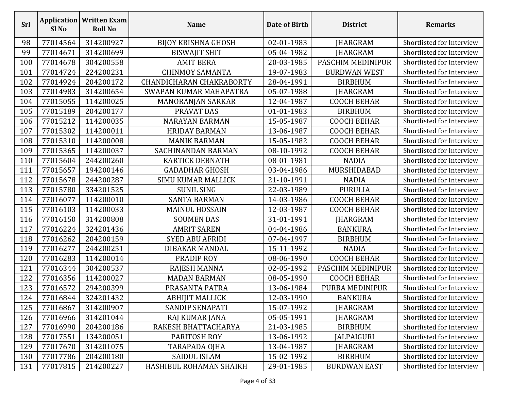| <b>Srl</b> | Sl <sub>No</sub> | <b>Application   Written Exam</b><br><b>Roll No</b> | <b>Name</b>                     | Date of Birth | <b>District</b>     | <b>Remarks</b>            |
|------------|------------------|-----------------------------------------------------|---------------------------------|---------------|---------------------|---------------------------|
| 98         | 77014564         | 314200927                                           | <b>BIJOY KRISHNA GHOSH</b>      | 02-01-1983    | <b>JHARGRAM</b>     | Shortlisted for Interview |
| 99         | 77014671         | 314200699                                           | <b>BISWAJIT SHIT</b>            | 05-04-1982    | <b>JHARGRAM</b>     | Shortlisted for Interview |
| 100        | 77014678         | 304200558                                           | <b>AMIT BERA</b>                | 20-03-1985    | PASCHIM MEDINIPUR   | Shortlisted for Interview |
| 101        | 77014724         | 224200231                                           | <b>CHINMOY SAMANTA</b>          | 19-07-1983    | <b>BURDWAN WEST</b> | Shortlisted for Interview |
| 102        | 77014924         | 204200172                                           | <b>CHANDICHARAN CHAKRABORTY</b> | 28-04-1991    | <b>BIRBHUM</b>      | Shortlisted for Interview |
| 103        | 77014983         | 314200654                                           | SWAPAN KUMAR MAHAPATRA          | 05-07-1988    | <b>JHARGRAM</b>     | Shortlisted for Interview |
| 104        | 77015055         | 114200025                                           | MANORANJAN SARKAR               | 12-04-1987    | <b>COOCH BEHAR</b>  | Shortlisted for Interview |
| 105        | 77015189         | 204200177                                           | PRAVAT DAS                      | 01-01-1983    | <b>BIRBHUM</b>      | Shortlisted for Interview |
| 106        | 77015212         | 114200035                                           | <b>NARAYAN BARMAN</b>           | 15-05-1987    | <b>COOCH BEHAR</b>  | Shortlisted for Interview |
| 107        | 77015302         | 114200011                                           | <b>HRIDAY BARMAN</b>            | 13-06-1987    | <b>COOCH BEHAR</b>  | Shortlisted for Interview |
| 108        | 77015310         | 114200008                                           | <b>MANIK BARMAN</b>             | 15-05-1982    | <b>COOCH BEHAR</b>  | Shortlisted for Interview |
| 109        | 77015365         | 114200037                                           | SACHINANDAN BARMAN              | 08-10-1992    | <b>COOCH BEHAR</b>  | Shortlisted for Interview |
| 110        | 77015604         | 244200260                                           | <b>KARTICK DEBNATH</b>          | 08-01-1981    | <b>NADIA</b>        | Shortlisted for Interview |
| 111        | 77015657         | 194200146                                           | <b>GADADHAR GHOSH</b>           | 03-04-1986    | MURSHIDABAD         | Shortlisted for Interview |
| 112        | 77015678         | 244200287                                           | <b>SIMU KUMAR MALLICK</b>       | 21-10-1991    | <b>NADIA</b>        | Shortlisted for Interview |
| 113        | 77015780         | 334201525                                           | <b>SUNIL SING</b>               | 22-03-1989    | <b>PURULIA</b>      | Shortlisted for Interview |
| 114        | 77016077         | 114200010                                           | <b>SANTA BARMAN</b>             | 14-03-1986    | <b>COOCH BEHAR</b>  | Shortlisted for Interview |
| 115        | 77016103         | 114200033                                           | <b>MAINUL HOSSAIN</b>           | 12-03-1987    | <b>COOCH BEHAR</b>  | Shortlisted for Interview |
| 116        | 77016150         | 314200808                                           | <b>SOUMEN DAS</b>               | 31-01-1991    | JHARGRAM            | Shortlisted for Interview |
| 117        | 77016224         | 324201436                                           | <b>AMRIT SAREN</b>              | 04-04-1986    | <b>BANKURA</b>      | Shortlisted for Interview |
| 118        | 77016262         | 204200159                                           | <b>SYED ABU AFRIDI</b>          | 07-04-1997    | <b>BIRBHUM</b>      | Shortlisted for Interview |
| 119        | 77016277         | 244200251                                           | DIBAKAR MANDAL                  | 15-11-1992    | <b>NADIA</b>        | Shortlisted for Interview |
| 120        | 77016283         | 114200014                                           | PRADIP ROY                      | 08-06-1990    | <b>COOCH BEHAR</b>  | Shortlisted for Interview |
| 121        | 77016344         | 304200537                                           | <b>RAJESH MANNA</b>             | 02-05-1992    | PASCHIM MEDINIPUR   | Shortlisted for Interview |
| 122        | 77016356         | 114200027                                           | <b>MADAN BARMAN</b>             | 08-05-1990    | <b>COOCH BEHAR</b>  | Shortlisted for Interview |
| 123        | 77016572         | 294200399                                           | PRASANTA PATRA                  | 13-06-1984    | PURBA MEDINIPUR     | Shortlisted for Interview |
| 124        | 77016844         | 324201432                                           | <b>ABHIJIT MALLICK</b>          | 12-03-1990    | <b>BANKURA</b>      | Shortlisted for Interview |
| 125        | 77016867         | 314200907                                           | SANDIP SENAPATI                 | 15-07-1992    | JHARGRAM            | Shortlisted for Interview |
| 126        | 77016966         | 314201044                                           | RAJ KUMAR JANA                  | 05-05-1991    | JHARGRAM            | Shortlisted for Interview |
| 127        | 77016990         | 204200186                                           | RAKESH BHATTACHARYA             | 21-03-1985    | <b>BIRBHUM</b>      | Shortlisted for Interview |
| 128        | 77017551         | 134200051                                           | PARITOSH ROY                    | 13-06-1992    | <b>JALPAIGURI</b>   | Shortlisted for Interview |
| 129        | 77017670         | 314201075                                           | TARAPADA OJHA                   | 13-04-1987    | <b>IHARGRAM</b>     | Shortlisted for Interview |
| 130        | 77017786         | 204200180                                           | <b>SAIDUL ISLAM</b>             | 15-02-1992    | <b>BIRBHUM</b>      | Shortlisted for Interview |
| 131        | 77017815         | 214200227                                           | HASHIBUL ROHAMAN SHAIKH         | 29-01-1985    | <b>BURDWAN EAST</b> | Shortlisted for Interview |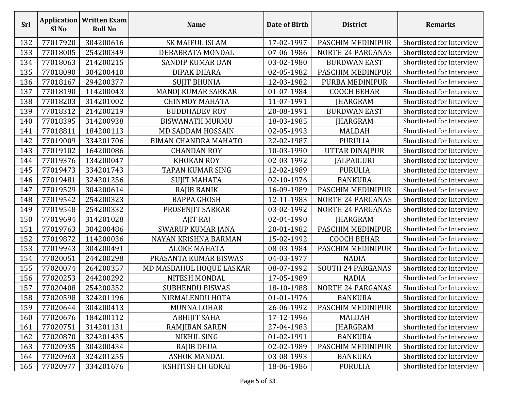| <b>Srl</b> | Sl No    | <b>Application   Written Exam</b><br><b>Roll No</b> | <b>Name</b>                 | Date of Birth | <b>District</b>          | <b>Remarks</b>            |
|------------|----------|-----------------------------------------------------|-----------------------------|---------------|--------------------------|---------------------------|
| 132        | 77017920 | 304200616                                           | <b>SK MAIFUL ISLAM</b>      | 17-02-1997    | PASCHIM MEDINIPUR        | Shortlisted for Interview |
| 133        | 77018005 | 254200349                                           | DEBABRATA MONDAL            | 07-06-1986    | <b>NORTH 24 PARGANAS</b> | Shortlisted for Interview |
| 134        | 77018063 | 214200215                                           | <b>SANDIP KUMAR DAN</b>     | 03-02-1980    | <b>BURDWAN EAST</b>      | Shortlisted for Interview |
| 135        | 77018090 | 304200410                                           | DIPAK DHARA                 | 02-05-1982    | PASCHIM MEDINIPUR        | Shortlisted for Interview |
| 136        | 77018167 | 294200377                                           | <b>SUJIT BHUNIA</b>         | 12-03-1982    | PURBA MEDINIPUR          | Shortlisted for Interview |
| 137        | 77018190 | 114200043                                           | MANOJ KUMAR SARKAR          | 01-07-1984    | <b>COOCH BEHAR</b>       | Shortlisted for Interview |
| 138        | 77018203 | 314201002                                           | <b>CHINMOY MAHATA</b>       | 11-07-1991    | <b>JHARGRAM</b>          | Shortlisted for Interview |
| 139        | 77018312 | 214200219                                           | <b>BUDDHADEV ROY</b>        | 20-08-1991    | <b>BURDWAN EAST</b>      | Shortlisted for Interview |
| 140        | 77018395 | 314200938                                           | <b>BISWANATH MURMU</b>      | 18-03-1985    | <b>JHARGRAM</b>          | Shortlisted for Interview |
| 141        | 77018811 | 184200113                                           | <b>MD SADDAM HOSSAIN</b>    | 02-05-1993    | <b>MALDAH</b>            | Shortlisted for Interview |
| 142        | 77019009 | 334201706                                           | <b>BIMAN CHANDRA MAHATO</b> | 22-02-1987    | <b>PURULIA</b>           | Shortlisted for Interview |
| 143        | 77019102 | 164200086                                           | <b>CHANDAN ROY</b>          | 10-03-1990    | UTTAR DINAJPUR           | Shortlisted for Interview |
| 144        | 77019376 | 134200047                                           | <b>KHOKAN ROY</b>           | 02-03-1992    | <b>JALPAIGURI</b>        | Shortlisted for Interview |
| 145        | 77019473 | 334201743                                           | TAPAN KUMAR SING            | 12-02-1989    | <b>PURULIA</b>           | Shortlisted for Interview |
| 146        | 77019481 | 324201256                                           | <b>SUJIT MAHATA</b>         | 02-10-1976    | <b>BANKURA</b>           | Shortlisted for Interview |
| 147        | 77019529 | 304200614                                           | <b>RAJIB BANIK</b>          | 16-09-1989    | PASCHIM MEDINIPUR        | Shortlisted for Interview |
| 148        | 77019542 | 254200323                                           | <b>BAPPA GHOSH</b>          | 12-11-1983    | <b>NORTH 24 PARGANAS</b> | Shortlisted for Interview |
| 149        | 77019548 | 254200332                                           | PROSENJIT SARKAR            | 03-02-1992    | <b>NORTH 24 PARGANAS</b> | Shortlisted for Interview |
| 150        | 77019694 | 314201028                                           | AJIT RAJ                    | 02-04-1990    | <b>JHARGRAM</b>          | Shortlisted for Interview |
| 151        | 77019763 | 304200486                                           | SWARUP KUMAR JANA           | 20-01-1982    | PASCHIM MEDINIPUR        | Shortlisted for Interview |
| 152        | 77019872 | 114200036                                           | NAYAN KRISHNA BARMAN        | 15-02-1992    | <b>COOCH BEHAR</b>       | Shortlisted for Interview |
| 153        | 77019943 | 304200491                                           | <b>ALOKE MAHATA</b>         | 08-03-1984    | PASCHIM MEDINIPUR        | Shortlisted for Interview |
| 154        | 77020051 | 244200298                                           | PRASANTA KUMAR BISWAS       | 04-03-1977    | <b>NADIA</b>             | Shortlisted for Interview |
| 155        | 77020074 | 264200357                                           | MD MASBAHUL HOQUE LASKAR    | 08-07-1992    | <b>SOUTH 24 PARGANAS</b> | Shortlisted for Interview |
| 156        | 77020253 | 244200292                                           | NITESH MONDAL               | 17-05-1989    | <b>NADIA</b>             | Shortlisted for Interview |
| 157        | 77020408 | 254200352                                           | <b>SUBHENDU BISWAS</b>      | 18-10-1988    | <b>NORTH 24 PARGANAS</b> | Shortlisted for Interview |
| 158        | 77020598 | 324201196                                           | NIRMALENDU HOTA             | 01-01-1976    | <b>BANKURA</b>           | Shortlisted for Interview |
| 159        | 77020644 | 304200413                                           | MUNNA LOHAR                 | 26-06-1992    | PASCHIM MEDINIPUR        | Shortlisted for Interview |
| 160        | 77020676 | 184200112                                           | <b>ABHIJIT SAHA</b>         | 17-12-1996    | MALDAH                   | Shortlisted for Interview |
| 161        | 77020751 | 314201131                                           | RAMJIBAN SAREN              | 27-04-1983    | JHARGRAM                 | Shortlisted for Interview |
| 162        | 77020870 | 324201435                                           | <b>NIKHIL SING</b>          | 01-02-1991    | <b>BANKURA</b>           | Shortlisted for Interview |
| 163        | 77020935 | 304200434                                           | <b>RAJIB DHUA</b>           | 02-02-1989    | PASCHIM MEDINIPUR        | Shortlisted for Interview |
| 164        | 77020963 | 324201255                                           | <b>ASHOK MANDAL</b>         | 03-08-1993    | <b>BANKURA</b>           | Shortlisted for Interview |
| 165        | 77020977 | 334201676                                           | KSHITISH CH GORAI           | 18-06-1986    | <b>PURULIA</b>           | Shortlisted for Interview |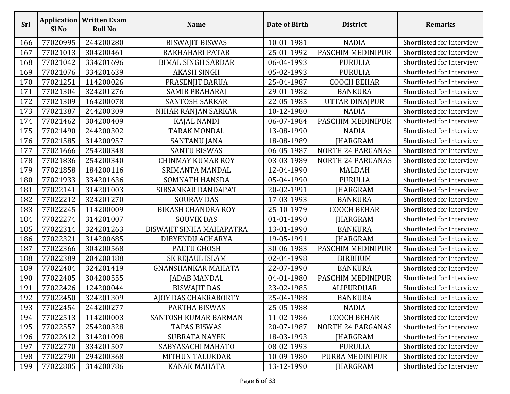| Srl | Sl <sub>No</sub> | <b>Application   Written Exam</b><br><b>Roll No</b> | <b>Name</b>               | Date of Birth | <b>District</b>          | <b>Remarks</b>            |
|-----|------------------|-----------------------------------------------------|---------------------------|---------------|--------------------------|---------------------------|
| 166 | 77020995         | 244200280                                           | <b>BISWAJIT BISWAS</b>    | 10-01-1981    | <b>NADIA</b>             | Shortlisted for Interview |
| 167 | 77021013         | 304200461                                           | RAKHAHARI PATAR           | 25-01-1992    | PASCHIM MEDINIPUR        | Shortlisted for Interview |
| 168 | 77021042         | 334201696                                           | <b>BIMAL SINGH SARDAR</b> | 06-04-1993    | <b>PURULIA</b>           | Shortlisted for Interview |
| 169 | 77021076         | 334201639                                           | <b>AKASH SINGH</b>        | 05-02-1993    | <b>PURULIA</b>           | Shortlisted for Interview |
| 170 | 77021251         | 114200026                                           | PRASENJIT BARUA           | 25-04-1987    | <b>COOCH BEHAR</b>       | Shortlisted for Interview |
| 171 | 77021304         | 324201276                                           | SAMIR PRAHARAJ            | 29-01-1982    | <b>BANKURA</b>           | Shortlisted for Interview |
| 172 | 77021309         | 164200078                                           | <b>SANTOSH SARKAR</b>     | 22-05-1985    | <b>UTTAR DINAJPUR</b>    | Shortlisted for Interview |
| 173 | 77021387         | 244200309                                           | NIHAR RANJAN SARKAR       | 10-12-1980    | <b>NADIA</b>             | Shortlisted for Interview |
| 174 | 77021462         | 304200409                                           | KAJAL NANDI               | 06-07-1984    | PASCHIM MEDINIPUR        | Shortlisted for Interview |
| 175 | 77021490         | 244200302                                           | TARAK MONDAL              | 13-08-1990    | <b>NADIA</b>             | Shortlisted for Interview |
| 176 | 77021585         | 314200957                                           | SANTANU JANA              | 18-08-1989    | <b>JHARGRAM</b>          | Shortlisted for Interview |
| 177 | 77021666         | 254200348                                           | <b>SANTU BISWAS</b>       | 06-05-1987    | <b>NORTH 24 PARGANAS</b> | Shortlisted for Interview |
| 178 | 77021836         | 254200340                                           | <b>CHINMAY KUMAR ROY</b>  | 03-03-1989    | <b>NORTH 24 PARGANAS</b> | Shortlisted for Interview |
| 179 | 77021858         | 184200116                                           | SRIMANTA MANDAL           | 12-04-1990    | <b>MALDAH</b>            | Shortlisted for Interview |
| 180 | 77021933         | 334201636                                           | SOMNATH HANSDA            | 05-04-1990    | <b>PURULIA</b>           | Shortlisted for Interview |
| 181 | 77022141         | 314201003                                           | SIBSANKAR DANDAPAT        | 20-02-1991    | JHARGRAM                 | Shortlisted for Interview |
| 182 | 77022212         | 324201270                                           | <b>SOURAV DAS</b>         | 17-03-1993    | <b>BANKURA</b>           | Shortlisted for Interview |
| 183 | 77022245         | 114200009                                           | <b>BIKASH CHANDRA ROY</b> | 25-10-1979    | <b>COOCH BEHAR</b>       | Shortlisted for Interview |
| 184 | 77022274         | 314201007                                           | <b>SOUVIK DAS</b>         | 01-01-1990    | JHARGRAM                 | Shortlisted for Interview |
| 185 | 77022314         | 324201263                                           | BISWAJIT SINHA MAHAPATRA  | 13-01-1990    | <b>BANKURA</b>           | Shortlisted for Interview |
| 186 | 77022321         | 314200685                                           | DIBYENDU ACHARYA          | 19-05-1991    | JHARGRAM                 | Shortlisted for Interview |
| 187 | 77022366         | 304200568                                           | <b>PALTU GHOSH</b>        | 30-06-1983    | PASCHIM MEDINIPUR        | Shortlisted for Interview |
| 188 | 77022389         | 204200188                                           | SK REJAUL ISLAM           | 02-04-1998    | <b>BIRBHUM</b>           | Shortlisted for Interview |
| 189 | 77022404         | 324201419                                           | <b>GNANSHANKAR MAHATA</b> | 22-07-1990    | <b>BANKURA</b>           | Shortlisted for Interview |
| 190 | 77022405         | 304200555                                           | JADAB MANDAL              | 04-01-1980    | PASCHIM MEDINIPUR        | Shortlisted for Interview |
| 191 | 77022426         | 124200044                                           | <b>BISWAJIT DAS</b>       | 23-02-1985    | ALIPURDUAR               | Shortlisted for Interview |
| 192 | 77022450         | 324201309                                           | AJOY DAS CHAKRABORTY      | 25-04-1988    | <b>BANKURA</b>           | Shortlisted for Interview |
| 193 | 77022454         | 244200277                                           | PARTHA BISWAS             | 25-05-1988    | <b>NADIA</b>             | Shortlisted for Interview |
| 194 | 77022513         | 114200003                                           | SANTOSH KUMAR BARMAN      | 11-02-1986    | <b>COOCH BEHAR</b>       | Shortlisted for Interview |
| 195 | 77022557         | 254200328                                           | <b>TAPAS BISWAS</b>       | 20-07-1987    | <b>NORTH 24 PARGANAS</b> | Shortlisted for Interview |
| 196 | 77022612         | 314201098                                           | <b>SUBRATA NAYEK</b>      | 18-03-1993    | <b>JHARGRAM</b>          | Shortlisted for Interview |
| 197 | 77022770         | 334201507                                           | SABYASACHI MAHATO         | 08-02-1993    | <b>PURULIA</b>           | Shortlisted for Interview |
| 198 | 77022790         | 294200368                                           | <b>MITHUN TALUKDAR</b>    | 10-09-1980    | PURBA MEDINIPUR          | Shortlisted for Interview |
| 199 | 77022805         | 314200786                                           | <b>KANAK MAHATA</b>       | 13-12-1990    | JHARGRAM                 | Shortlisted for Interview |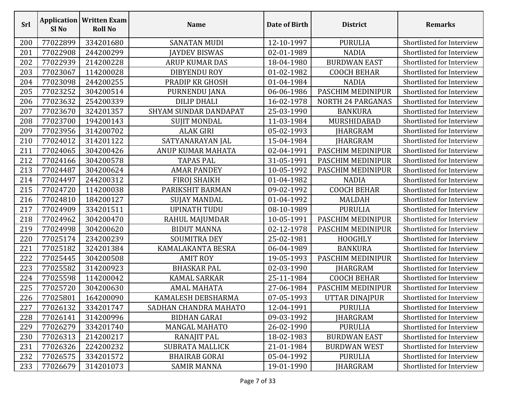| <b>Srl</b> | Sl <sub>No</sub> | <b>Application   Written Exam</b><br><b>Roll No</b> | <b>Name</b>            | Date of Birth | <b>District</b>          | <b>Remarks</b>            |
|------------|------------------|-----------------------------------------------------|------------------------|---------------|--------------------------|---------------------------|
| 200        | 77022899         | 334201680                                           | <b>SANATAN MUDI</b>    | 12-10-1997    | <b>PURULIA</b>           | Shortlisted for Interview |
| 201        | 77022908         | 244200299                                           | <b>AYDEV BISWAS</b>    | 02-01-1989    | <b>NADIA</b>             | Shortlisted for Interview |
| 202        | 77022939         | 214200228                                           | <b>ARUP KUMAR DAS</b>  | 18-04-1980    | <b>BURDWAN EAST</b>      | Shortlisted for Interview |
| 203        | 77023067         | 114200028                                           | <b>DIBYENDU ROY</b>    | 01-02-1982    | <b>COOCH BEHAR</b>       | Shortlisted for Interview |
| 204        | 77023098         | 244200255                                           | PRADIP KR GHOSH        | 01-04-1984    | <b>NADIA</b>             | Shortlisted for Interview |
| 205        | 77023252         | 304200514                                           | PURNENDU JANA          | 06-06-1986    | PASCHIM MEDINIPUR        | Shortlisted for Interview |
| 206        | 77023632         | 254200339                                           | <b>DILIP DHALI</b>     | 16-02-1978    | <b>NORTH 24 PARGANAS</b> | Shortlisted for Interview |
| 207        | 77023670         | 324201357                                           | SHYAM SUNDAR DANDAPAT  | 25-03-1990    | <b>BANKURA</b>           | Shortlisted for Interview |
| 208        | 77023700         | 194200143                                           | <b>SUJIT MONDAL</b>    | 11-03-1984    | MURSHIDABAD              | Shortlisted for Interview |
| 209        | 77023956         | 314200702                                           | <b>ALAK GIRI</b>       | 05-02-1993    | JHARGRAM                 | Shortlisted for Interview |
| 210        | 77024012         | 314201122                                           | SATYANARAYAN JAL       | 15-04-1984    | JHARGRAM                 | Shortlisted for Interview |
| 211        | 77024065         | 304200426                                           | ANUP KUMAR MAHATA      | 02-04-1991    | PASCHIM MEDINIPUR        | Shortlisted for Interview |
| 212        | 77024166         | 304200578                                           | <b>TAPAS PAL</b>       | 31-05-1991    | PASCHIM MEDINIPUR        | Shortlisted for Interview |
| 213        | 77024487         | 304200624                                           | <b>AMAR PANDEY</b>     | 10-05-1992    | PASCHIM MEDINIPUR        | Shortlisted for Interview |
| 214        | 77024497         | 244200312                                           | <b>FIROJ SHAIKH</b>    | 01-04-1982    | <b>NADIA</b>             | Shortlisted for Interview |
| 215        | 77024720         | 114200038                                           | PARIKSHIT BARMAN       | 09-02-1992    | <b>COOCH BEHAR</b>       | Shortlisted for Interview |
| 216        | 77024810         | 184200127                                           | SUJAY MANDAL           | 01-04-1992    | <b>MALDAH</b>            | Shortlisted for Interview |
| 217        | 77024909         | 334201511                                           | <b>UPINATH TUDU</b>    | 08-10-1989    | <b>PURULIA</b>           | Shortlisted for Interview |
| 218        | 77024962         | 304200470                                           | RAHUL MAJUMDAR         | 10-05-1991    | PASCHIM MEDINIPUR        | Shortlisted for Interview |
| 219        | 77024998         | 304200620                                           | <b>BIDUT MANNA</b>     | 02-12-1978    | PASCHIM MEDINIPUR        | Shortlisted for Interview |
| 220        | 77025174         | 234200239                                           | <b>SOUMITRA DEY</b>    | 25-02-1981    | <b>HOOGHLY</b>           | Shortlisted for Interview |
| 221        | 77025182         | 324201384                                           | KAMALAKANTA BESRA      | 06-04-1989    | <b>BANKURA</b>           | Shortlisted for Interview |
| 222        | 77025445         | 304200508                                           | <b>AMIT ROY</b>        | 19-05-1993    | PASCHIM MEDINIPUR        | Shortlisted for Interview |
| 223        | 77025582         | 314200923                                           | <b>BHASKAR PAL</b>     | 02-03-1990    | JHARGRAM                 | Shortlisted for Interview |
| 224        | 77025598         | 114200042                                           | <b>KAMAL SARKAR</b>    | 25-11-1984    | <b>COOCH BEHAR</b>       | Shortlisted for Interview |
| 225        | 77025720         | 304200630                                           | <b>AMAL MAHATA</b>     | 27-06-1984    | PASCHIM MEDINIPUR        | Shortlisted for Interview |
| 226        | 77025801         | 164200090                                           | KAMALESH DEBSHARMA     | 07-05-1993    | UTTAR DINAJPUR           | Shortlisted for Interview |
| 227        | 77026132         | 334201747                                           | SADHAN CHANDRA MAHATO  | 12-04-1991    | PURULIA                  | Shortlisted for Interview |
| 228        | 77026141         | 314200996                                           | <b>BIDHAN GARAI</b>    | 09-03-1992    | <b>JHARGRAM</b>          | Shortlisted for Interview |
| 229        | 77026279         | 334201740                                           | <b>MANGAL MAHATO</b>   | 26-02-1990    | <b>PURULIA</b>           | Shortlisted for Interview |
| 230        | 77026313         | 214200217                                           | <b>RANAJIT PAL</b>     | 18-02-1983    | <b>BURDWAN EAST</b>      | Shortlisted for Interview |
| 231        | 77026326         | 224200232                                           | <b>SUBRATA MALLICK</b> | 21-01-1984    | <b>BURDWAN WEST</b>      | Shortlisted for Interview |
| 232        | 77026575         | 334201572                                           | <b>BHAIRAB GORAI</b>   | 05-04-1992    | <b>PURULIA</b>           | Shortlisted for Interview |
| 233        | 77026679         | 314201073                                           | <b>SAMIR MANNA</b>     | 19-01-1990    | <b>JHARGRAM</b>          | Shortlisted for Interview |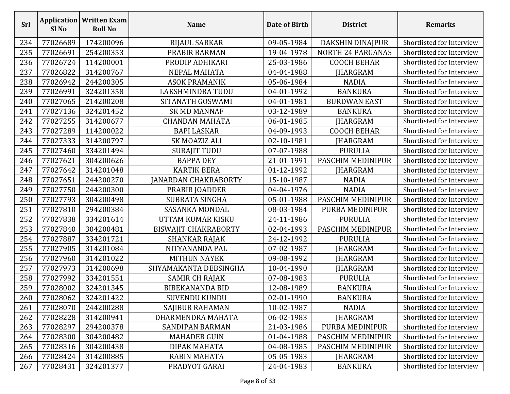| <b>Srl</b> | Sl <sub>No</sub> | <b>Application   Written Exam</b><br><b>Roll No</b> | <b>Name</b>                 | Date of Birth | <b>District</b>          | <b>Remarks</b>            |
|------------|------------------|-----------------------------------------------------|-----------------------------|---------------|--------------------------|---------------------------|
| 234        | 77026689         | 174200096                                           | RIJAUL SARKAR               | 09-05-1984    | DAKSHIN DINAJPUR         | Shortlisted for Interview |
| 235        | 77026691         | 254200353                                           | PRABIR BARMAN               | 19-04-1978    | <b>NORTH 24 PARGANAS</b> | Shortlisted for Interview |
| 236        | 77026724         | 114200001                                           | PRODIP ADHIKARI             | 25-03-1986    | <b>COOCH BEHAR</b>       | Shortlisted for Interview |
| 237        | 77026822         | 314200767                                           | NEPAL MAHATA                | 04-04-1988    | JHARGRAM                 | Shortlisted for Interview |
| 238        | 77026942         | 244200305                                           | <b>ASOK PRAMANIK</b>        | 05-06-1984    | <b>NADIA</b>             | Shortlisted for Interview |
| 239        | 77026991         | 324201358                                           | LAKSHMINDRA TUDU            | 04-01-1992    | <b>BANKURA</b>           | Shortlisted for Interview |
| 240        | 77027065         | 214200208                                           | SITANATH GOSWAMI            | 04-01-1981    | <b>BURDWAN EAST</b>      | Shortlisted for Interview |
| 241        | 77027136         | 324201452                                           | <b>SK MD MANNAF</b>         | 03-12-1989    | <b>BANKURA</b>           | Shortlisted for Interview |
| 242        | 77027255         | 314200677                                           | <b>CHANDAN MAHATA</b>       | 06-01-1985    | JHARGRAM                 | Shortlisted for Interview |
| 243        | 77027289         | 114200022                                           | <b>BAPI LASKAR</b>          | 04-09-1993    | <b>COOCH BEHAR</b>       | Shortlisted for Interview |
| 244        | 77027333         | 314200797                                           | SK MOAZIZ ALI               | 02-10-1981    | JHARGRAM                 | Shortlisted for Interview |
| 245        | 77027460         | 334201494                                           | <b>SURAJIT TUDU</b>         | 07-07-1988    | <b>PURULIA</b>           | Shortlisted for Interview |
| 246        | 77027621         | 304200626                                           | <b>BAPPA DEY</b>            | 21-01-1991    | PASCHIM MEDINIPUR        | Shortlisted for Interview |
| 247        | 77027642         | 314201048                                           | <b>KARTIK BERA</b>          | 01-12-1992    | JHARGRAM                 | Shortlisted for Interview |
| 248        | 77027651         | 244200270                                           | <b>JANARDAN CHAKRABORTY</b> | 15-10-1987    | <b>NADIA</b>             | Shortlisted for Interview |
| 249        | 77027750         | 244200300                                           | PRABIR JOADDER              | 04-04-1976    | <b>NADIA</b>             | Shortlisted for Interview |
| 250        | 77027793         | 304200498                                           | <b>SUBRATA SINGHA</b>       | 05-01-1988    | PASCHIM MEDINIPUR        | Shortlisted for Interview |
| 251        | 77027810         | 294200384                                           | SASANKA MONDAL              | 08-03-1984    | PURBA MEDINIPUR          | Shortlisted for Interview |
| 252        | 77027838         | 334201614                                           | UTTAM KUMAR KISKU           | 24-11-1986    | <b>PURULIA</b>           | Shortlisted for Interview |
| 253        | 77027840         | 304200481                                           | <b>BISWAJIT CHAKRABORTY</b> | 02-04-1993    | PASCHIM MEDINIPUR        | Shortlisted for Interview |
| 254        | 77027887         | 334201721                                           | SHANKAR RAJAK               | 24-12-1992    | <b>PURULIA</b>           | Shortlisted for Interview |
| 255        | 77027905         | 314201084                                           | NITYANANDA PAL              | 07-02-1987    | JHARGRAM                 | Shortlisted for Interview |
| 256        | 77027960         | 314201022                                           | <b>MITHUN NAYEK</b>         | 09-08-1992    | JHARGRAM                 | Shortlisted for Interview |
| 257        | 77027973         | 314200698                                           | SHYAMAKANTA DEBSINGHA       | 10-04-1990    | JHARGRAM                 | Shortlisted for Interview |
| 258        | 77027992         | 334201551                                           | SAMIR CH RAJAK              | 07-08-1983    | <b>PURULIA</b>           | Shortlisted for Interview |
| 259        | 77028002         | 324201345                                           | <b>BIBEKANANDA BID</b>      | 12-08-1989    | <b>BANKURA</b>           | Shortlisted for Interview |
| 260        | 77028062         | 324201422                                           | <b>SUVENDU KUNDU</b>        | 02-01-1990    | <b>BANKURA</b>           | Shortlisted for Interview |
| 261        | 77028070         | 244200288                                           | SAJIBUR RAHAMAN             | 10-02-1987    | <b>NADIA</b>             | Shortlisted for Interview |
| 262        | 77028228         | 314200941                                           | DHARMENDRA MAHATA           | 06-02-1983    | <b>JHARGRAM</b>          | Shortlisted for Interview |
| 263        | 77028297         | 294200378                                           | <b>SANDIPAN BARMAN</b>      | 21-03-1986    | PURBA MEDINIPUR          | Shortlisted for Interview |
| 264        | 77028300         | 304200482                                           | <b>MAHADEB GUIN</b>         | 01-04-1988    | PASCHIM MEDINIPUR        | Shortlisted for Interview |
| 265        | 77028316         | 304200438                                           | DIPAK MAHATA                | 04-08-1985    | PASCHIM MEDINIPUR        | Shortlisted for Interview |
| 266        | 77028424         | 314200885                                           | <b>RABIN MAHATA</b>         | 05-05-1983    | JHARGRAM                 | Shortlisted for Interview |
| 267        | 77028431         | 324201377                                           | PRADYOT GARAI               | 24-04-1983    | <b>BANKURA</b>           | Shortlisted for Interview |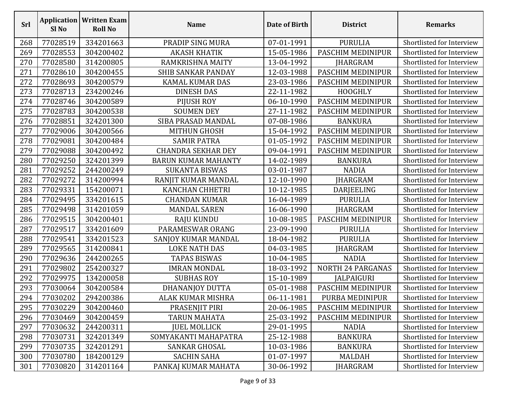| Srl | Sl No    | <b>Application   Written Exam</b><br><b>Roll No</b> | <b>Name</b>                | <b>Date of Birth</b> | <b>District</b>          | <b>Remarks</b>            |
|-----|----------|-----------------------------------------------------|----------------------------|----------------------|--------------------------|---------------------------|
| 268 | 77028519 | 334201663                                           | PRADIP SING MURA           | 07-01-1991           | <b>PURULIA</b>           | Shortlisted for Interview |
| 269 | 77028553 | 304200402                                           | <b>AKASH KHATIK</b>        | 15-05-1986           | PASCHIM MEDINIPUR        | Shortlisted for Interview |
| 270 | 77028580 | 314200805                                           | RAMKRISHNA MAITY           | 13-04-1992           | <b>JHARGRAM</b>          | Shortlisted for Interview |
| 271 | 77028610 | 304200455                                           | <b>SHIB SANKAR PANDAY</b>  | 12-03-1988           | PASCHIM MEDINIPUR        | Shortlisted for Interview |
| 272 | 77028693 | 304200579                                           | <b>KAMAL KUMAR DAS</b>     | 23-03-1986           | PASCHIM MEDINIPUR        | Shortlisted for Interview |
| 273 | 77028713 | 234200246                                           | <b>DINESH DAS</b>          | 22-11-1982           | <b>HOOGHLY</b>           | Shortlisted for Interview |
| 274 | 77028746 | 304200589                                           | PIJUSH ROY                 | 06-10-1990           | PASCHIM MEDINIPUR        | Shortlisted for Interview |
| 275 | 77028783 | 304200538                                           | <b>SOUMEN DEY</b>          | 27-11-1982           | PASCHIM MEDINIPUR        | Shortlisted for Interview |
| 276 | 77028851 | 324201300                                           | SIBA PRASAD MANDAL         | 07-08-1986           | <b>BANKURA</b>           | Shortlisted for Interview |
| 277 | 77029006 | 304200566                                           | <b>MITHUN GHOSH</b>        | 15-04-1992           | PASCHIM MEDINIPUR        | Shortlisted for Interview |
| 278 | 77029081 | 304200484                                           | <b>SAMIR PATRA</b>         | 01-05-1992           | PASCHIM MEDINIPUR        | Shortlisted for Interview |
| 279 | 77029088 | 304200492                                           | <b>CHANDRA SEKHAR DEY</b>  | 09-04-1991           | PASCHIM MEDINIPUR        | Shortlisted for Interview |
| 280 | 77029250 | 324201399                                           | <b>BARUN KUMAR MAHANTY</b> | 14-02-1989           | <b>BANKURA</b>           | Shortlisted for Interview |
| 281 | 77029252 | 244200249                                           | <b>SUKANTA BISWAS</b>      | 03-01-1987           | <b>NADIA</b>             | Shortlisted for Interview |
| 282 | 77029272 | 314200994                                           | RANJIT KUMAR MANDAL        | 12-10-1990           | <b>JHARGRAM</b>          | Shortlisted for Interview |
| 283 | 77029331 | 154200071                                           | <b>KANCHAN CHHETRI</b>     | 10-12-1985           | DARJEELING               | Shortlisted for Interview |
| 284 | 77029495 | 334201615                                           | <b>CHANDAN KUMAR</b>       | 16-04-1989           | <b>PURULIA</b>           | Shortlisted for Interview |
| 285 | 77029498 | 314201059                                           | <b>MANDAL SAREN</b>        | 16-06-1990           | <b>JHARGRAM</b>          | Shortlisted for Interview |
| 286 | 77029515 | 304200401                                           | RAJU KUNDU                 | 10-08-1985           | PASCHIM MEDINIPUR        | Shortlisted for Interview |
| 287 | 77029517 | 334201609                                           | PARAMESWAR ORANG           | 23-09-1990           | <b>PURULIA</b>           | Shortlisted for Interview |
| 288 | 77029541 | 334201523                                           | SANJOY KUMAR MANDAL        | 18-04-1982           | <b>PURULIA</b>           | Shortlisted for Interview |
| 289 | 77029565 | 314200841                                           | <b>LOKE NATH DAS</b>       | 04-03-1985           | JHARGRAM                 | Shortlisted for Interview |
| 290 | 77029636 | 244200265                                           | <b>TAPAS BISWAS</b>        | 10-04-1985           | <b>NADIA</b>             | Shortlisted for Interview |
| 291 | 77029802 | 254200327                                           | <b>IMRAN MONDAL</b>        | 18-03-1992           | <b>NORTH 24 PARGANAS</b> | Shortlisted for Interview |
| 292 | 77029975 | 134200058                                           | <b>SUBHAS ROY</b>          | 15-10-1989           | JALPAIGURI               | Shortlisted for Interview |
| 293 | 77030064 | 304200584                                           | DHANANJOY DUTTA            | 05-01-1988           | PASCHIM MEDINIPUR        | Shortlisted for Interview |
| 294 | 77030202 | 294200386                                           | ALAK KUMAR MISHRA          | 06-11-1981           | PURBA MEDINIPUR          | Shortlisted for Interview |
| 295 | 77030229 | 304200460                                           | PRASENJIT PIRI             | 20-06-1985           | PASCHIM MEDINIPUR        | Shortlisted for Interview |
| 296 | 77030469 | 304200459                                           | <b>TARUN MAHATA</b>        | 25-03-1992           | PASCHIM MEDINIPUR        | Shortlisted for Interview |
| 297 | 77030632 | 244200311                                           | <b>JUEL MOLLICK</b>        | 29-01-1995           | <b>NADIA</b>             | Shortlisted for Interview |
| 298 | 77030731 | 324201349                                           | SOMYAKANTI MAHAPATRA       | 25-12-1988           | <b>BANKURA</b>           | Shortlisted for Interview |
| 299 | 77030735 | 324201291                                           | SANKAR GHOSAL              | 10-03-1986           | <b>BANKURA</b>           | Shortlisted for Interview |
| 300 | 77030780 | 184200129                                           | <b>SACHIN SAHA</b>         | 01-07-1997           | <b>MALDAH</b>            | Shortlisted for Interview |
| 301 | 77030820 | 314201164                                           | PANKAJ KUMAR MAHATA        | 30-06-1992           | JHARGRAM                 | Shortlisted for Interview |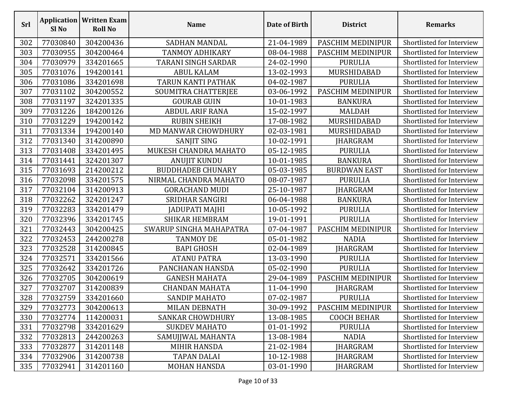| <b>Srl</b> | Sl <sub>No</sub> | <b>Application   Written Exam</b><br><b>Roll No</b> | <b>Name</b>                | Date of Birth | <b>District</b>     | <b>Remarks</b>            |
|------------|------------------|-----------------------------------------------------|----------------------------|---------------|---------------------|---------------------------|
| 302        | 77030840         | 304200436                                           | SADHAN MANDAL              | 21-04-1989    | PASCHIM MEDINIPUR   | Shortlisted for Interview |
| 303        | 77030955         | 304200464                                           | TANMOY ADHIKARY            | 08-04-1988    | PASCHIM MEDINIPUR   | Shortlisted for Interview |
| 304        | 77030979         | 334201665                                           | <b>TARANI SINGH SARDAR</b> | 24-02-1990    | <b>PURULIA</b>      | Shortlisted for Interview |
| 305        | 77031076         | 194200141                                           | <b>ABUL KALAM</b>          | 13-02-1993    | MURSHIDABAD         | Shortlisted for Interview |
| 306        | 77031086         | 334201698                                           | TARUN KANTI PATHAK         | 04-02-1987    | <b>PURULIA</b>      | Shortlisted for Interview |
| 307        | 77031102         | 304200552                                           | SOUMITRA CHATTERJEE        | 03-06-1992    | PASCHIM MEDINIPUR   | Shortlisted for Interview |
| 308        | 77031197         | 324201335                                           | <b>GOURAB GUIN</b>         | 10-01-1983    | <b>BANKURA</b>      | Shortlisted for Interview |
| 309        | 77031226         | 184200126                                           | <b>ABDUL ARIF RANA</b>     | 15-02-1997    | <b>MALDAH</b>       | Shortlisted for Interview |
| 310        | 77031229         | 194200142                                           | <b>RUBIN SHEIKH</b>        | 17-08-1982    | MURSHIDABAD         | Shortlisted for Interview |
| 311        | 77031334         | 194200140                                           | MD MANWAR CHOWDHURY        | 02-03-1981    | MURSHIDABAD         | Shortlisted for Interview |
| 312        | 77031340         | 314200890                                           | <b>SANJIT SING</b>         | 10-02-1991    | <b>IHARGRAM</b>     | Shortlisted for Interview |
| 313        | 77031408         | 334201495                                           | MUKESH CHANDRA MAHATO      | 05-12-1985    | <b>PURULIA</b>      | Shortlisted for Interview |
| 314        | 77031441         | 324201307                                           | <b>ANUJIT KUNDU</b>        | 10-01-1985    | <b>BANKURA</b>      | Shortlisted for Interview |
| 315        | 77031693         | 214200212                                           | <b>BUDDHADEB CHUNARY</b>   | 05-03-1985    | <b>BURDWAN EAST</b> | Shortlisted for Interview |
| 316        | 77032098         | 334201575                                           | NIRMAL CHANDRA MAHATO      | 08-07-1987    | <b>PURULIA</b>      | Shortlisted for Interview |
| 317        | 77032104         | 314200913                                           | <b>GORACHAND MUDI</b>      | 25-10-1987    | <b>JHARGRAM</b>     | Shortlisted for Interview |
| 318        | 77032262         | 324201247                                           | <b>SRIDHAR SANGIRI</b>     | 06-04-1988    | <b>BANKURA</b>      | Shortlisted for Interview |
| 319        | 77032283         | 334201479                                           | JADUPATI MAJHI             | 10-05-1992    | <b>PURULIA</b>      | Shortlisted for Interview |
| 320        | 77032396         | 334201745                                           | <b>SHIKAR HEMBRAM</b>      | 19-01-1991    | <b>PURULIA</b>      | Shortlisted for Interview |
| 321        | 77032443         | 304200425                                           | SWARUP SINGHA MAHAPATRA    | 07-04-1987    | PASCHIM MEDINIPUR   | Shortlisted for Interview |
| 322        | 77032453         | 244200278                                           | <b>TANMOY DE</b>           | 05-01-1982    | <b>NADIA</b>        | Shortlisted for Interview |
| 323        | 77032528         | 314200845                                           | <b>BAPI GHOSH</b>          | 02-04-1989    | <b>JHARGRAM</b>     | Shortlisted for Interview |
| 324        | 77032571         | 334201566                                           | <b>ATANU PATRA</b>         | 13-03-1990    | <b>PURULIA</b>      | Shortlisted for Interview |
| 325        | 77032642         | 334201726                                           | PANCHANAN HANSDA           | 05-02-1990    | <b>PURULIA</b>      | Shortlisted for Interview |
| 326        | 77032705         | 304200619                                           | <b>GANESH MAHATA</b>       | 29-04-1989    | PASCHIM MEDINIPUR   | Shortlisted for Interview |
| 327        | 77032707         | 314200839                                           | <b>CHANDAN MAHATA</b>      | 11-04-1990    | <b>JHARGRAM</b>     | Shortlisted for Interview |
| 328        | 77032759         | 334201660                                           | SANDIP MAHATO              | 07-02-1987    | PURULIA             | Shortlisted for Interview |
| 329        | 77032773         | 304200613                                           | <b>MILAN DEBNATH</b>       | 30-09-1992    | PASCHIM MEDINIPUR   | Shortlisted for Interview |
| 330        | 77032774         | 114200031                                           | <b>SANKAR CHOWDHURY</b>    | 13-08-1985    | <b>COOCH BEHAR</b>  | Shortlisted for Interview |
| 331        | 77032798         | 334201629                                           | <b>SUKDEV MAHATO</b>       | 01-01-1992    | <b>PURULIA</b>      | Shortlisted for Interview |
| 332        | 77032813         | 244200263                                           | SAMUJJWAL MAHANTA          | 13-08-1984    | <b>NADIA</b>        | Shortlisted for Interview |
| 333        | 77032877         | 314201148                                           | <b>MIHIR HANSDA</b>        | 21-02-1984    | <b>JHARGRAM</b>     | Shortlisted for Interview |
| 334        | 77032906         | 314200738                                           | <b>TAPAN DALAI</b>         | 10-12-1988    | <b>IHARGRAM</b>     | Shortlisted for Interview |
| 335        | 77032941         | 314201160                                           | MOHAN HANSDA               | 03-01-1990    | JHARGRAM            | Shortlisted for Interview |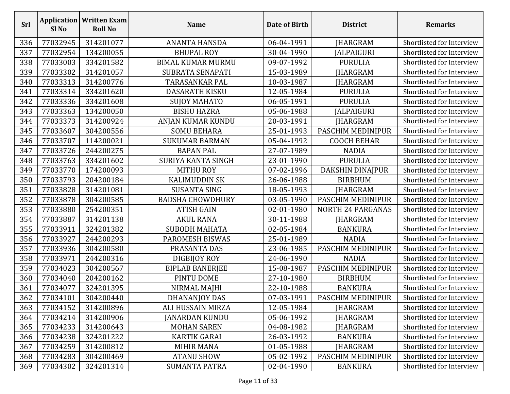| <b>Srl</b> | Sl <sub>No</sub> | <b>Application   Written Exam</b><br><b>Roll No</b> | <b>Name</b>               | Date of Birth | <b>District</b>          | <b>Remarks</b>            |
|------------|------------------|-----------------------------------------------------|---------------------------|---------------|--------------------------|---------------------------|
| 336        | 77032945         | 314201077                                           | <b>ANANTA HANSDA</b>      | 06-04-1991    | <b>JHARGRAM</b>          | Shortlisted for Interview |
| 337        | 77032954         | 134200055                                           | <b>BHUPAL ROY</b>         | 30-04-1990    | <b>JALPAIGURI</b>        | Shortlisted for Interview |
| 338        | 77033003         | 334201582                                           | <b>BIMAL KUMAR MURMU</b>  | 09-07-1992    | <b>PURULIA</b>           | Shortlisted for Interview |
| 339        | 77033302         | 314201057                                           | SUBRATA SENAPATI          | 15-03-1989    | <b>JHARGRAM</b>          | Shortlisted for Interview |
| 340        | 77033313         | 314200776                                           | <b>TARASANKAR PAL</b>     | 10-03-1987    | JHARGRAM                 | Shortlisted for Interview |
| 341        | 77033314         | 334201620                                           | <b>DASARATH KISKU</b>     | 12-05-1984    | <b>PURULIA</b>           | Shortlisted for Interview |
| 342        | 77033336         | 334201608                                           | <b>SUJOY MAHATO</b>       | 06-05-1991    | <b>PURULIA</b>           | Shortlisted for Interview |
| 343        | 77033363         | 134200050                                           | <b>BISHU HAZRA</b>        | 05-06-1988    | <b>JALPAIGURI</b>        | Shortlisted for Interview |
| 344        | 77033373         | 314200924                                           | ANJAN KUMAR KUNDU         | 20-03-1991    | <b>JHARGRAM</b>          | Shortlisted for Interview |
| 345        | 77033607         | 304200556                                           | <b>SOMU BEHARA</b>        | 25-01-1993    | PASCHIM MEDINIPUR        | Shortlisted for Interview |
| 346        | 77033707         | 114200021                                           | <b>SUKUMAR BARMAN</b>     | 05-04-1992    | <b>COOCH BEHAR</b>       | Shortlisted for Interview |
| 347        | 77033726         | 244200275                                           | <b>BAPAN PAL</b>          | 27-07-1989    | <b>NADIA</b>             | Shortlisted for Interview |
| 348        | 77033763         | 334201602                                           | <b>SURIYA KANTA SINGH</b> | 23-01-1990    | <b>PURULIA</b>           | Shortlisted for Interview |
| 349        | 77033770         | 174200093                                           | <b>MITHU ROY</b>          | 07-02-1996    | DAKSHIN DINAJPUR         | Shortlisted for Interview |
| 350        | 77033793         | 204200184                                           | <b>KALIMUDDIN SK</b>      | 26-06-1988    | <b>BIRBHUM</b>           | Shortlisted for Interview |
| 351        | 77033828         | 314201081                                           | <b>SUSANTA SING</b>       | 18-05-1993    | <b>JHARGRAM</b>          | Shortlisted for Interview |
| 352        | 77033878         | 304200585                                           | <b>BADSHA CHOWDHURY</b>   | 03-05-1990    | PASCHIM MEDINIPUR        | Shortlisted for Interview |
| 353        | 77033880         | 254200351                                           | <b>ATISH GAIN</b>         | 02-01-1980    | <b>NORTH 24 PARGANAS</b> | Shortlisted for Interview |
| 354        | 77033887         | 314201138                                           | <b>AKUL RANA</b>          | 30-11-1988    | JHARGRAM                 | Shortlisted for Interview |
| 355        | 77033911         | 324201382                                           | <b>SUBODH MAHATA</b>      | 02-05-1984    | <b>BANKURA</b>           | Shortlisted for Interview |
| 356        | 77033927         | 244200293                                           | PAROMESH BISWAS           | 25-01-1989    | <b>NADIA</b>             | Shortlisted for Interview |
| 357        | 77033936         | 304200580                                           | PRASANTA DAS              | 23-06-1985    | PASCHIM MEDINIPUR        | Shortlisted for Interview |
| 358        | 77033971         | 244200316                                           | DIGBIJOY ROY              | 24-06-1990    | <b>NADIA</b>             | Shortlisted for Interview |
| 359        | 77034023         | 304200567                                           | <b>BIPLAB BANERJEE</b>    | 15-08-1987    | PASCHIM MEDINIPUR        | Shortlisted for Interview |
| 360        | 77034040         | 204200162                                           | PINTU DOME                | 27-10-1980    | <b>BIRBHUM</b>           | Shortlisted for Interview |
| 361        | 77034077         | 324201395                                           | NIRMAL MAJHI              | 22-10-1988    | <b>BANKURA</b>           | Shortlisted for Interview |
| 362        | 77034101         | 304200440                                           | DHANANJOY DAS             | 07-03-1991    | PASCHIM MEDINIPUR        | Shortlisted for Interview |
| 363        | 77034152         | 314200896                                           | ALI HUSSAIN MIRZA         | 12-05-1984    | <b>JHARGRAM</b>          | Shortlisted for Interview |
| 364        | 77034214         | 314200906                                           | <b>JANARDAN KUNDU</b>     | 05-06-1992    | <b>IHARGRAM</b>          | Shortlisted for Interview |
| 365        | 77034233         | 314200643                                           | <b>MOHAN SAREN</b>        | 04-08-1982    | <b>JHARGRAM</b>          | Shortlisted for Interview |
| 366        | 77034238         | 324201222                                           | KARTIK GARAI              | 26-03-1992    | <b>BANKURA</b>           | Shortlisted for Interview |
| 367        | 77034259         | 314200812                                           | <b>MIHIR MANA</b>         | 01-05-1988    | JHARGRAM                 | Shortlisted for Interview |
| 368        | 77034283         | 304200469                                           | <b>ATANU SHOW</b>         | 05-02-1992    | PASCHIM MEDINIPUR        | Shortlisted for Interview |
| 369        | 77034302         | 324201314                                           | <b>SUMANTA PATRA</b>      | 02-04-1990    | <b>BANKURA</b>           | Shortlisted for Interview |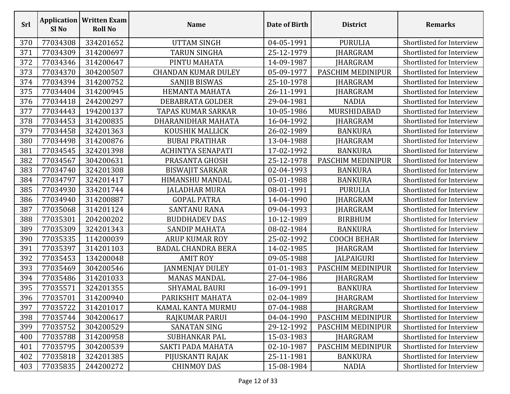| <b>Srl</b> | <b>Application</b><br>Sl <sub>No</sub> | <b>Written Exam</b><br><b>Roll No</b> | <b>Name</b>                | Date of Birth | <b>District</b>    | <b>Remarks</b>            |
|------------|----------------------------------------|---------------------------------------|----------------------------|---------------|--------------------|---------------------------|
| 370        | 77034308                               | 334201652                             | <b>UTTAM SINGH</b>         | 04-05-1991    | <b>PURULIA</b>     | Shortlisted for Interview |
| 371        | 77034309                               | 314200697                             | <b>TARUN SINGHA</b>        | 25-12-1979    | <b>JHARGRAM</b>    | Shortlisted for Interview |
| 372        | 77034346                               | 314200647                             | PINTU MAHATA               | 14-09-1987    | <b>JHARGRAM</b>    | Shortlisted for Interview |
| 373        | 77034370                               | 304200507                             | <b>CHANDAN KUMAR DULEY</b> | 05-09-1977    | PASCHIM MEDINIPUR  | Shortlisted for Interview |
| 374        | 77034394                               | 314200752                             | <b>SANJIB BISWAS</b>       | 25-10-1978    | <b>JHARGRAM</b>    | Shortlisted for Interview |
| 375        | 77034404                               | 314200945                             | HEMANTA MAHATA             | 26-11-1991    | <b>JHARGRAM</b>    | Shortlisted for Interview |
| 376        | 77034418                               | 244200297                             | DEBABRATA GOLDER           | 29-04-1981    | <b>NADIA</b>       | Shortlisted for Interview |
| 377        | 77034443                               | 194200137                             | <b>TAPAS KUMAR SARKAR</b>  | 10-05-1986    | MURSHIDABAD        | Shortlisted for Interview |
| 378        | 77034453                               | 314200835                             | DHARANIDHAR MAHATA         | 16-04-1992    | <b>JHARGRAM</b>    | Shortlisted for Interview |
| 379        | 77034458                               | 324201363                             | KOUSHIK MALLICK            | 26-02-1989    | <b>BANKURA</b>     | Shortlisted for Interview |
| 380        | 77034498                               | 314200876                             | <b>BUBAI PRATIHAR</b>      | 13-04-1988    | JHARGRAM           | Shortlisted for Interview |
| 381        | 77034545                               | 324201398                             | <b>ACHINTYA SENAPATI</b>   | 17-02-1992    | <b>BANKURA</b>     | Shortlisted for Interview |
| 382        | 77034567                               | 304200631                             | PRASANTA GHOSH             | 25-12-1978    | PASCHIM MEDINIPUR  | Shortlisted for Interview |
| 383        | 77034740                               | 324201308                             | <b>BISWAJIT SARKAR</b>     | 02-04-1993    | <b>BANKURA</b>     | Shortlisted for Interview |
| 384        | 77034797                               | 324201417                             | <b>HIMANSHU MANDAL</b>     | 05-01-1988    | <b>BANKURA</b>     | Shortlisted for Interview |
| 385        | 77034930                               | 334201744                             | JALADHAR MURA              | 08-01-1991    | <b>PURULIA</b>     | Shortlisted for Interview |
| 386        | 77034940                               | 314200887                             | <b>GOPAL PATRA</b>         | 14-04-1990    | <b>JHARGRAM</b>    | Shortlisted for Interview |
| 387        | 77035068                               | 314201124                             | <b>SANTANU RANA</b>        | 09-04-1993    | <b>JHARGRAM</b>    | Shortlisted for Interview |
| 388        | 77035301                               | 204200202                             | <b>BUDDHADEV DAS</b>       | 10-12-1989    | <b>BIRBHUM</b>     | Shortlisted for Interview |
| 389        | 77035309                               | 324201343                             | <b>SANDIP MAHATA</b>       | 08-02-1984    | <b>BANKURA</b>     | Shortlisted for Interview |
| 390        | 77035335                               | 114200039                             | <b>ARUP KUMAR ROY</b>      | 25-02-1992    | <b>COOCH BEHAR</b> | Shortlisted for Interview |
| 391        | 77035397                               | 314201103                             | <b>BADAL CHANDRA BERA</b>  | 14-02-1985    | <b>JHARGRAM</b>    | Shortlisted for Interview |
| 392        | 77035453                               | 134200048                             | <b>AMIT ROY</b>            | 09-05-1988    | JALPAIGURI         | Shortlisted for Interview |
| 393        | 77035469                               | 304200546                             | JANMENJAY DULEY            | 01-01-1983    | PASCHIM MEDINIPUR  | Shortlisted for Interview |
| 394        | 77035486                               | 314201033                             | <b>MANAS MANDAL</b>        | 27-04-1986    | <b>JHARGRAM</b>    | Shortlisted for Interview |
| 395        | 77035571                               | 324201355                             | <b>SHYAMAL BAURI</b>       | 16-09-1991    | <b>BANKURA</b>     | Shortlisted for Interview |
| 396        | 77035701                               | 314200940                             | PARIKSHIT MAHATA           | 02-04-1989    | <b>JHARGRAM</b>    | Shortlisted for Interview |
| 397        | 77035722                               | 314201017                             | KAMAL KANTA MURMU          | 07-04-1988    | <b>JHARGRAM</b>    | Shortlisted for Interview |
| 398        | 77035744                               | 304200617                             | RAJKUMAR PARUI             | 04-04-1990    | PASCHIM MEDINIPUR  | Shortlisted for Interview |
| 399        | 77035752                               | 304200529                             | <b>SANATAN SING</b>        | 29-12-1992    | PASCHIM MEDINIPUR  | Shortlisted for Interview |
| 400        | 77035788                               | 314200958                             | SUBHANKAR PAL              | 15-03-1983    | <b>JHARGRAM</b>    | Shortlisted for Interview |
| 401        | 77035795                               | 304200539                             | SAKTI PADA MAHATA          | 02-10-1987    | PASCHIM MEDINIPUR  | Shortlisted for Interview |
| 402        | 77035818                               | 324201385                             | PIJUSKANTI RAJAK           | 25-11-1981    | <b>BANKURA</b>     | Shortlisted for Interview |
| 403        | 77035835                               | 244200272                             | <b>CHINMOY DAS</b>         | 15-08-1984    | <b>NADIA</b>       | Shortlisted for Interview |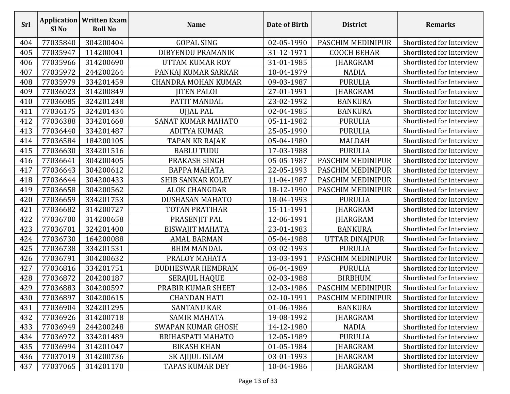| Srl | Sl <sub>No</sub> | <b>Application   Written Exam</b><br><b>Roll No</b> | <b>Name</b>                | <b>Date of Birth</b> | <b>District</b>    | <b>Remarks</b>            |
|-----|------------------|-----------------------------------------------------|----------------------------|----------------------|--------------------|---------------------------|
| 404 | 77035840         | 304200404                                           | <b>GOPAL SING</b>          | 02-05-1990           | PASCHIM MEDINIPUR  | Shortlisted for Interview |
| 405 | 77035947         | 114200041                                           | DIBYENDU PRAMANIK          | 31-12-1971           | <b>COOCH BEHAR</b> | Shortlisted for Interview |
| 406 | 77035966         | 314200690                                           | UTTAM KUMAR ROY            | 31-01-1985           | <b>JHARGRAM</b>    | Shortlisted for Interview |
| 407 | 77035972         | 244200264                                           | PANKAJ KUMAR SARKAR        | 10-04-1979           | <b>NADIA</b>       | Shortlisted for Interview |
| 408 | 77035979         | 334201459                                           | <b>CHANDRA MOHAN KUMAR</b> | 09-03-1987           | <b>PURULIA</b>     | Shortlisted for Interview |
| 409 | 77036023         | 314200849                                           | <b>JITEN PALOI</b>         | 27-01-1991           | JHARGRAM           | Shortlisted for Interview |
| 410 | 77036085         | 324201248                                           | PATIT MANDAL               | 23-02-1992           | <b>BANKURA</b>     | Shortlisted for Interview |
| 411 | 77036175         | 324201434                                           | UJJAL PAL                  | 02-04-1985           | <b>BANKURA</b>     | Shortlisted for Interview |
| 412 | 77036388         | 334201668                                           | SANAT KUMAR MAHATO         | 05-11-1982           | <b>PURULIA</b>     | Shortlisted for Interview |
| 413 | 77036440         | 334201487                                           | <b>ADITYA KUMAR</b>        | 25-05-1990           | <b>PURULIA</b>     | Shortlisted for Interview |
| 414 | 77036584         | 184200105                                           | TAPAN KR RAJAK             | 05-04-1980           | <b>MALDAH</b>      | Shortlisted for Interview |
| 415 | 77036630         | 334201516                                           | <b>BABLU TUDU</b>          | 17-03-1988           | <b>PURULIA</b>     | Shortlisted for Interview |
| 416 | 77036641         | 304200405                                           | PRAKASH SINGH              | 05-05-1987           | PASCHIM MEDINIPUR  | Shortlisted for Interview |
| 417 | 77036643         | 304200612                                           | <b>BAPPA MAHATA</b>        | 22-05-1993           | PASCHIM MEDINIPUR  | Shortlisted for Interview |
| 418 | 77036644         | 304200433                                           | <b>SHIB SANKAR KOLEY</b>   | 11-04-1987           | PASCHIM MEDINIPUR  | Shortlisted for Interview |
| 419 | 77036658         | 304200562                                           | <b>ALOK CHANGDAR</b>       | 18-12-1990           | PASCHIM MEDINIPUR  | Shortlisted for Interview |
| 420 | 77036659         | 334201753                                           | <b>DUSHASAN MAHATO</b>     | 18-04-1993           | <b>PURULIA</b>     | Shortlisted for Interview |
| 421 | 77036682         | 314200727                                           | TOTAN PRATIHAR             | 15-11-1991           | <b>JHARGRAM</b>    | Shortlisted for Interview |
| 422 | 77036700         | 314200658                                           | PRASENJIT PAL              | 12-06-1991           | JHARGRAM           | Shortlisted for Interview |
| 423 | 77036701         | 324201400                                           | <b>BISWAJIT MAHATA</b>     | 23-01-1983           | <b>BANKURA</b>     | Shortlisted for Interview |
| 424 | 77036730         | 164200088                                           | <b>AMAL BARMAN</b>         | 05-04-1988           | UTTAR DINAJPUR     | Shortlisted for Interview |
| 425 | 77036738         | 334201531                                           | <b>BHIM MANDAL</b>         | 03-02-1993           | <b>PURULIA</b>     | Shortlisted for Interview |
| 426 | 77036791         | 304200632                                           | PRALOY MAHATA              | 13-03-1991           | PASCHIM MEDINIPUR  | Shortlisted for Interview |
| 427 | 77036816         | 334201751                                           | <b>BUDHESWAR HEMBRAM</b>   | 06-04-1989           | <b>PURULIA</b>     | Shortlisted for Interview |
| 428 | 77036872         | 204200187                                           | <b>SERAJUL HAQUE</b>       | 02-03-1988           | <b>BIRBHUM</b>     | Shortlisted for Interview |
| 429 | 77036883         | 304200597                                           | PRABIR KUMAR SHEET         | 12-03-1986           | PASCHIM MEDINIPUR  | Shortlisted for Interview |
| 430 | 77036897         | 304200615                                           | <b>CHANDAN HATI</b>        | 02-10-1991           | PASCHIM MEDINIPUR  | Shortlisted for Interview |
| 431 | 77036904         | 324201295                                           | SANTANU KAR                | 01-06-1986           | <b>BANKURA</b>     | Shortlisted for Interview |
| 432 | 77036926         | 314200718                                           | <b>SAMIR MAHATA</b>        | 19-08-1992           | JHARGRAM           | Shortlisted for Interview |
| 433 | 77036949         | 244200248                                           | <b>SWAPAN KUMAR GHOSH</b>  | 14-12-1980           | <b>NADIA</b>       | Shortlisted for Interview |
| 434 | 77036972         | 334201489                                           | <b>BRIHASPATI MAHATO</b>   | 12-05-1989           | <b>PURULIA</b>     | Shortlisted for Interview |
| 435 | 77036994         | 314201047                                           | <b>BIKASH KHAN</b>         | 01-05-1984           | JHARGRAM           | Shortlisted for Interview |
| 436 | 77037019         | 314200736                                           | SK AJIJUL ISLAM            | 03-01-1993           | <b>JHARGRAM</b>    | Shortlisted for Interview |
| 437 | 77037065         | 314201170                                           | TAPAS KUMAR DEY            | 10-04-1986           | JHARGRAM           | Shortlisted for Interview |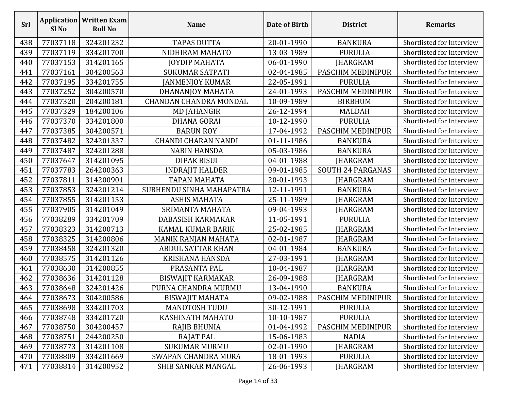| <b>Srl</b> | Sl <sub>No</sub> | <b>Application   Written Exam</b><br><b>Roll No</b> | <b>Name</b>                   | Date of Birth | <b>District</b>          | <b>Remarks</b>            |
|------------|------------------|-----------------------------------------------------|-------------------------------|---------------|--------------------------|---------------------------|
| 438        | 77037118         | 324201232                                           | <b>TAPAS DUTTA</b>            | 20-01-1990    | <b>BANKURA</b>           | Shortlisted for Interview |
| 439        | 77037119         | 334201700                                           | NIDHIRAM MAHATO               | 13-03-1989    | <b>PURULIA</b>           | Shortlisted for Interview |
| 440        | 77037153         | 314201165                                           | <b>JOYDIP MAHATA</b>          | 06-01-1990    | JHARGRAM                 | Shortlisted for Interview |
| 441        | 77037161         | 304200563                                           | <b>SUKUMAR SATPATI</b>        | 02-04-1985    | PASCHIM MEDINIPUR        | Shortlisted for Interview |
| 442        | 77037195         | 334201755                                           | <b>JANMENJOY KUMAR</b>        | 22-05-1991    | <b>PURULIA</b>           | Shortlisted for Interview |
| 443        | 77037252         | 304200570                                           | DHANANJOY MAHATA              | 24-01-1993    | PASCHIM MEDINIPUR        | Shortlisted for Interview |
| 444        | 77037320         | 204200181                                           | <b>CHANDAN CHANDRA MONDAL</b> | 10-09-1989    | <b>BIRBHUM</b>           | Shortlisted for Interview |
| 445        | 77037329         | 184200106                                           | <b>MD JAHANGIR</b>            | 26-12-1994    | <b>MALDAH</b>            | Shortlisted for Interview |
| 446        | 77037370         | 334201800                                           | <b>DHANA GORAI</b>            | 10-12-1990    | <b>PURULIA</b>           | Shortlisted for Interview |
| 447        | 77037385         | 304200571                                           | <b>BARUN ROY</b>              | 17-04-1992    | PASCHIM MEDINIPUR        | Shortlisted for Interview |
| 448        | 77037482         | 324201337                                           | <b>CHANDI CHARAN NANDI</b>    | 01-11-1986    | <b>BANKURA</b>           | Shortlisted for Interview |
| 449        | 77037487         | 324201288                                           | <b>NABIN HANSDA</b>           | 05-03-1986    | <b>BANKURA</b>           | Shortlisted for Interview |
| 450        | 77037647         | 314201095                                           | <b>DIPAK BISUI</b>            | 04-01-1988    | <b>JHARGRAM</b>          | Shortlisted for Interview |
| 451        | 77037783         | 264200363                                           | <b>INDRAJIT HALDER</b>        | 09-01-1985    | <b>SOUTH 24 PARGANAS</b> | Shortlisted for Interview |
| 452        | 77037811         | 314200901                                           | <b>TAPAN MAHATA</b>           | 20-01-1993    | JHARGRAM                 | Shortlisted for Interview |
| 453        | 77037853         | 324201214                                           | SUBHENDU SINHA MAHAPATRA      | 12-11-1991    | <b>BANKURA</b>           | Shortlisted for Interview |
| 454        | 77037855         | 314201153                                           | <b>ASHIS MAHATA</b>           | 25-11-1989    | JHARGRAM                 | Shortlisted for Interview |
| 455        | 77037905         | 314201049                                           | SRIMANTA MAHATA               | 09-04-1993    | JHARGRAM                 | Shortlisted for Interview |
| 456        | 77038289         | 334201709                                           | DABASISH KARMAKAR             | 11-05-1991    | <b>PURULIA</b>           | Shortlisted for Interview |
| 457        | 77038323         | 314200713                                           | KAMAL KUMAR BARIK             | 25-02-1985    | JHARGRAM                 | Shortlisted for Interview |
| 458        | 77038325         | 314200806                                           | MANIK RANJAN MAHATA           | 02-01-1987    | JHARGRAM                 | Shortlisted for Interview |
| 459        | 77038458         | 324201320                                           | <b>ABDUL SATTAR KHAN</b>      | 04-01-1984    | <b>BANKURA</b>           | Shortlisted for Interview |
| 460        | 77038575         | 314201126                                           | <b>KRISHANA HANSDA</b>        | 27-03-1991    | <b>HARGRAM</b>           | Shortlisted for Interview |
| 461        | 77038630         | 314200855                                           | PRASANTA PAL                  | 10-04-1987    | JHARGRAM                 | Shortlisted for Interview |
| 462        | 77038636         | 314201128                                           | <b>BISWAJIT KARMAKAR</b>      | 26-09-1988    | JHARGRAM                 | Shortlisted for Interview |
| 463        | 77038648         | 324201426                                           | PURNA CHANDRA MURMU           | 13-04-1990    | <b>BANKURA</b>           | Shortlisted for Interview |
| 464        | 77038673         | 304200586                                           | <b>BISWAJIT MAHATA</b>        | 09-02-1988    | PASCHIM MEDINIPUR        | Shortlisted for Interview |
| 465        | 77038698         | 334201703                                           | <b>MANOTOSH TUDU</b>          | 30-12-1991    | <b>PURULIA</b>           | Shortlisted for Interview |
| 466        | 77038748         | 334201720                                           | KASHINATH MAHATO              | 10-10-1987    | <b>PURULIA</b>           | Shortlisted for Interview |
| 467        | 77038750         | 304200457                                           | RAJIB BHUNIA                  | 01-04-1992    | PASCHIM MEDINIPUR        | Shortlisted for Interview |
| 468        | 77038751         | 244200250                                           | <b>RAJAT PAL</b>              | 15-06-1983    | <b>NADIA</b>             | Shortlisted for Interview |
| 469        | 77038773         | 314201108                                           | <b>SUKUMAR MURMU</b>          | 02-01-1990    | <b>JHARGRAM</b>          | Shortlisted for Interview |
| 470        | 77038809         | 334201669                                           | <b>SWAPAN CHANDRA MURA</b>    | 18-01-1993    | <b>PURULIA</b>           | Shortlisted for Interview |
| 471        | 77038814         | 314200952                                           | SHIB SANKAR MANGAL            | 26-06-1993    | JHARGRAM                 | Shortlisted for Interview |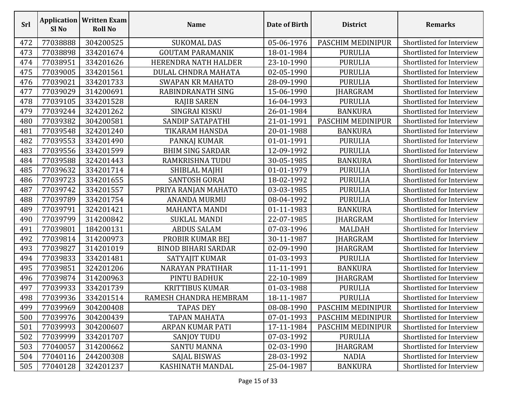| <b>Srl</b> | <b>Application</b><br>Sl <sub>No</sub> | <b>Written Exam</b><br><b>Roll No</b> | <b>Name</b>                | Date of Birth | <b>District</b>   | <b>Remarks</b>            |
|------------|----------------------------------------|---------------------------------------|----------------------------|---------------|-------------------|---------------------------|
| 472        | 77038888                               | 304200525                             | <b>SUKOMAL DAS</b>         | 05-06-1976    | PASCHIM MEDINIPUR | Shortlisted for Interview |
| 473        | 77038898                               | 334201674                             | <b>GOUTAM PARAMANIK</b>    | 18-01-1984    | <b>PURULIA</b>    | Shortlisted for Interview |
| 474        | 77038951                               | 334201626                             | HERENDRA NATH HALDER       | 23-10-1990    | <b>PURULIA</b>    | Shortlisted for Interview |
| 475        | 77039005                               | 334201561                             | DULAL CHNDRA MAHATA        | 02-05-1990    | <b>PURULIA</b>    | Shortlisted for Interview |
| 476        | 77039021                               | 334201733                             | <b>SWAPAN KR MAHATO</b>    | 28-09-1990    | <b>PURULIA</b>    | Shortlisted for Interview |
| 477        | 77039029                               | 314200691                             | RABINDRANATH SING          | 15-06-1990    | <b>JHARGRAM</b>   | Shortlisted for Interview |
| 478        | 77039105                               | 334201528                             | <b>RAJIB SAREN</b>         | 16-04-1993    | <b>PURULIA</b>    | Shortlisted for Interview |
| 479        | 77039244                               | 324201262                             | SINGRAI KISKU              | 26-01-1984    | <b>BANKURA</b>    | Shortlisted for Interview |
| 480        | 77039382                               | 304200581                             | SANDIP SATAPATHI           | 21-01-1991    | PASCHIM MEDINIPUR | Shortlisted for Interview |
| 481        | 77039548                               | 324201240                             | TIKARAM HANSDA             | 20-01-1988    | <b>BANKURA</b>    | Shortlisted for Interview |
| 482        | 77039553                               | 334201490                             | PANKAJ KUMAR               | 01-01-1991    | <b>PURULIA</b>    | Shortlisted for Interview |
| 483        | 77039556                               | 334201599                             | <b>BHIM SING SARDAR</b>    | 12-09-1992    | <b>PURULIA</b>    | Shortlisted for Interview |
| 484        | 77039588                               | 324201443                             | RAMKRISHNA TUDU            | 30-05-1985    | <b>BANKURA</b>    | Shortlisted for Interview |
| 485        | 77039632                               | 334201714                             | SHIBLAL MAJHI              | 01-01-1979    | <b>PURULIA</b>    | Shortlisted for Interview |
| 486        | 77039723                               | 334201655                             | <b>SANTOSH GORAI</b>       | 18-02-1992    | <b>PURULIA</b>    | Shortlisted for Interview |
| 487        | 77039742                               | 334201557                             | PRIYA RANJAN MAHATO        | 03-03-1985    | <b>PURULIA</b>    | Shortlisted for Interview |
| 488        | 77039789                               | 334201754                             | <b>ANANDA MURMU</b>        | 08-04-1992    | <b>PURULIA</b>    | Shortlisted for Interview |
| 489        | 77039791                               | 324201421                             | <b>MAHANTA MANDI</b>       | 01-11-1983    | <b>BANKURA</b>    | Shortlisted for Interview |
| 490        | 77039799                               | 314200842                             | <b>SUKLAL MANDI</b>        | 22-07-1985    | JHARGRAM          | Shortlisted for Interview |
| 491        | 77039801                               | 184200131                             | <b>ABDUS SALAM</b>         | 07-03-1996    | <b>MALDAH</b>     | Shortlisted for Interview |
| 492        | 77039814                               | 314200973                             | PROBIR KUMAR BEJ           | 30-11-1987    | JHARGRAM          | Shortlisted for Interview |
| 493        | 77039827                               | 314201019                             | <b>BINOD BIHARI SARDAR</b> | 02-09-1990    | <b>JHARGRAM</b>   | Shortlisted for Interview |
| 494        | 77039833                               | 334201481                             | SATYAJIT KUMAR             | 01-03-1993    | <b>PURULIA</b>    | Shortlisted for Interview |
| 495        | 77039851                               | 324201206                             | <b>NARAYAN PRATIHAR</b>    | 11-11-1991    | <b>BANKURA</b>    | Shortlisted for Interview |
| 496        | 77039874                               | 314200963                             | PINTU BADHUK               | 22-10-1989    | JHARGRAM          | Shortlisted for Interview |
| 497        | 77039933                               | 334201739                             | <b>KRITTIBUS KUMAR</b>     | 01-03-1988    | <b>PURULIA</b>    | Shortlisted for Interview |
| 498        | 77039936                               | 334201514                             | RAMESH CHANDRA HEMBRAM     | 18-11-1987    | PURULIA           | Shortlisted for Interview |
| 499        | 77039969                               | 304200408                             | <b>TAPAS DEY</b>           | 08-08-1990    | PASCHIM MEDINIPUR | Shortlisted for Interview |
| 500        | 77039976                               | 304200439                             | <b>TAPAN MAHATA</b>        | 07-01-1993    | PASCHIM MEDINIPUR | Shortlisted for Interview |
| 501        | 77039993                               | 304200607                             | ARPAN KUMAR PATI           | 17-11-1984    | PASCHIM MEDINIPUR | Shortlisted for Interview |
| 502        | 77039999                               | 334201707                             | <b>SANJOY TUDU</b>         | 07-03-1992    | <b>PURULIA</b>    | Shortlisted for Interview |
| 503        | 77040057                               | 314200662                             | <b>SANTU MANNA</b>         | 02-03-1990    | <b>JHARGRAM</b>   | Shortlisted for Interview |
| 504        | 77040116                               | 244200308                             | <b>SAJAL BISWAS</b>        | 28-03-1992    | <b>NADIA</b>      | Shortlisted for Interview |
| 505        | 77040128                               | 324201237                             | KASHINATH MANDAL           | 25-04-1987    | <b>BANKURA</b>    | Shortlisted for Interview |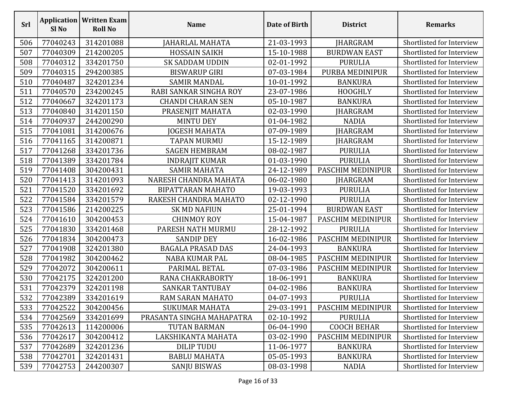| Srl | Sl <sub>No</sub> | <b>Application   Written Exam</b><br><b>Roll No</b> | <b>Name</b>               | Date of Birth | <b>District</b>     | <b>Remarks</b>            |
|-----|------------------|-----------------------------------------------------|---------------------------|---------------|---------------------|---------------------------|
| 506 | 77040243         | 314201088                                           | JAHARLAL MAHATA           | 21-03-1993    | JHARGRAM            | Shortlisted for Interview |
| 507 | 77040309         | 214200205                                           | <b>HOSSAIN SAIKH</b>      | 15-10-1988    | <b>BURDWAN EAST</b> | Shortlisted for Interview |
| 508 | 77040312         | 334201750                                           | <b>SK SADDAM UDDIN</b>    | 02-01-1992    | <b>PURULIA</b>      | Shortlisted for Interview |
| 509 | 77040315         | 294200385                                           | <b>BISWARUP GIRI</b>      | 07-03-1984    | PURBA MEDINIPUR     | Shortlisted for Interview |
| 510 | 77040487         | 324201234                                           | <b>SAMIR MANDAL</b>       | 10-01-1992    | <b>BANKURA</b>      | Shortlisted for Interview |
| 511 | 77040570         | 234200245                                           | RABI SANKAR SINGHA ROY    | 23-07-1986    | <b>HOOGHLY</b>      | Shortlisted for Interview |
| 512 | 77040667         | 324201173                                           | <b>CHANDI CHARAN SEN</b>  | 05-10-1987    | <b>BANKURA</b>      | Shortlisted for Interview |
| 513 | 77040840         | 314201150                                           | PRASENJIT MAHATA          | 02-03-1990    | JHARGRAM            | Shortlisted for Interview |
| 514 | 77040937         | 244200290                                           | <b>MINTU DEY</b>          | 01-04-1982    | <b>NADIA</b>        | Shortlisted for Interview |
| 515 | 77041081         | 314200676                                           | JOGESH MAHATA             | 07-09-1989    | JHARGRAM            | Shortlisted for Interview |
| 516 | 77041165         | 314200871                                           | <b>TAPAN MURMU</b>        | 15-12-1989    | JHARGRAM            | Shortlisted for Interview |
| 517 | 77041268         | 334201736                                           | <b>SAGEN HEMBRAM</b>      | 08-02-1987    | <b>PURULIA</b>      | Shortlisted for Interview |
| 518 | 77041389         | 334201784                                           | <b>INDRAJIT KUMAR</b>     | 01-03-1990    | <b>PURULIA</b>      | Shortlisted for Interview |
| 519 | 77041408         | 304200431                                           | <b>SAMIR MAHATA</b>       | 24-12-1989    | PASCHIM MEDINIPUR   | Shortlisted for Interview |
| 520 | 77041413         | 314201093                                           | NARESH CHANDRA MAHATA     | 06-02-1980    | <b>JHARGRAM</b>     | Shortlisted for Interview |
| 521 | 77041520         | 334201692                                           | <b>BIPATTARAN MAHATO</b>  | 19-03-1993    | <b>PURULIA</b>      | Shortlisted for Interview |
| 522 | 77041584         | 334201579                                           | RAKESH CHANDRA MAHATO     | 02-12-1990    | <b>PURULIA</b>      | Shortlisted for Interview |
| 523 | 77041586         | 214200225                                           | <b>SK MD NAFIUN</b>       | 25-01-1994    | <b>BURDWAN EAST</b> | Shortlisted for Interview |
| 524 | 77041610         | 304200453                                           | <b>CHINMOY ROY</b>        | 15-04-1987    | PASCHIM MEDINIPUR   | Shortlisted for Interview |
| 525 | 77041830         | 334201468                                           | PARESH NATH MURMU         | 28-12-1992    | <b>PURULIA</b>      | Shortlisted for Interview |
| 526 | 77041834         | 304200473                                           | <b>SANDIP DEY</b>         | 16-02-1986    | PASCHIM MEDINIPUR   | Shortlisted for Interview |
| 527 | 77041908         | 324201380                                           | <b>BAGALA PRASAD DAS</b>  | 24-04-1993    | <b>BANKURA</b>      | Shortlisted for Interview |
| 528 | 77041982         | 304200462                                           | <b>NABA KUMAR PAL</b>     | 08-04-1985    | PASCHIM MEDINIPUR   | Shortlisted for Interview |
| 529 | 77042072         | 304200611                                           | PARIMAL BETAL             | 07-03-1986    | PASCHIM MEDINIPUR   | Shortlisted for Interview |
| 530 | 77042175         | 324201200                                           | RANA CHAKRABORTY          | 18-06-1991    | <b>BANKURA</b>      | Shortlisted for Interview |
| 531 | 77042379         | 324201198                                           | <b>SANKAR TANTUBAY</b>    | 04-02-1986    | <b>BANKURA</b>      | Shortlisted for Interview |
| 532 | 77042389         | 334201619                                           | RAM SARAN MAHATO          | 04-07-1993    | PURULIA             | Shortlisted for Interview |
| 533 | 77042522         | 304200456                                           | <b>SUKUMAR MAHATA</b>     | 29-03-1991    | PASCHIM MEDINIPUR   | Shortlisted for Interview |
| 534 | 77042569         | 334201699                                           | PRASANTA SINGHA MAHAPATRA | 02-10-1992    | <b>PURULIA</b>      | Shortlisted for Interview |
| 535 | 77042613         | 114200006                                           | <b>TUTAN BARMAN</b>       | 06-04-1990    | <b>COOCH BEHAR</b>  | Shortlisted for Interview |
| 536 | 77042617         | 304200412                                           | LAKSHIKANTA MAHATA        | 03-02-1990    | PASCHIM MEDINIPUR   | Shortlisted for Interview |
| 537 | 77042689         | 324201236                                           | <b>DILIP TUDU</b>         | 11-06-1977    | <b>BANKURA</b>      | Shortlisted for Interview |
| 538 | 77042701         | 324201431                                           | <b>BABLU MAHATA</b>       | 05-05-1993    | <b>BANKURA</b>      | Shortlisted for Interview |
| 539 | 77042753         | 244200307                                           | <b>SANJU BISWAS</b>       | 08-03-1998    | <b>NADIA</b>        | Shortlisted for Interview |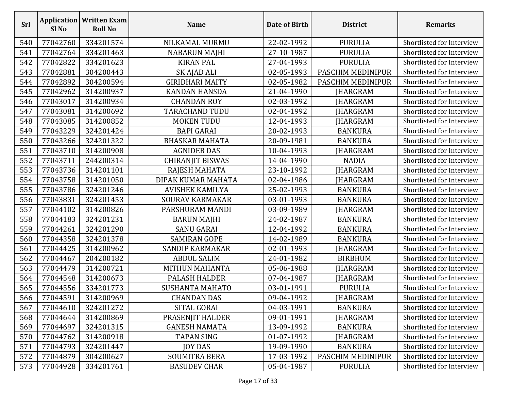| <b>Srl</b> | Sl No    | <b>Application   Written Exam</b><br><b>Roll No</b> | <b>Name</b>             | Date of Birth | <b>District</b>   | <b>Remarks</b>            |
|------------|----------|-----------------------------------------------------|-------------------------|---------------|-------------------|---------------------------|
| 540        | 77042760 | 334201574                                           | NILKAMAL MURMU          | 22-02-1992    | <b>PURULIA</b>    | Shortlisted for Interview |
| 541        | 77042764 | 334201463                                           | <b>NABARUN MAJHI</b>    | 27-10-1987    | <b>PURULIA</b>    | Shortlisted for Interview |
| 542        | 77042822 | 334201623                                           | <b>KIRAN PAL</b>        | 27-04-1993    | <b>PURULIA</b>    | Shortlisted for Interview |
| 543        | 77042881 | 304200443                                           | SK AJAD ALI             | 02-05-1993    | PASCHIM MEDINIPUR | Shortlisted for Interview |
| 544        | 77042892 | 304200594                                           | <b>GIRIDHARI MAITY</b>  | 02-05-1982    | PASCHIM MEDINIPUR | Shortlisted for Interview |
| 545        | 77042962 | 314200937                                           | <b>KANDAN HANSDA</b>    | 21-04-1990    | <b>JHARGRAM</b>   | Shortlisted for Interview |
| 546        | 77043017 | 314200934                                           | <b>CHANDAN ROY</b>      | 02-03-1992    | <b>IHARGRAM</b>   | Shortlisted for Interview |
| 547        | 77043081 | 314200692                                           | <b>TARACHAND TUDU</b>   | 02-04-1992    | JHARGRAM          | Shortlisted for Interview |
| 548        | 77043085 | 314200852                                           | <b>MOKEN TUDU</b>       | 12-04-1993    | <b>JHARGRAM</b>   | Shortlisted for Interview |
| 549        | 77043229 | 324201424                                           | <b>BAPI GARAI</b>       | 20-02-1993    | <b>BANKURA</b>    | Shortlisted for Interview |
| 550        | 77043266 | 324201322                                           | <b>BHASKAR MAHATA</b>   | 20-09-1981    | <b>BANKURA</b>    | Shortlisted for Interview |
| 551        | 77043710 | 314200908                                           | <b>AGNIDEB DAS</b>      | 10-04-1993    | JHARGRAM          | Shortlisted for Interview |
| 552        | 77043711 | 244200314                                           | <b>CHIRANJIT BISWAS</b> | 14-04-1990    | <b>NADIA</b>      | Shortlisted for Interview |
| 553        | 77043736 | 314201101                                           | RAJESH MAHATA           | 23-10-1992    | JHARGRAM          | Shortlisted for Interview |
| 554        | 77043758 | 314201050                                           | DIPAK KUMAR MAHATA      | 02-04-1986    | JHARGRAM          | Shortlisted for Interview |
| 555        | 77043786 | 324201246                                           | <b>AVISHEK KAMILYA</b>  | 25-02-1993    | <b>BANKURA</b>    | Shortlisted for Interview |
| 556        | 77043831 | 324201453                                           | SOURAV KARMAKAR         | 03-01-1993    | <b>BANKURA</b>    | Shortlisted for Interview |
| 557        | 77044102 | 314200826                                           | PARSHURAM MANDI         | 03-09-1989    | JHARGRAM          | Shortlisted for Interview |
| 558        | 77044183 | 324201231                                           | <b>BARUN MAJHI</b>      | 24-02-1987    | <b>BANKURA</b>    | Shortlisted for Interview |
| 559        | 77044261 | 324201290                                           | <b>SANU GARAI</b>       | 12-04-1992    | <b>BANKURA</b>    | Shortlisted for Interview |
| 560        | 77044358 | 324201378                                           | <b>SAMIRAN GOPE</b>     | 14-02-1989    | <b>BANKURA</b>    | Shortlisted for Interview |
| 561        | 77044425 | 314200962                                           | <b>SANDIP KARMAKAR</b>  | 02-01-1993    | JHARGRAM          | Shortlisted for Interview |
| 562        | 77044467 | 204200182                                           | <b>ABDUL SALIM</b>      | 24-01-1982    | <b>BIRBHUM</b>    | Shortlisted for Interview |
| 563        | 77044479 | 314200721                                           | MITHUN MAHANTA          | 05-06-1988    | <b>IHARGRAM</b>   | Shortlisted for Interview |
| 564        | 77044548 | 314200673                                           | PALASH HALDER           | 07-04-1987    | JHARGRAM          | Shortlisted for Interview |
| 565        | 77044556 | 334201773                                           | <b>SUSHANTA MAHATO</b>  | 03-01-1991    | <b>PURULIA</b>    | Shortlisted for Interview |
| 566        | 77044591 | 314200969                                           | <b>CHANDAN DAS</b>      | 09-04-1992    | JHARGRAM          | Shortlisted for Interview |
| 567        | 77044610 | 324201272                                           | SITAL GORAI             | 04-03-1991    | <b>BANKURA</b>    | Shortlisted for Interview |
| 568        | 77044644 | 314200869                                           | PRASENJIT HALDER        | 09-01-1991    | <b>JHARGRAM</b>   | Shortlisted for Interview |
| 569        | 77044697 | 324201315                                           | <b>GANESH NAMATA</b>    | 13-09-1992    | <b>BANKURA</b>    | Shortlisted for Interview |
| 570        | 77044762 | 314200918                                           | <b>TAPAN SING</b>       | 01-07-1992    | <b>JHARGRAM</b>   | Shortlisted for Interview |
| 571        | 77044793 | 324201447                                           | <b>JOY DAS</b>          | 19-09-1990    | <b>BANKURA</b>    | Shortlisted for Interview |
| 572        | 77044879 | 304200627                                           | SOUMITRA BERA           | 17-03-1992    | PASCHIM MEDINIPUR | Shortlisted for Interview |
| 573        | 77044928 | 334201761                                           | <b>BASUDEV CHAR</b>     | 05-04-1987    | <b>PURULIA</b>    | Shortlisted for Interview |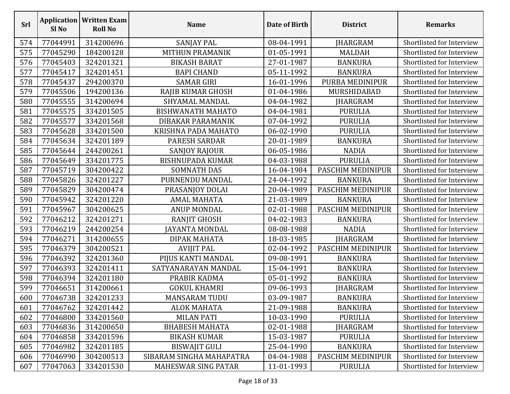| <b>Srl</b> | Sl <sub>No</sub> | <b>Application   Written Exam</b><br><b>Roll No</b> | <b>Name</b>                | Date of Birth | <b>District</b>   | <b>Remarks</b>            |
|------------|------------------|-----------------------------------------------------|----------------------------|---------------|-------------------|---------------------------|
| 574        | 77044991         | 314200696                                           | <b>SANJAY PAL</b>          | 08-04-1991    | <b>JHARGRAM</b>   | Shortlisted for Interview |
| 575        | 77045290         | 184200128                                           | MITHUN PRAMANIK            | 01-05-1991    | <b>MALDAH</b>     | Shortlisted for Interview |
| 576        | 77045403         | 324201321                                           | <b>BIKASH BARAT</b>        | 27-01-1987    | <b>BANKURA</b>    | Shortlisted for Interview |
| 577        | 77045417         | 324201451                                           | <b>BAPI CHAND</b>          | 05-11-1992    | <b>BANKURA</b>    | Shortlisted for Interview |
| 578        | 77045437         | 294200370                                           | <b>SAMAR GIRI</b>          | 16-01-1996    | PURBA MEDINIPUR   | Shortlisted for Interview |
| 579        | 77045506         | 194200136                                           | RAJIB KUMAR GHOSH          | 01-04-1986    | MURSHIDABAD       | Shortlisted for Interview |
| 580        | 77045555         | 314200694                                           | SHYAMAL MANDAL             | 04-04-1982    | <b>JHARGRAM</b>   | Shortlisted for Interview |
| 581        | 77045575         | 334201505                                           | <b>BISHWANATH MAHATO</b>   | 04-04-1981    | <b>PURULIA</b>    | Shortlisted for Interview |
| 582        | 77045577         | 334201568                                           | DIBAKAR PARAMANIK          | 07-04-1992    | <b>PURULIA</b>    | Shortlisted for Interview |
| 583        | 77045628         | 334201500                                           | KRISHNA PADA MAHATO        | 06-02-1990    | <b>PURULIA</b>    | Shortlisted for Interview |
| 584        | 77045634         | 324201189                                           | <b>PARESH SARDAR</b>       | 20-01-1989    | <b>BANKURA</b>    | Shortlisted for Interview |
| 585        | 77045644         | 244200261                                           | SANJOY RAJOUR              | 06-05-1986    | <b>NADIA</b>      | Shortlisted for Interview |
| 586        | 77045649         | 334201775                                           | <b>BISHNUPADA KUMAR</b>    | 04-03-1988    | <b>PURULIA</b>    | Shortlisted for Interview |
| 587        | 77045719         | 304200422                                           | <b>SOMNATH DAS</b>         | 16-04-1984    | PASCHIM MEDINIPUR | Shortlisted for Interview |
| 588        | 77045826         | 324201227                                           | PURNENDU MANDAL            | 24-04-1992    | <b>BANKURA</b>    | Shortlisted for Interview |
| 589        | 77045829         | 304200474                                           | PRASANJOY DOLAI            | 20-04-1989    | PASCHIM MEDINIPUR | Shortlisted for Interview |
| 590        | 77045942         | 324201220                                           | <b>AMAL MAHATA</b>         | 21-03-1989    | <b>BANKURA</b>    | Shortlisted for Interview |
| 591        | 77045967         | 304200625                                           | <b>ANUP MONDAL</b>         | 02-01-1988    | PASCHIM MEDINIPUR | Shortlisted for Interview |
| 592        | 77046212         | 324201271                                           | <b>RANJIT GHOSH</b>        | 04-02-1983    | <b>BANKURA</b>    | Shortlisted for Interview |
| 593        | 77046219         | 244200254                                           | <b>JAYANTA MONDAL</b>      | 08-08-1988    | <b>NADIA</b>      | Shortlisted for Interview |
| 594        | 77046271         | 314200655                                           | DIPAK MAHATA               | 18-03-1985    | JHARGRAM          | Shortlisted for Interview |
| 595        | 77046379         | 304200521                                           | <b>AVIJIT PAL</b>          | 02-04-1992    | PASCHIM MEDINIPUR | Shortlisted for Interview |
| 596        | 77046392         | 324201360                                           | PIJUS KANTI MANDAL         | 09-08-1991    | <b>BANKURA</b>    | Shortlisted for Interview |
| 597        | 77046393         | 324201411                                           | SATYANARAYAN MANDAL        | 15-04-1991    | <b>BANKURA</b>    | Shortlisted for Interview |
| 598        | 77046394         | 324201180                                           | PRABIR KADMA               | 05-01-1992    | <b>BANKURA</b>    | Shortlisted for Interview |
| 599        | 77046651         | 314200661                                           | <b>GOKUL KHAMRI</b>        | 09-06-1993    | JHARGRAM          | Shortlisted for Interview |
| 600        | 77046738         | 324201233                                           | <b>MANSARAM TUDU</b>       | 03-09-1987    | <b>BANKURA</b>    | Shortlisted for Interview |
| 601        | 77046762         | 324201442                                           | <b>ALOK MAHATA</b>         | 21-09-1988    | <b>BANKURA</b>    | Shortlisted for Interview |
| 602        | 77046800         | 334201560                                           | <b>MILAN PATI</b>          | 10-03-1990    | <b>PURULIA</b>    | Shortlisted for Interview |
| 603        | 77046836         | 314200650                                           | <b>BHABESH MAHATA</b>      | 02-01-1988    | JHARGRAM          | Shortlisted for Interview |
| 604        | 77046858         | 334201596                                           | <b>BIKASH KUMAR</b>        | 15-03-1987    | <b>PURULIA</b>    | Shortlisted for Interview |
| 605        | 77046982         | 324201185                                           | <b>BISWAJIT GULI</b>       | 25-04-1990    | <b>BANKURA</b>    | Shortlisted for Interview |
| 606        | 77046990         | 304200513                                           | SIBARAM SINGHA MAHAPATRA   | 04-04-1988    | PASCHIM MEDINIPUR | Shortlisted for Interview |
| 607        | 77047063         | 334201530                                           | <b>MAHESWAR SING PATAR</b> | 11-01-1993    | <b>PURULIA</b>    | Shortlisted for Interview |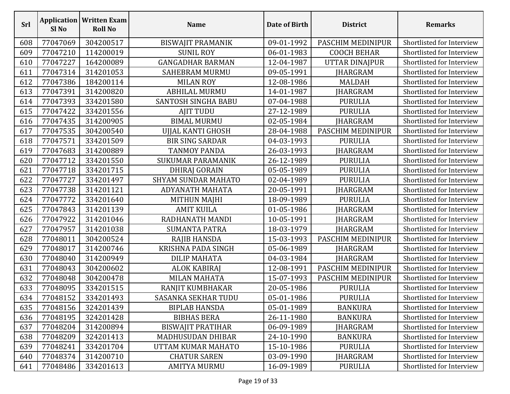| Srl | <b>Application</b><br>Sl <sub>No</sub> | <b>Written Exam</b><br><b>Roll No</b> | <b>Name</b>                | Date of Birth | <b>District</b>    | <b>Remarks</b>            |
|-----|----------------------------------------|---------------------------------------|----------------------------|---------------|--------------------|---------------------------|
| 608 | 77047069                               | 304200517                             | <b>BISWAJIT PRAMANIK</b>   | 09-01-1992    | PASCHIM MEDINIPUR  | Shortlisted for Interview |
| 609 | 77047210                               | 114200019                             | <b>SUNIL ROY</b>           | 06-01-1983    | <b>COOCH BEHAR</b> | Shortlisted for Interview |
| 610 | 77047227                               | 164200089                             | <b>GANGADHAR BARMAN</b>    | 12-04-1987    | UTTAR DINAJPUR     | Shortlisted for Interview |
| 611 | 77047314                               | 314201053                             | <b>SAHEBRAM MURMU</b>      | 09-05-1991    | <b>JHARGRAM</b>    | Shortlisted for Interview |
| 612 | 77047386                               | 184200114                             | <b>MILAN ROY</b>           | 12-08-1986    | <b>MALDAH</b>      | Shortlisted for Interview |
| 613 | 77047391                               | 314200820                             | <b>ABHILAL MURMU</b>       | 14-01-1987    | JHARGRAM           | Shortlisted for Interview |
| 614 | 77047393                               | 334201580                             | <b>SANTOSH SINGHA BABU</b> | 07-04-1988    | <b>PURULIA</b>     | Shortlisted for Interview |
| 615 | 77047422                               | 334201556                             | <b>AJIT TUDU</b>           | 27-12-1989    | <b>PURULIA</b>     | Shortlisted for Interview |
| 616 | 77047435                               | 314200905                             | <b>BIMAL MURMU</b>         | 02-05-1984    | <b>JHARGRAM</b>    | Shortlisted for Interview |
| 617 | 77047535                               | 304200540                             | UJJAL KANTI GHOSH          | 28-04-1988    | PASCHIM MEDINIPUR  | Shortlisted for Interview |
| 618 | 77047571                               | 334201509                             | <b>BIR SING SARDAR</b>     | 04-03-1993    | <b>PURULIA</b>     | Shortlisted for Interview |
| 619 | 77047683                               | 314200889                             | <b>TANMOY PANDA</b>        | 26-03-1993    | <b>JHARGRAM</b>    | Shortlisted for Interview |
| 620 | 77047712                               | 334201550                             | <b>SUKUMAR PARAMANIK</b>   | 26-12-1989    | <b>PURULIA</b>     | Shortlisted for Interview |
| 621 | 77047718                               | 334201715                             | <b>DHIRAJ GORAIN</b>       | 05-05-1989    | <b>PURULIA</b>     | Shortlisted for Interview |
| 622 | 77047727                               | 334201497                             | <b>SHYAM SUNDAR MAHATO</b> | 02-04-1989    | <b>PURULIA</b>     | Shortlisted for Interview |
| 623 | 77047738                               | 314201121                             | <b>ADYANATH MAHATA</b>     | 20-05-1991    | JHARGRAM           | Shortlisted for Interview |
| 624 | 77047772                               | 334201640                             | <b>MITHUN MAJHI</b>        | 18-09-1989    | <b>PURULIA</b>     | Shortlisted for Interview |
| 625 | 77047843                               | 314201139                             | <b>AMIT KUILA</b>          | 01-05-1986    | <b>JHARGRAM</b>    | Shortlisted for Interview |
| 626 | 77047922                               | 314201046                             | RADHANATH MANDI            | 10-05-1991    | JHARGRAM           | Shortlisted for Interview |
| 627 | 77047957                               | 314201038                             | <b>SUMANTA PATRA</b>       | 18-03-1979    | <b>JHARGRAM</b>    | Shortlisted for Interview |
| 628 | 77048011                               | 304200524                             | <b>RAJIB HANSDA</b>        | 15-03-1993    | PASCHIM MEDINIPUR  | Shortlisted for Interview |
| 629 | 77048017                               | 314200746                             | <b>KRISHNA PADA SINGH</b>  | 05-06-1989    | JHARGRAM           | Shortlisted for Interview |
| 630 | 77048040                               | 314200949                             | <b>DILIP MAHATA</b>        | 04-03-1984    | <b>JHARGRAM</b>    | Shortlisted for Interview |
| 631 | 77048043                               | 304200602                             | <b>ALOK KABIRAJ</b>        | 12-08-1991    | PASCHIM MEDINIPUR  | Shortlisted for Interview |
| 632 | 77048048                               | 304200478                             | MILAN MAHATA               | 15-07-1993    | PASCHIM MEDINIPUR  | Shortlisted for Interview |
| 633 | 77048095                               | 334201515                             | RANJIT KUMBHAKAR           | 20-05-1986    | <b>PURULIA</b>     | Shortlisted for Interview |
| 634 | 77048152                               | 334201493                             | SASANKA SEKHAR TUDU        | 05-01-1986    | PURULIA            | Shortlisted for Interview |
| 635 | 77048156                               | 324201439                             | <b>BIPLAB HANSDA</b>       | 05-01-1989    | <b>BANKURA</b>     | Shortlisted for Interview |
| 636 | 77048195                               | 324201428                             | <b>BIBHAS BERA</b>         | 26-11-1980    | <b>BANKURA</b>     | Shortlisted for Interview |
| 637 | 77048204                               | 314200894                             | <b>BISWAJIT PRATIHAR</b>   | 06-09-1989    | <b>IHARGRAM</b>    | Shortlisted for Interview |
| 638 | 77048209                               | 324201413                             | <b>MADHUSUDAN DHIBAR</b>   | 24-10-1990    | <b>BANKURA</b>     | Shortlisted for Interview |
| 639 | 77048241                               | 334201704                             | UTTAM KUMAR MAHATO         | 15-10-1986    | <b>PURULIA</b>     | Shortlisted for Interview |
| 640 | 77048374                               | 314200710                             | <b>CHATUR SAREN</b>        | 03-09-1990    | <b>JHARGRAM</b>    | Shortlisted for Interview |
| 641 | 77048486                               | 334201613                             | <b>AMITYA MURMU</b>        | 16-09-1989    | <b>PURULIA</b>     | Shortlisted for Interview |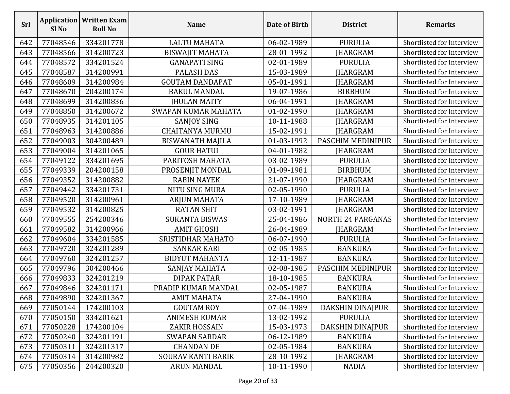| Srl | Sl No    | <b>Application   Written Exam</b><br><b>Roll No</b> | <b>Name</b>               | Date of Birth | <b>District</b>          | <b>Remarks</b>            |
|-----|----------|-----------------------------------------------------|---------------------------|---------------|--------------------------|---------------------------|
| 642 | 77048546 | 334201778                                           | <b>LALTU MAHATA</b>       | 06-02-1989    | <b>PURULIA</b>           | Shortlisted for Interview |
| 643 | 77048566 | 314200723                                           | <b>BISWAJIT MAHATA</b>    | 28-01-1992    | <b>JHARGRAM</b>          | Shortlisted for Interview |
| 644 | 77048572 | 334201524                                           | <b>GANAPATI SING</b>      | 02-01-1989    | <b>PURULIA</b>           | Shortlisted for Interview |
| 645 | 77048587 | 314200991                                           | <b>PALASH DAS</b>         | 15-03-1989    | <b>JHARGRAM</b>          | Shortlisted for Interview |
| 646 | 77048609 | 314200984                                           | <b>GOUTAM DANDAPAT</b>    | 05-01-1991    | <b>JHARGRAM</b>          | Shortlisted for Interview |
| 647 | 77048670 | 204200174                                           | <b>BAKUL MANDAL</b>       | 19-07-1986    | <b>BIRBHUM</b>           | Shortlisted for Interview |
| 648 | 77048699 | 314200836                                           | <b>JHULAN MAITY</b>       | 06-04-1991    | <b>JHARGRAM</b>          | Shortlisted for Interview |
| 649 | 77048850 | 314200672                                           | SWAPAN KUMAR MAHATA       | 01-02-1990    | <b>JHARGRAM</b>          | Shortlisted for Interview |
| 650 | 77048935 | 314201105                                           | <b>SANJOY SING</b>        | 10-11-1988    | <b>JHARGRAM</b>          | Shortlisted for Interview |
| 651 | 77048963 | 314200886                                           | <b>CHAITANYA MURMU</b>    | 15-02-1991    | <b>JHARGRAM</b>          | Shortlisted for Interview |
| 652 | 77049003 | 304200489                                           | <b>BISWANATH MAJILA</b>   | 01-03-1992    | PASCHIM MEDINIPUR        | Shortlisted for Interview |
| 653 | 77049004 | 314201065                                           | <b>GOUR HATUI</b>         | 04-01-1982    | <b>JHARGRAM</b>          | Shortlisted for Interview |
| 654 | 77049122 | 334201695                                           | PARITOSH MAHATA           | 03-02-1989    | <b>PURULIA</b>           | Shortlisted for Interview |
| 655 | 77049339 | 204200158                                           | PROSENJIT MONDAL          | 01-09-1981    | <b>BIRBHUM</b>           | Shortlisted for Interview |
| 656 | 77049352 | 314200882                                           | <b>RABIN NAYEK</b>        | 21-07-1990    | <b>JHARGRAM</b>          | Shortlisted for Interview |
| 657 | 77049442 | 334201731                                           | NITU SING MURA            | 02-05-1990    | <b>PURULIA</b>           | Shortlisted for Interview |
| 658 | 77049520 | 314200961                                           | <b>ARJUN MAHATA</b>       | 17-10-1989    | JHARGRAM                 | Shortlisted for Interview |
| 659 | 77049532 | 314200825                                           | <b>RATAN SHIT</b>         | 03-02-1991    | <b>JHARGRAM</b>          | Shortlisted for Interview |
| 660 | 77049555 | 254200346                                           | <b>SUKANTA BISWAS</b>     | 25-04-1986    | <b>NORTH 24 PARGANAS</b> | Shortlisted for Interview |
| 661 | 77049582 | 314200966                                           | <b>AMIT GHOSH</b>         | 26-04-1989    | <b>JHARGRAM</b>          | Shortlisted for Interview |
| 662 | 77049604 | 334201585                                           | SRISTIDHAR MAHATO         | 06-07-1990    | <b>PURULIA</b>           | Shortlisted for Interview |
| 663 | 77049720 | 324201289                                           | SANKAR KARI               | 02-05-1985    | <b>BANKURA</b>           | Shortlisted for Interview |
| 664 | 77049760 | 324201257                                           | <b>BIDYUT MAHANTA</b>     | 12-11-1987    | <b>BANKURA</b>           | Shortlisted for Interview |
| 665 | 77049796 | 304200466                                           | SANJAY MAHATA             | 02-08-1985    | PASCHIM MEDINIPUR        | Shortlisted for Interview |
| 666 | 77049833 | 324201219                                           | <b>DIPAK PATAR</b>        | 18-10-1985    | <b>BANKURA</b>           | Shortlisted for Interview |
| 667 | 77049846 | 324201171                                           | PRADIP KUMAR MANDAL       | 02-05-1987    | <b>BANKURA</b>           | Shortlisted for Interview |
| 668 | 77049890 | 324201367                                           | <b>AMIT MAHATA</b>        | 27-04-1990    | <b>BANKURA</b>           | Shortlisted for Interview |
| 669 | 77050144 | 174200103                                           | <b>GOUTAM ROY</b>         | 07-04-1989    | DAKSHIN DINAJPUR         | Shortlisted for Interview |
| 670 | 77050150 | 334201621                                           | <b>ANIMESH KUMAR</b>      | 13-02-1992    | <b>PURULIA</b>           | Shortlisted for Interview |
| 671 | 77050228 | 174200104                                           | <b>ZAKIR HOSSAIN</b>      | 15-03-1973    | DAKSHIN DINAJPUR         | Shortlisted for Interview |
| 672 | 77050240 | 324201191                                           | <b>SWAPAN SARDAR</b>      | 06-12-1989    | <b>BANKURA</b>           | Shortlisted for Interview |
| 673 | 77050311 | 324201317                                           | <b>CHANDAN DE</b>         | 02-05-1984    | <b>BANKURA</b>           | Shortlisted for Interview |
| 674 | 77050314 | 314200982                                           | <b>SOURAV KANTI BARIK</b> | 28-10-1992    | JHARGRAM                 | Shortlisted for Interview |
| 675 | 77050356 | 244200320                                           | <b>ARUN MANDAL</b>        | 10-11-1990    | <b>NADIA</b>             | Shortlisted for Interview |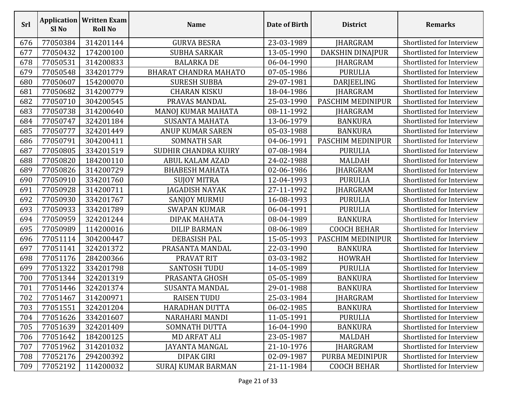| Srl | Sl No    | <b>Application   Written Exam</b><br><b>Roll No</b> | <b>Name</b>                  | Date of Birth | <b>District</b>    | <b>Remarks</b>            |
|-----|----------|-----------------------------------------------------|------------------------------|---------------|--------------------|---------------------------|
| 676 | 77050384 | 314201144                                           | <b>GURVA BESRA</b>           | 23-03-1989    | JHARGRAM           | Shortlisted for Interview |
| 677 | 77050432 | 174200100                                           | <b>SUBHA SARKAR</b>          | 13-05-1990    | DAKSHIN DINAJPUR   | Shortlisted for Interview |
| 678 | 77050531 | 314200833                                           | <b>BALARKA DE</b>            | 06-04-1990    | JHARGRAM           | Shortlisted for Interview |
| 679 | 77050548 | 334201779                                           | <b>BHARAT CHANDRA MAHATO</b> | 07-05-1986    | <b>PURULIA</b>     | Shortlisted for Interview |
| 680 | 77050607 | 154200070                                           | <b>SURESH SUBBA</b>          | 29-07-1981    | DARJEELING         | Shortlisted for Interview |
| 681 | 77050682 | 314200779                                           | <b>CHARAN KISKU</b>          | 18-04-1986    | <b>JHARGRAM</b>    | Shortlisted for Interview |
| 682 | 77050710 | 304200545                                           | PRAVAS MANDAL                | 25-03-1990    | PASCHIM MEDINIPUR  | Shortlisted for Interview |
| 683 | 77050738 | 314200640                                           | MANOJ KUMAR MAHATA           | 08-11-1992    | <b>JHARGRAM</b>    | Shortlisted for Interview |
| 684 | 77050747 | 324201184                                           | <b>SUSANTA MAHATA</b>        | 13-06-1979    | <b>BANKURA</b>     | Shortlisted for Interview |
| 685 | 77050777 | 324201449                                           | <b>ANUP KUMAR SAREN</b>      | 05-03-1988    | <b>BANKURA</b>     | Shortlisted for Interview |
| 686 | 77050791 | 304200411                                           | <b>SOMNATH SAR</b>           | 04-06-1991    | PASCHIM MEDINIPUR  | Shortlisted for Interview |
| 687 | 77050805 | 334201519                                           | <b>SUDHIR CHANDRA KUIRY</b>  | 07-08-1984    | <b>PURULIA</b>     | Shortlisted for Interview |
| 688 | 77050820 | 184200110                                           | <b>ABUL KALAM AZAD</b>       | 24-02-1988    | <b>MALDAH</b>      | Shortlisted for Interview |
| 689 | 77050826 | 314200729                                           | <b>BHABESH MAHATA</b>        | 02-06-1986    | JHARGRAM           | Shortlisted for Interview |
| 690 | 77050910 | 334201760                                           | <b>SUJOY MITRA</b>           | 12-04-1993    | <b>PURULIA</b>     | Shortlisted for Interview |
| 691 | 77050928 | 314200711                                           | JAGADISH NAYAK               | 27-11-1992    | <b>JHARGRAM</b>    | Shortlisted for Interview |
| 692 | 77050930 | 334201767                                           | <b>SANJOY MURMU</b>          | 16-08-1993    | <b>PURULIA</b>     | Shortlisted for Interview |
| 693 | 77050933 | 334201789                                           | <b>SWAPAN KUMAR</b>          | 06-04-1991    | <b>PURULIA</b>     | Shortlisted for Interview |
| 694 | 77050959 | 324201244                                           | DIPAK MAHATA                 | 08-04-1989    | <b>BANKURA</b>     | Shortlisted for Interview |
| 695 | 77050989 | 114200016                                           | <b>DILIP BARMAN</b>          | 08-06-1989    | <b>COOCH BEHAR</b> | Shortlisted for Interview |
| 696 | 77051114 | 304200447                                           | DEBASISH PAL                 | 15-05-1993    | PASCHIM MEDINIPUR  | Shortlisted for Interview |
| 697 | 77051141 | 324201372                                           | PRASANTA MANDAL              | 22-03-1990    | <b>BANKURA</b>     | Shortlisted for Interview |
| 698 | 77051176 | 284200366                                           | PRAVAT RIT                   | 03-03-1982    | <b>HOWRAH</b>      | Shortlisted for Interview |
| 699 | 77051322 | 334201798                                           | <b>SANTOSH TUDU</b>          | 14-05-1989    | <b>PURULIA</b>     | Shortlisted for Interview |
| 700 | 77051344 | 324201319                                           | PRASANTA GHOSH               | 05-05-1989    | <b>BANKURA</b>     | Shortlisted for Interview |
| 701 | 77051446 | 324201374                                           | <b>SUSANTA MANDAL</b>        | 29-01-1988    | <b>BANKURA</b>     | Shortlisted for Interview |
| 702 | 77051467 | 314200971                                           | <b>RAISEN TUDU</b>           | 25-03-1984    | <b>JHARGRAM</b>    | Shortlisted for Interview |
| 703 | 77051551 | 324201204                                           | <b>HARADHAN DUTTA</b>        | 06-02-1985    | <b>BANKURA</b>     | Shortlisted for Interview |
| 704 | 77051626 | 334201607                                           | NARAHARI MANDI               | 11-05-1991    | <b>PURULIA</b>     | Shortlisted for Interview |
| 705 | 77051639 | 324201409                                           | SOMNATH DUTTA                | 16-04-1990    | <b>BANKURA</b>     | Shortlisted for Interview |
| 706 | 77051642 | 184200125                                           | <b>MD ARFAT ALI</b>          | 23-05-1987    | <b>MALDAH</b>      | Shortlisted for Interview |
| 707 | 77051962 | 314201032                                           | JAYANTA MANGAL               | 21-10-1976    | <b>JHARGRAM</b>    | Shortlisted for Interview |
| 708 | 77052176 | 294200392                                           | <b>DIPAK GIRI</b>            | 02-09-1987    | PURBA MEDINIPUR    | Shortlisted for Interview |
| 709 | 77052192 | 114200032                                           | <b>SURAJ KUMAR BARMAN</b>    | 21-11-1984    | <b>COOCH BEHAR</b> | Shortlisted for Interview |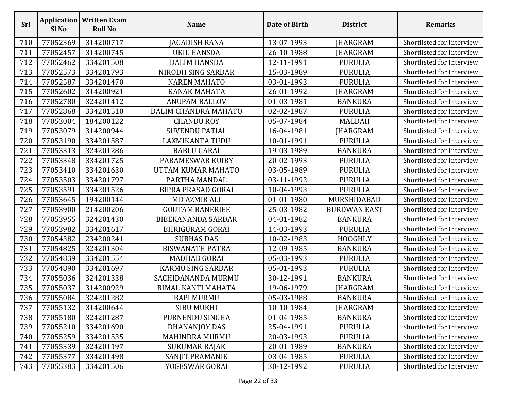| <b>Srl</b> | Sl No    | <b>Application   Written Exam</b><br><b>Roll No</b> | <b>Name</b>               | Date of Birth | <b>District</b>     | <b>Remarks</b>            |
|------------|----------|-----------------------------------------------------|---------------------------|---------------|---------------------|---------------------------|
| 710        | 77052369 | 314200717                                           | JAGADISH RANA             | 13-07-1993    | JHARGRAM            | Shortlisted for Interview |
| 711        | 77052457 | 314200745                                           | UKIL HANSDA               | 26-10-1988    | JHARGRAM            | Shortlisted for Interview |
| 712        | 77052462 | 334201508                                           | <b>DALIM HANSDA</b>       | 12-11-1991    | <b>PURULIA</b>      | Shortlisted for Interview |
| 713        | 77052573 | 334201793                                           | NIRODH SING SARDAR        | 15-03-1989    | <b>PURULIA</b>      | Shortlisted for Interview |
| 714        | 77052587 | 334201470                                           | <b>NAREN MAHATO</b>       | 03-01-1993    | <b>PURULIA</b>      | Shortlisted for Interview |
| 715        | 77052602 | 314200921                                           | <b>KANAK MAHATA</b>       | 26-01-1992    | JHARGRAM            | Shortlisted for Interview |
| 716        | 77052780 | 324201412                                           | <b>ANUPAM BALLOV</b>      | 01-03-1981    | <b>BANKURA</b>      | Shortlisted for Interview |
| 717        | 77052868 | 334201510                                           | DALIM CHANDRA MAHATO      | 02-02-1987    | <b>PURULIA</b>      | Shortlisted for Interview |
| 718        | 77053004 | 184200122                                           | <b>CHANDU ROY</b>         | 05-07-1984    | <b>MALDAH</b>       | Shortlisted for Interview |
| 719        | 77053079 | 314200944                                           | <b>SUVENDU PATIAL</b>     | 16-04-1981    | JHARGRAM            | Shortlisted for Interview |
| 720        | 77053190 | 334201587                                           | <b>LAXMIKANTA TUDU</b>    | 10-01-1991    | <b>PURULIA</b>      | Shortlisted for Interview |
| 721        | 77053313 | 324201286                                           | <b>BABLU GARAI</b>        | 19-03-1989    | <b>BANKURA</b>      | Shortlisted for Interview |
| 722        | 77053348 | 334201725                                           | PARAMESWAR KUIRY          | 20-02-1993    | <b>PURULIA</b>      | Shortlisted for Interview |
| 723        | 77053410 | 334201630                                           | UTTAM KUMAR MAHATO        | 03-05-1989    | <b>PURULIA</b>      | Shortlisted for Interview |
| 724        | 77053503 | 334201797                                           | PARTHA MANDAL             | 03-11-1992    | <b>PURULIA</b>      | Shortlisted for Interview |
| 725        | 77053591 | 334201526                                           | <b>BIPRA PRASAD GORAI</b> | 10-04-1993    | <b>PURULIA</b>      | Shortlisted for Interview |
| 726        | 77053645 | 194200144                                           | <b>MD AZMIR ALI</b>       | 01-01-1980    | MURSHIDABAD         | Shortlisted for Interview |
| 727        | 77053900 | 214200206                                           | <b>GOUTAM BANERJEE</b>    | 25-03-1982    | <b>BURDWAN EAST</b> | Shortlisted for Interview |
| 728        | 77053955 | 324201430                                           | <b>BIBEKANANDA SARDAR</b> | 04-01-1982    | <b>BANKURA</b>      | Shortlisted for Interview |
| 729        | 77053982 | 334201617                                           | <b>BHRIGURAM GORAI</b>    | 14-03-1993    | <b>PURULIA</b>      | Shortlisted for Interview |
| 730        | 77054382 | 234200241                                           | <b>SUBHAS DAS</b>         | 10-02-1983    | <b>HOOGHLY</b>      | Shortlisted for Interview |
| 731        | 77054825 | 324201304                                           | <b>BISWANATH PATRA</b>    | 12-09-1985    | <b>BANKURA</b>      | Shortlisted for Interview |
| 732        | 77054839 | 334201554                                           | <b>MADHAB GORAI</b>       | 05-03-1993    | <b>PURULIA</b>      | Shortlisted for Interview |
| 733        | 77054890 | 334201697                                           | <b>KARMU SING SARDAR</b>  | 05-01-1993    | <b>PURULIA</b>      | Shortlisted for Interview |
| 734        | 77055036 | 324201338                                           | SACHIDANANDA MURMU        | 30-12-1991    | <b>BANKURA</b>      | Shortlisted for Interview |
| 735        | 77055037 | 314200929                                           | <b>BIMAL KANTI MAHATA</b> | 19-06-1979    | <b>JHARGRAM</b>     | Shortlisted for Interview |
| 736        | 77055084 | 324201282                                           | <b>BAPI MURMU</b>         | 05-03-1988    | <b>BANKURA</b>      | Shortlisted for Interview |
| 737        | 77055132 | 314200644                                           | <b>SIBU MUKHI</b>         | 10-10-1984    | <b>IHARGRAM</b>     | Shortlisted for Interview |
| 738        | 77055180 | 324201287                                           | PURNENDU SINGHA           | 01-04-1985    | <b>BANKURA</b>      | Shortlisted for Interview |
| 739        | 77055210 | 334201690                                           | DHANANJOY DAS             | 25-04-1991    | <b>PURULIA</b>      | Shortlisted for Interview |
| 740        | 77055259 | 334201535                                           | <b>MAHINDRA MURMU</b>     | 20-03-1993    | <b>PURULIA</b>      | Shortlisted for Interview |
| 741        | 77055339 | 324201197                                           | <b>SUKUMAR RAJAK</b>      | 20-01-1989    | <b>BANKURA</b>      | Shortlisted for Interview |
| 742        | 77055377 | 334201498                                           | SANJIT PRAMANIK           | 03-04-1985    | <b>PURULIA</b>      | Shortlisted for Interview |
| 743        | 77055383 | 334201506                                           | YOGESWAR GORAI            | 30-12-1992    | <b>PURULIA</b>      | Shortlisted for Interview |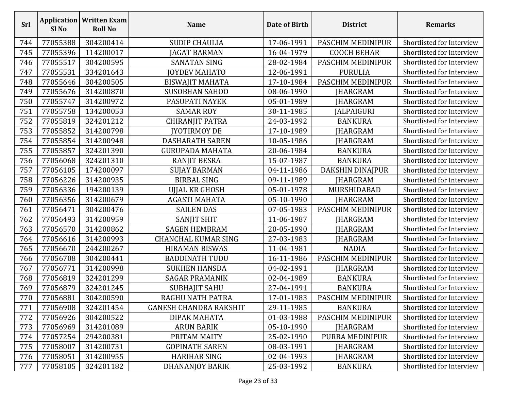| <b>Srl</b> | Sl No    | <b>Application   Written Exam</b><br><b>Roll No</b> | <b>Name</b>                   | Date of Birth | <b>District</b>    | <b>Remarks</b>            |
|------------|----------|-----------------------------------------------------|-------------------------------|---------------|--------------------|---------------------------|
| 744        | 77055388 | 304200414                                           | <b>SUDIP CHAULIA</b>          | 17-06-1991    | PASCHIM MEDINIPUR  | Shortlisted for Interview |
| 745        | 77055396 | 114200017                                           | JAGAT BARMAN                  | 16-04-1979    | <b>COOCH BEHAR</b> | Shortlisted for Interview |
| 746        | 77055517 | 304200595                                           | <b>SANATAN SING</b>           | 28-02-1984    | PASCHIM MEDINIPUR  | Shortlisted for Interview |
| 747        | 77055531 | 334201643                                           | JOYDEV MAHATO                 | 12-06-1991    | <b>PURULIA</b>     | Shortlisted for Interview |
| 748        | 77055646 | 304200505                                           | <b>BISWAJIT MAHATA</b>        | 17-10-1984    | PASCHIM MEDINIPUR  | Shortlisted for Interview |
| 749        | 77055676 | 314200870                                           | <b>SUSOBHAN SAHOO</b>         | 08-06-1990    | <b>JHARGRAM</b>    | Shortlisted for Interview |
| 750        | 77055747 | 314200972                                           | PASUPATI NAYEK                | 05-01-1989    | <b>JHARGRAM</b>    | Shortlisted for Interview |
| 751        | 77055758 | 134200053                                           | <b>SAMAR ROY</b>              | 30-11-1985    | <b>JALPAIGURI</b>  | Shortlisted for Interview |
| 752        | 77055819 | 324201212                                           | <b>CHIRANJIT PATRA</b>        | 24-03-1992    | <b>BANKURA</b>     | Shortlisted for Interview |
| 753        | 77055852 | 314200798                                           | <b>JYOTIRMOY DE</b>           | 17-10-1989    | JHARGRAM           | Shortlisted for Interview |
| 754        | 77055854 | 314200948                                           | <b>DASHARATH SAREN</b>        | 10-05-1986    | JHARGRAM           | Shortlisted for Interview |
| 755        | 77055857 | 324201390                                           | <b>GURUPADA MAHATA</b>        | 20-06-1984    | <b>BANKURA</b>     | Shortlisted for Interview |
| 756        | 77056068 | 324201310                                           | <b>RANJIT BESRA</b>           | 15-07-1987    | <b>BANKURA</b>     | Shortlisted for Interview |
| 757        | 77056105 | 174200097                                           | <b>SUJAY BARMAN</b>           | 04-11-1986    | DAKSHIN DINAJPUR   | Shortlisted for Interview |
| 758        | 77056226 | 314200935                                           | <b>BIRBAL SING</b>            | 09-11-1989    | JHARGRAM           | Shortlisted for Interview |
| 759        | 77056336 | 194200139                                           | UJJAL KR GHOSH                | 05-01-1978    | MURSHIDABAD        | Shortlisted for Interview |
| 760        | 77056356 | 314200679                                           | AGASTI MAHATA                 | 05-10-1990    | JHARGRAM           | Shortlisted for Interview |
| 761        | 77056471 | 304200476                                           | <b>SAILEN DAS</b>             | 07-05-1983    | PASCHIM MEDINIPUR  | Shortlisted for Interview |
| 762        | 77056493 | 314200959                                           | <b>SANJIT SHIT</b>            | 11-06-1987    | <b>JHARGRAM</b>    | Shortlisted for Interview |
| 763        | 77056570 | 314200862                                           | <b>SAGEN HEMBRAM</b>          | 20-05-1990    | <b>JHARGRAM</b>    | Shortlisted for Interview |
| 764        | 77056616 | 314200993                                           | <b>CHANCHAL KUMAR SING</b>    | 27-03-1983    | JHARGRAM           | Shortlisted for Interview |
| 765        | 77056670 | 244200267                                           | <b>HIRAMAN BISWAS</b>         | 11-04-1981    | <b>NADIA</b>       | Shortlisted for Interview |
| 766        | 77056708 | 304200441                                           | <b>BADDINATH TUDU</b>         | 16-11-1986    | PASCHIM MEDINIPUR  | Shortlisted for Interview |
| 767        | 77056771 | 314200998                                           | <b>SUKHEN HANSDA</b>          | 04-02-1991    | JHARGRAM           | Shortlisted for Interview |
| 768        | 77056819 | 324201299                                           | <b>SAGAR PRAMANIK</b>         | 02-04-1989    | <b>BANKURA</b>     | Shortlisted for Interview |
| 769        | 77056879 | 324201245                                           | <b>SUBHAJIT SAHU</b>          | 27-04-1991    | <b>BANKURA</b>     | Shortlisted for Interview |
| 770        | 77056881 | 304200590                                           | RAGHU NATH PATRA              | 17-01-1983    | PASCHIM MEDINIPUR  | Shortlisted for Interview |
| 771        | 77056908 | 324201454                                           | <b>GANESH CHANDRA RAKSHIT</b> | 29-11-1985    | <b>BANKURA</b>     | Shortlisted for Interview |
| 772        | 77056926 | 304200522                                           | DIPAK MAHATA                  | 01-03-1988    | PASCHIM MEDINIPUR  | Shortlisted for Interview |
| 773        | 77056969 | 314201089                                           | <b>ARUN BARIK</b>             | 05-10-1990    | <b>IHARGRAM</b>    | Shortlisted for Interview |
| 774        | 77057254 | 294200381                                           | PRITAM MAITY                  | 25-02-1990    | PURBA MEDINIPUR    | Shortlisted for Interview |
| 775        | 77058007 | 314200731                                           | <b>GOPINATH SAREN</b>         | 08-03-1991    | <b>JHARGRAM</b>    | Shortlisted for Interview |
| 776        | 77058051 | 314200955                                           | <b>HARIHAR SING</b>           | 02-04-1993    | <b>JHARGRAM</b>    | Shortlisted for Interview |
| 777        | 77058105 | 324201182                                           | <b>DHANANJOY BARIK</b>        | 25-03-1992    | <b>BANKURA</b>     | Shortlisted for Interview |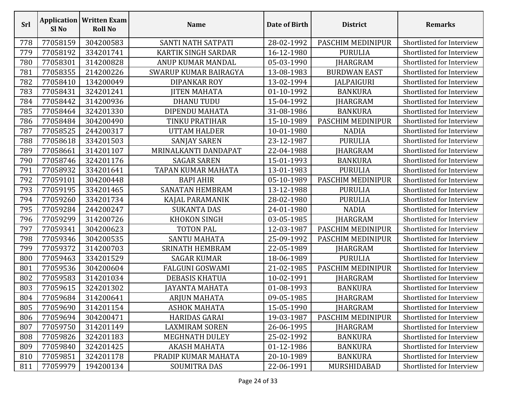| Srl | <b>Application</b><br>Sl <sub>No</sub> | <b>Written Exam</b><br><b>Roll No</b> | <b>Name</b>                | Date of Birth | <b>District</b>     | <b>Remarks</b>            |
|-----|----------------------------------------|---------------------------------------|----------------------------|---------------|---------------------|---------------------------|
| 778 | 77058159                               | 304200583                             | SANTI NATH SATPATI         | 28-02-1992    | PASCHIM MEDINIPUR   | Shortlisted for Interview |
| 779 | 77058192                               | 334201741                             | <b>KARTIK SINGH SARDAR</b> | 16-12-1980    | <b>PURULIA</b>      | Shortlisted for Interview |
| 780 | 77058301                               | 314200828                             | ANUP KUMAR MANDAL          | 05-03-1990    | <b>JHARGRAM</b>     | Shortlisted for Interview |
| 781 | 77058355                               | 214200226                             | SWARUP KUMAR BAIRAGYA      | 13-08-1983    | <b>BURDWAN EAST</b> | Shortlisted for Interview |
| 782 | 77058410                               | 134200049                             | <b>DIPANKAR ROY</b>        | 13-02-1994    | JALPAIGURI          | Shortlisted for Interview |
| 783 | 77058431                               | 324201241                             | <b>JITEN MAHATA</b>        | 01-10-1992    | <b>BANKURA</b>      | Shortlisted for Interview |
| 784 | 77058442                               | 314200936                             | <b>DHANU TUDU</b>          | 15-04-1992    | JHARGRAM            | Shortlisted for Interview |
| 785 | 77058464                               | 324201330                             | DIPENDU MAHATA             | 31-08-1986    | <b>BANKURA</b>      | Shortlisted for Interview |
| 786 | 77058484                               | 304200490                             | TINKU PRATIHAR             | 15-10-1989    | PASCHIM MEDINIPUR   | Shortlisted for Interview |
| 787 | 77058525                               | 244200317                             | <b>UTTAM HALDER</b>        | 10-01-1980    | <b>NADIA</b>        | Shortlisted for Interview |
| 788 | 77058618                               | 334201503                             | <b>SANJAY SAREN</b>        | 23-12-1987    | <b>PURULIA</b>      | Shortlisted for Interview |
| 789 | 77058661                               | 314201107                             | MRINALKANTI DANDAPAT       | 22-04-1988    | JHARGRAM            | Shortlisted for Interview |
| 790 | 77058746                               | 324201176                             | <b>SAGAR SAREN</b>         | 15-01-1993    | <b>BANKURA</b>      | Shortlisted for Interview |
| 791 | 77058932                               | 334201641                             | TAPAN KUMAR MAHATA         | 13-01-1983    | <b>PURULIA</b>      | Shortlisted for Interview |
| 792 | 77059101                               | 304200448                             | <b>BAPI AHIR</b>           | 05-10-1989    | PASCHIM MEDINIPUR   | Shortlisted for Interview |
| 793 | 77059195                               | 334201465                             | <b>SANATAN HEMBRAM</b>     | 13-12-1988    | <b>PURULIA</b>      | Shortlisted for Interview |
| 794 | 77059260                               | 334201734                             | KAJAL PARAMANIK            | 28-02-1980    | <b>PURULIA</b>      | Shortlisted for Interview |
| 795 | 77059284                               | 244200247                             | <b>SUKANTA DAS</b>         | 24-01-1980    | <b>NADIA</b>        | Shortlisted for Interview |
| 796 | 77059299                               | 314200726                             | KHOKON SINGH               | 03-05-1985    | <b>JHARGRAM</b>     | Shortlisted for Interview |
| 797 | 77059341                               | 304200623                             | <b>TOTON PAL</b>           | 12-03-1987    | PASCHIM MEDINIPUR   | Shortlisted for Interview |
| 798 | 77059346                               | 304200535                             | <b>SANTU MAHATA</b>        | 25-09-1992    | PASCHIM MEDINIPUR   | Shortlisted for Interview |
| 799 | 77059372                               | 314200703                             | SRINATH HEMBRAM            | 22-05-1989    | JHARGRAM            | Shortlisted for Interview |
| 800 | 77059463                               | 334201529                             | <b>SAGAR KUMAR</b>         | 18-06-1989    | <b>PURULIA</b>      | Shortlisted for Interview |
| 801 | 77059536                               | 304200604                             | <b>FALGUNI GOSWAMI</b>     | 21-02-1985    | PASCHIM MEDINIPUR   | Shortlisted for Interview |
| 802 | 77059583                               | 314201034                             | <b>DEBASIS KHATUA</b>      | 10-02-1991    | JHARGRAM            | Shortlisted for Interview |
| 803 | 77059615                               | 324201302                             | JAYANTA MAHATA             | 01-08-1993    | <b>BANKURA</b>      | Shortlisted for Interview |
| 804 | 77059684                               | 314200641                             | <b>ARJUN MAHATA</b>        | 09-05-1985    | <b>JHARGRAM</b>     | Shortlisted for Interview |
| 805 | 77059690                               | 314201154                             | <b>ASHOK MAHATA</b>        | 15-05-1990    | <b>JHARGRAM</b>     | Shortlisted for Interview |
| 806 | 77059694                               | 304200471                             | <b>HARIDAS GARAI</b>       | 19-03-1987    | PASCHIM MEDINIPUR   | Shortlisted for Interview |
| 807 | 77059750                               | 314201149                             | <b>LAXMIRAM SOREN</b>      | 26-06-1995    | <b>IHARGRAM</b>     | Shortlisted for Interview |
| 808 | 77059826                               | 324201183                             | <b>MEGHNATH DULEY</b>      | 25-02-1992    | <b>BANKURA</b>      | Shortlisted for Interview |
| 809 | 77059840                               | 324201425                             | AKASH MAHATA               | 01-12-1986    | <b>BANKURA</b>      | Shortlisted for Interview |
| 810 | 77059851                               | 324201178                             | PRADIP KUMAR MAHATA        | 20-10-1989    | <b>BANKURA</b>      | Shortlisted for Interview |
| 811 | 77059979                               | 194200134                             | <b>SOUMITRA DAS</b>        | 22-06-1991    | MURSHIDABAD         | Shortlisted for Interview |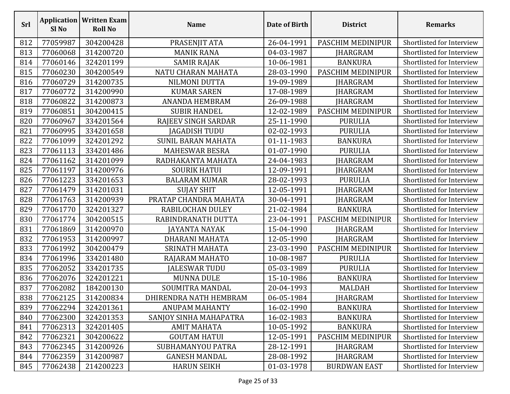| Srl | Sl <sub>No</sub> | <b>Application   Written Exam</b><br><b>Roll No</b> | <b>Name</b>               | Date of Birth | <b>District</b>     | <b>Remarks</b>            |
|-----|------------------|-----------------------------------------------------|---------------------------|---------------|---------------------|---------------------------|
| 812 | 77059987         | 304200428                                           | PRASENJIT ATA             | 26-04-1991    | PASCHIM MEDINIPUR   | Shortlisted for Interview |
| 813 | 77060068         | 314200720                                           | <b>MANIK RANA</b>         | 04-03-1987    | JHARGRAM            | Shortlisted for Interview |
| 814 | 77060146         | 324201199                                           | <b>SAMIR RAJAK</b>        | 10-06-1981    | <b>BANKURA</b>      | Shortlisted for Interview |
| 815 | 77060230         | 304200549                                           | NATU CHARAN MAHATA        | 28-03-1990    | PASCHIM MEDINIPUR   | Shortlisted for Interview |
| 816 | 77060729         | 314200735                                           | NILMONI DUTTA             | 19-09-1989    | <b>JHARGRAM</b>     | Shortlisted for Interview |
| 817 | 77060772         | 314200990                                           | <b>KUMAR SAREN</b>        | 17-08-1989    | JHARGRAM            | Shortlisted for Interview |
| 818 | 77060822         | 314200873                                           | <b>ANANDA HEMBRAM</b>     | 26-09-1988    | <b>JHARGRAM</b>     | Shortlisted for Interview |
| 819 | 77060851         | 304200415                                           | <b>SUBIR HANDEL</b>       | 12-02-1989    | PASCHIM MEDINIPUR   | Shortlisted for Interview |
| 820 | 77060967         | 334201564                                           | RAJEEV SINGH SARDAR       | 25-11-1990    | <b>PURULIA</b>      | Shortlisted for Interview |
| 821 | 77060995         | 334201658                                           | <b>JAGADISH TUDU</b>      | 02-02-1993    | <b>PURULIA</b>      | Shortlisted for Interview |
| 822 | 77061099         | 324201292                                           | <b>SUNIL BARAN MAHATA</b> | 01-11-1983    | <b>BANKURA</b>      | Shortlisted for Interview |
| 823 | 77061113         | 334201486                                           | <b>MAHESWAR BESRA</b>     | 01-07-1990    | <b>PURULIA</b>      | Shortlisted for Interview |
| 824 | 77061162         | 314201099                                           | RADHAKANTA MAHATA         | 24-04-1983    | <b>JHARGRAM</b>     | Shortlisted for Interview |
| 825 | 77061197         | 314200976                                           | <b>SOURIK HATUI</b>       | 12-09-1991    | <b>JHARGRAM</b>     | Shortlisted for Interview |
| 826 | 77061223         | 334201653                                           | <b>BALARAM KUMAR</b>      | 28-02-1993    | <b>PURULIA</b>      | Shortlisted for Interview |
| 827 | 77061479         | 314201031                                           | <b>SUJAY SHIT</b>         | 12-05-1991    | <b>IHARGRAM</b>     | Shortlisted for Interview |
| 828 | 77061763         | 314200939                                           | PRATAP CHANDRA MAHATA     | 30-04-1991    | JHARGRAM            | Shortlisted for Interview |
| 829 | 77061770         | 324201327                                           | RABILOCHAN DULEY          | 21-02-1984    | <b>BANKURA</b>      | Shortlisted for Interview |
| 830 | 77061774         | 304200515                                           | RABINDRANATH DUTTA        | 23-04-1991    | PASCHIM MEDINIPUR   | Shortlisted for Interview |
| 831 | 77061869         | 314200970                                           | <b>JAYANTA NAYAK</b>      | 15-04-1990    | <b>JHARGRAM</b>     | Shortlisted for Interview |
| 832 | 77061953         | 314200997                                           | DHARANI MAHATA            | 12-05-1990    | <b>JHARGRAM</b>     | Shortlisted for Interview |
| 833 | 77061992         | 304200479                                           | SRINATH MAHATA            | 23-03-1990    | PASCHIM MEDINIPUR   | Shortlisted for Interview |
| 834 | 77061996         | 334201480                                           | RAJARAM MAHATO            | 10-08-1987    | <b>PURULIA</b>      | Shortlisted for Interview |
| 835 | 77062052         | 334201735                                           | <b>JALESWAR TUDU</b>      | 05-03-1989    | <b>PURULIA</b>      | Shortlisted for Interview |
| 836 | 77062076         | 324201221                                           | <b>MUNNA DULE</b>         | 15-10-1986    | <b>BANKURA</b>      | Shortlisted for Interview |
| 837 | 77062082         | 184200130                                           | SOUMITRA MANDAL           | 20-04-1993    | <b>MALDAH</b>       | Shortlisted for Interview |
| 838 | 77062125         | 314200834                                           | DHIRENDRA NATH HEMBRAM    | 06-05-1984    | <b>JHARGRAM</b>     | Shortlisted for Interview |
| 839 | 77062294         | 324201361                                           | <b>ANUPAM MAHANTY</b>     | 16-02-1990    | <b>BANKURA</b>      | Shortlisted for Interview |
| 840 | 77062300         | 324201353                                           | SANJOY SINHA MAHAPATRA    | 16-02-1983    | <b>BANKURA</b>      | Shortlisted for Interview |
| 841 | 77062313         | 324201405                                           | <b>AMIT MAHATA</b>        | 10-05-1992    | <b>BANKURA</b>      | Shortlisted for Interview |
| 842 | 77062321         | 304200622                                           | <b>GOUTAM HATUI</b>       | 12-05-1991    | PASCHIM MEDINIPUR   | Shortlisted for Interview |
| 843 | 77062345         | 314200926                                           | SUBHAMANYOU PATRA         | 28-12-1991    | <b>JHARGRAM</b>     | Shortlisted for Interview |
| 844 | 77062359         | 314200987                                           | <b>GANESH MANDAL</b>      | 28-08-1992    | <b>JHARGRAM</b>     | Shortlisted for Interview |
| 845 | 77062438         | 214200223                                           | <b>HARUN SEIKH</b>        | 01-03-1978    | <b>BURDWAN EAST</b> | Shortlisted for Interview |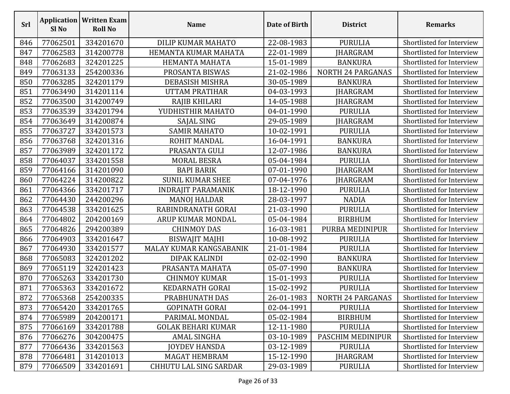| Srl | Sl <sub>No</sub> | <b>Application   Written Exam</b><br><b>Roll No</b> | <b>Name</b>                   | Date of Birth | <b>District</b>          | <b>Remarks</b>            |
|-----|------------------|-----------------------------------------------------|-------------------------------|---------------|--------------------------|---------------------------|
| 846 | 77062501         | 334201670                                           | DILIP KUMAR MAHATO            | 22-08-1983    | <b>PURULIA</b>           | Shortlisted for Interview |
| 847 | 77062583         | 314200778                                           | HEMANTA KUMAR MAHATA          | 22-01-1989    | JHARGRAM                 | Shortlisted for Interview |
| 848 | 77062683         | 324201225                                           | HEMANTA MAHATA                | 15-01-1989    | <b>BANKURA</b>           | Shortlisted for Interview |
| 849 | 77063133         | 254200336                                           | PROSANTA BISWAS               | 21-02-1986    | <b>NORTH 24 PARGANAS</b> | Shortlisted for Interview |
| 850 | 77063285         | 324201179                                           | <b>DEBASISH MISHRA</b>        | 30-05-1989    | <b>BANKURA</b>           | Shortlisted for Interview |
| 851 | 77063490         | 314201114                                           | <b>UTTAM PRATIHAR</b>         | 04-03-1993    | <b>JHARGRAM</b>          | Shortlisted for Interview |
| 852 | 77063500         | 314200749                                           | RAJIB KHILARI                 | 14-05-1988    | <b>JHARGRAM</b>          | Shortlisted for Interview |
| 853 | 77063539         | 334201794                                           | YUDHISTHIR MAHATO             | 04-01-1990    | <b>PURULIA</b>           | Shortlisted for Interview |
| 854 | 77063649         | 314200874                                           | SAJAL SING                    | 29-05-1989    | <b>JHARGRAM</b>          | Shortlisted for Interview |
| 855 | 77063727         | 334201573                                           | <b>SAMIR MAHATO</b>           | 10-02-1991    | <b>PURULIA</b>           | Shortlisted for Interview |
| 856 | 77063768         | 324201316                                           | ROHIT MANDAL                  | 16-04-1991    | <b>BANKURA</b>           | Shortlisted for Interview |
| 857 | 77063989         | 324201172                                           | PRASANTA GULI                 | 12-07-1986    | <b>BANKURA</b>           | Shortlisted for Interview |
| 858 | 77064037         | 334201558                                           | <b>MORAL BESRA</b>            | 05-04-1984    | <b>PURULIA</b>           | Shortlisted for Interview |
| 859 | 77064166         | 314201090                                           | <b>BAPI BARIK</b>             | 07-01-1990    | JHARGRAM                 | Shortlisted for Interview |
| 860 | 77064224         | 314200822                                           | <b>SUNIL KUMAR SHEE</b>       | 07-04-1976    | JHARGRAM                 | Shortlisted for Interview |
| 861 | 77064366         | 334201717                                           | <b>INDRAJIT PARAMANIK</b>     | 18-12-1990    | <b>PURULIA</b>           | Shortlisted for Interview |
| 862 | 77064430         | 244200296                                           | <b>MANOJ HALDAR</b>           | 28-03-1997    | <b>NADIA</b>             | Shortlisted for Interview |
| 863 | 77064538         | 334201625                                           | RABINDRANATH GORAI            | 21-03-1990    | <b>PURULIA</b>           | Shortlisted for Interview |
| 864 | 77064802         | 204200169                                           | ARUP KUMAR MONDAL             | 05-04-1984    | <b>BIRBHUM</b>           | Shortlisted for Interview |
| 865 | 77064826         | 294200389                                           | <b>CHINMOY DAS</b>            | 16-03-1981    | PURBA MEDINIPUR          | Shortlisted for Interview |
| 866 | 77064903         | 334201647                                           | <b>BISWAJIT MAJHI</b>         | 10-08-1992    | <b>PURULIA</b>           | Shortlisted for Interview |
| 867 | 77064930         | 334201577                                           | MALAY KUMAR KANGSABANIK       | 21-01-1984    | <b>PURULIA</b>           | Shortlisted for Interview |
| 868 | 77065083         | 324201202                                           | DIPAK KALINDI                 | 02-02-1990    | <b>BANKURA</b>           | Shortlisted for Interview |
| 869 | 77065119         | 324201423                                           | PRASANTA MAHATA               | 05-07-1990    | <b>BANKURA</b>           | Shortlisted for Interview |
| 870 | 77065263         | 334201730                                           | <b>CHINMOY KUMAR</b>          | 15-01-1993    | <b>PURULIA</b>           | Shortlisted for Interview |
| 871 | 77065363         | 334201672                                           | <b>KEDARNATH GORAI</b>        | 15-02-1992    | <b>PURULIA</b>           | Shortlisted for Interview |
| 872 | 77065368         | 254200335                                           | PRABHUNATH DAS                | 26-01-1983    | NORTH 24 PARGANAS        | Shortlisted for Interview |
| 873 | 77065420         | 334201765                                           | <b>GOPINATH GORAI</b>         | 02-04-1991    | <b>PURULIA</b>           | Shortlisted for Interview |
| 874 | 77065989         | 204200171                                           | PARIMAL MONDAL                | 05-02-1984    | <b>BIRBHUM</b>           | Shortlisted for Interview |
| 875 | 77066169         | 334201788                                           | <b>GOLAK BEHARI KUMAR</b>     | 12-11-1980    | <b>PURULIA</b>           | Shortlisted for Interview |
| 876 | 77066276         | 304200475                                           | <b>AMAL SINGHA</b>            | 03-10-1989    | PASCHIM MEDINIPUR        | Shortlisted for Interview |
| 877 | 77066436         | 334201563                                           | <b>JOYDEV HANSDA</b>          | 03-12-1989    | <b>PURULIA</b>           | Shortlisted for Interview |
| 878 | 77066481         | 314201013                                           | <b>MAGAT HEMBRAM</b>          | 15-12-1990    | JHARGRAM                 | Shortlisted for Interview |
| 879 | 77066509         | 334201691                                           | <b>CHHUTU LAL SING SARDAR</b> | 29-03-1989    | <b>PURULIA</b>           | Shortlisted for Interview |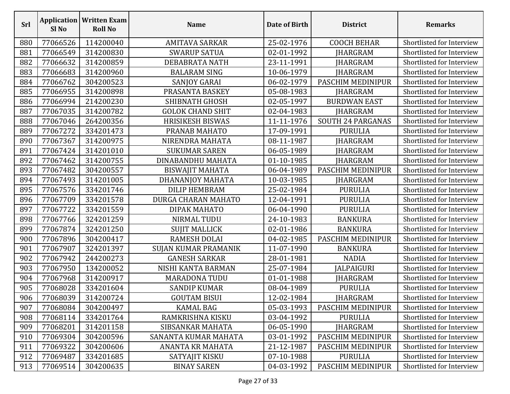| Srl | Sl <sub>No</sub> | <b>Application   Written Exam</b><br><b>Roll No</b> | <b>Name</b>             | Date of Birth | <b>District</b>          | <b>Remarks</b>            |
|-----|------------------|-----------------------------------------------------|-------------------------|---------------|--------------------------|---------------------------|
| 880 | 77066526         | 114200040                                           | <b>AMITAVA SARKAR</b>   | 25-02-1976    | <b>COOCH BEHAR</b>       | Shortlisted for Interview |
| 881 | 77066549         | 314200830                                           | <b>SWARUP SATUA</b>     | 02-01-1992    | JHARGRAM                 | Shortlisted for Interview |
| 882 | 77066632         | 314200859                                           | DEBABRATA NATH          | 23-11-1991    | JHARGRAM                 | Shortlisted for Interview |
| 883 | 77066683         | 314200960                                           | <b>BALARAM SING</b>     | 10-06-1979    | <b>JHARGRAM</b>          | Shortlisted for Interview |
| 884 | 77066762         | 304200523                                           | <b>SANJOY GARAI</b>     | 06-02-1979    | PASCHIM MEDINIPUR        | Shortlisted for Interview |
| 885 | 77066955         | 314200898                                           | PRASANTA BASKEY         | 05-08-1983    | <b>JHARGRAM</b>          | Shortlisted for Interview |
| 886 | 77066994         | 214200230                                           | <b>SHIBNATH GHOSH</b>   | 02-05-1997    | <b>BURDWAN EAST</b>      | Shortlisted for Interview |
| 887 | 77067035         | 314200782                                           | <b>GOLOK CHAND SHIT</b> | 02-04-1983    | JHARGRAM                 | Shortlisted for Interview |
| 888 | 77067046         | 264200356                                           | <b>HRISIKESH BISWAS</b> | 11-11-1976    | <b>SOUTH 24 PARGANAS</b> | Shortlisted for Interview |
| 889 | 77067272         | 334201473                                           | PRANAB MAHATO           | 17-09-1991    | <b>PURULIA</b>           | Shortlisted for Interview |
| 890 | 77067367         | 314200975                                           | NIRENDRA MAHATA         | 08-11-1987    | JHARGRAM                 | Shortlisted for Interview |
| 891 | 77067424         | 314201010                                           | <b>SUKUMAR SAREN</b>    | 06-05-1989    | JHARGRAM                 | Shortlisted for Interview |
| 892 | 77067462         | 314200755                                           | DINABANDHU MAHATA       | 01-10-1985    | <b>JHARGRAM</b>          | Shortlisted for Interview |
| 893 | 77067482         | 304200557                                           | <b>BISWAJIT MAHATA</b>  | 06-04-1989    | PASCHIM MEDINIPUR        | Shortlisted for Interview |
| 894 | 77067493         | 314201005                                           | DHANANJOY MAHATA        | 10-03-1985    | <b>IHARGRAM</b>          | Shortlisted for Interview |
| 895 | 77067576         | 334201746                                           | <b>DILIP HEMBRAM</b>    | 25-02-1984    | <b>PURULIA</b>           | Shortlisted for Interview |
| 896 | 77067709         | 334201578                                           | DURGA CHARAN MAHATO     | 12-04-1991    | <b>PURULIA</b>           | Shortlisted for Interview |
| 897 | 77067722         | 334201559                                           | DIPAK MAHATO            | 06-04-1990    | <b>PURULIA</b>           | Shortlisted for Interview |
| 898 | 77067766         | 324201259                                           | NIRMAL TUDU             | 24-10-1983    | <b>BANKURA</b>           | Shortlisted for Interview |
| 899 | 77067874         | 324201250                                           | <b>SUJIT MALLICK</b>    | 02-01-1986    | <b>BANKURA</b>           | Shortlisted for Interview |
| 900 | 77067896         | 304200417                                           | <b>RAMESH DOLAI</b>     | 04-02-1985    | PASCHIM MEDINIPUR        | Shortlisted for Interview |
| 901 | 77067907         | 324201397                                           | SUJAN KUMAR PRAMANIK    | 11-07-1990    | <b>BANKURA</b>           | Shortlisted for Interview |
| 902 | 77067942         | 244200273                                           | <b>GANESH SARKAR</b>    | 28-01-1981    | <b>NADIA</b>             | Shortlisted for Interview |
| 903 | 77067950         | 134200052                                           | NISHI KANTA BARMAN      | 25-07-1984    | <b>JALPAIGURI</b>        | Shortlisted for Interview |
| 904 | 77067968         | 314200917                                           | <b>MARADONA TUDU</b>    | 01-01-1988    | JHARGRAM                 | Shortlisted for Interview |
| 905 | 77068028         | 334201604                                           | <b>SANDIP KUMAR</b>     | 08-04-1989    | <b>PURULIA</b>           | Shortlisted for Interview |
| 906 | 77068039         | 314200724                                           | <b>GOUTAM BISUI</b>     | 12-02-1984    | JHARGRAM                 | Shortlisted for Interview |
| 907 | 77068084         | 304200497                                           | <b>KAMAL BAG</b>        | 05-03-1993    | PASCHIM MEDINIPUR        | Shortlisted for Interview |
| 908 | 77068114         | 334201764                                           | RAMKRISHNA KISKU        | 03-04-1992    | <b>PURULIA</b>           | Shortlisted for Interview |
| 909 | 77068201         | 314201158                                           | SIBSANKAR MAHATA        | 06-05-1990    | <b>IHARGRAM</b>          | Shortlisted for Interview |
| 910 | 77069304         | 304200596                                           | SANANTA KUMAR MAHATA    | 03-01-1992    | PASCHIM MEDINIPUR        | Shortlisted for Interview |
| 911 | 77069322         | 304200606                                           | ANANTA KR MAHATA        | 21-12-1987    | PASCHIM MEDINIPUR        | Shortlisted for Interview |
| 912 | 77069487         | 334201685                                           | SATYAJIT KISKU          | 07-10-1988    | <b>PURULIA</b>           | Shortlisted for Interview |
| 913 | 77069514         | 304200635                                           | <b>BINAY SAREN</b>      | 04-03-1992    | PASCHIM MEDINIPUR        | Shortlisted for Interview |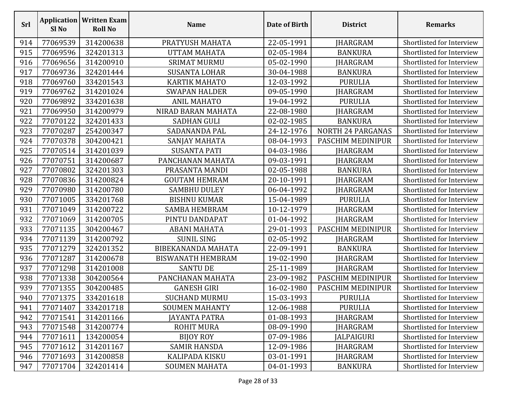| Srl | Sl <sub>No</sub> | <b>Application   Written Exam</b><br><b>Roll No</b> | <b>Name</b>              | Date of Birth | <b>District</b>          | <b>Remarks</b>            |
|-----|------------------|-----------------------------------------------------|--------------------------|---------------|--------------------------|---------------------------|
| 914 | 77069539         | 314200638                                           | PRATYUSH MAHATA          | 22-05-1991    | <b>JHARGRAM</b>          | Shortlisted for Interview |
| 915 | 77069596         | 324201313                                           | <b>UTTAM MAHATA</b>      | 02-05-1984    | <b>BANKURA</b>           | Shortlisted for Interview |
| 916 | 77069656         | 314200910                                           | <b>SRIMAT MURMU</b>      | 05-02-1990    | <b>JHARGRAM</b>          | Shortlisted for Interview |
| 917 | 77069736         | 324201444                                           | <b>SUSANTA LOHAR</b>     | 30-04-1988    | <b>BANKURA</b>           | Shortlisted for Interview |
| 918 | 77069760         | 334201543                                           | <b>KARTIK MAHATO</b>     | 12-03-1992    | <b>PURULIA</b>           | Shortlisted for Interview |
| 919 | 77069762         | 314201024                                           | <b>SWAPAN HALDER</b>     | 09-05-1990    | <b>JHARGRAM</b>          | Shortlisted for Interview |
| 920 | 77069892         | 334201638                                           | <b>ANIL MAHATO</b>       | 19-04-1992    | <b>PURULIA</b>           | Shortlisted for Interview |
| 921 | 77069950         | 314200979                                           | NIRAD BARAN MAHATA       | 22-08-1980    | JHARGRAM                 | Shortlisted for Interview |
| 922 | 77070122         | 324201433                                           | <b>SADHAN GULI</b>       | 02-02-1985    | <b>BANKURA</b>           | Shortlisted for Interview |
| 923 | 77070287         | 254200347                                           | SADANANDA PAL            | 24-12-1976    | <b>NORTH 24 PARGANAS</b> | Shortlisted for Interview |
| 924 | 77070378         | 304200421                                           | SANJAY MAHATA            | 08-04-1993    | PASCHIM MEDINIPUR        | Shortlisted for Interview |
| 925 | 77070514         | 314201039                                           | <b>SUSANTA PATI</b>      | 04-03-1986    | <b>JHARGRAM</b>          | Shortlisted for Interview |
| 926 | 77070751         | 314200687                                           | PANCHANAN MAHATA         | 09-03-1991    | <b>JHARGRAM</b>          | Shortlisted for Interview |
| 927 | 77070802         | 324201303                                           | PRASANTA MANDI           | 02-05-1988    | <b>BANKURA</b>           | Shortlisted for Interview |
| 928 | 77070836         | 314200824                                           | <b>GOUTAM HEMRAM</b>     | 20-10-1991    | JHARGRAM                 | Shortlisted for Interview |
| 929 | 77070980         | 314200780                                           | <b>SAMBHU DULEY</b>      | 06-04-1992    | <b>IHARGRAM</b>          | Shortlisted for Interview |
| 930 | 77071005         | 334201768                                           | <b>BISHNU KUMAR</b>      | 15-04-1989    | <b>PURULIA</b>           | Shortlisted for Interview |
| 931 | 77071049         | 314200722                                           | <b>SAMBA HEMBRAM</b>     | 10-12-1979    | <b>JHARGRAM</b>          | Shortlisted for Interview |
| 932 | 77071069         | 314200705                                           | PINTU DANDAPAT           | 01-04-1992    | <b>JHARGRAM</b>          | Shortlisted for Interview |
| 933 | 77071135         | 304200467                                           | <b>ABANI MAHATA</b>      | 29-01-1993    | PASCHIM MEDINIPUR        | Shortlisted for Interview |
| 934 | 77071139         | 314200792                                           | <b>SUNIL SING</b>        | 02-05-1992    | JHARGRAM                 | Shortlisted for Interview |
| 935 | 77071279         | 324201352                                           | BIBEKANANDA MAHATA       | 22-09-1991    | <b>BANKURA</b>           | Shortlisted for Interview |
| 936 | 77071287         | 314200678                                           | <b>BISWANATH HEMBRAM</b> | 19-02-1990    | JHARGRAM                 | Shortlisted for Interview |
| 937 | 77071298         | 314201008                                           | <b>SANTU DE</b>          | 25-11-1989    | <b>JHARGRAM</b>          | Shortlisted for Interview |
| 938 | 77071338         | 304200564                                           | PANCHANAN MAHATA         | 23-09-1982    | PASCHIM MEDINIPUR        | Shortlisted for Interview |
| 939 | 77071355         | 304200485                                           | <b>GANESH GIRI</b>       | 16-02-1980    | PASCHIM MEDINIPUR        | Shortlisted for Interview |
| 940 | 77071375         | 334201618                                           | <b>SUCHAND MURMU</b>     | 15-03-1993    | <b>PURULIA</b>           | Shortlisted for Interview |
| 941 | 77071407         | 334201718                                           | <b>SOUMEN MAHANTY</b>    | 12-06-1988    | <b>PURULIA</b>           | Shortlisted for Interview |
| 942 | 77071541         | 314201166                                           | JAYANTA PATRA            | 01-08-1993    | <b>JHARGRAM</b>          | Shortlisted for Interview |
| 943 | 77071548         | 314200774                                           | <b>ROHIT MURA</b>        | 08-09-1990    | JHARGRAM                 | Shortlisted for Interview |
| 944 | 77071611         | 134200054                                           | <b>BIJOY ROY</b>         | 07-09-1986    | <b>JALPAIGURI</b>        | Shortlisted for Interview |
| 945 | 77071612         | 314201167                                           | <b>SAMIR HANSDA</b>      | 12-09-1986    | <b>IHARGRAM</b>          | Shortlisted for Interview |
| 946 | 77071693         | 314200858                                           | <b>KALIPADA KISKU</b>    | 03-01-1991    | JHARGRAM                 | Shortlisted for Interview |
| 947 | 77071704         | 324201414                                           | <b>SOUMEN MAHATA</b>     | 04-01-1993    | <b>BANKURA</b>           | Shortlisted for Interview |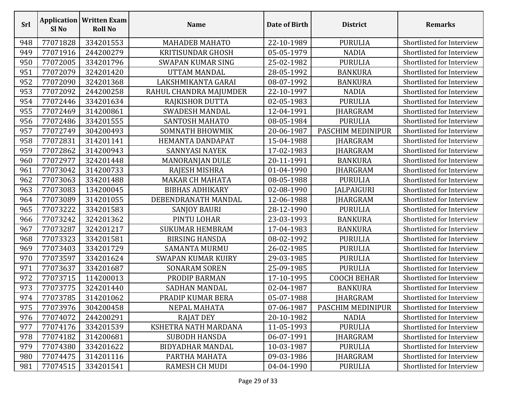| <b>Srl</b> | Sl <sub>No</sub> | <b>Application   Written Exam</b><br><b>Roll No</b> | <b>Name</b>               | Date of Birth | <b>District</b>    | <b>Remarks</b>            |
|------------|------------------|-----------------------------------------------------|---------------------------|---------------|--------------------|---------------------------|
| 948        | 77071828         | 334201553                                           | <b>MAHADEB MAHATO</b>     | 22-10-1989    | <b>PURULIA</b>     | Shortlisted for Interview |
| 949        | 77071916         | 244200279                                           | <b>KRITISUNDAR GHOSH</b>  | 05-05-1979    | <b>NADIA</b>       | Shortlisted for Interview |
| 950        | 77072005         | 334201796                                           | SWAPAN KUMAR SING         | 25-02-1982    | <b>PURULIA</b>     | Shortlisted for Interview |
| 951        | 77072079         | 324201420                                           | <b>UTTAM MANDAL</b>       | 28-05-1992    | <b>BANKURA</b>     | Shortlisted for Interview |
| 952        | 77072090         | 324201368                                           | LAKSHMIKANTA GARAI        | 08-07-1992    | <b>BANKURA</b>     | Shortlisted for Interview |
| 953        | 77072092         | 244200258                                           | RAHUL CHANDRA MAJUMDER    | 22-10-1997    | <b>NADIA</b>       | Shortlisted for Interview |
| 954        | 77072446         | 334201634                                           | RAJKISHOR DUTTA           | 02-05-1983    | <b>PURULIA</b>     | Shortlisted for Interview |
| 955        | 77072469         | 314200861                                           | <b>SWADESH MANDAL</b>     | 12-04-1991    | JHARGRAM           | Shortlisted for Interview |
| 956        | 77072486         | 334201555                                           | SANTOSH MAHATO            | 08-05-1984    | <b>PURULIA</b>     | Shortlisted for Interview |
| 957        | 77072749         | 304200493                                           | SOMNATH BHOWMIK           | 20-06-1987    | PASCHIM MEDINIPUR  | Shortlisted for Interview |
| 958        | 77072831         | 314201141                                           | HEMANTA DANDAPAT          | 15-04-1988    | <b>IHARGRAM</b>    | Shortlisted for Interview |
| 959        | 77072862         | 314200943                                           | <b>SANNYASI NAYEK</b>     | 17-02-1983    | <b>IHARGRAM</b>    | Shortlisted for Interview |
| 960        | 77072977         | 324201448                                           | MANORANJAN DULE           | 20-11-1991    | <b>BANKURA</b>     | Shortlisted for Interview |
| 961        | 77073042         | 314200733                                           | RAJESH MISHRA             | 01-04-1990    | JHARGRAM           | Shortlisted for Interview |
| 962        | 77073063         | 334201488                                           | <b>MAKAR CH MAHATA</b>    | 08-05-1988    | <b>PURULIA</b>     | Shortlisted for Interview |
| 963        | 77073083         | 134200045                                           | <b>BIBHAS ADHIKARY</b>    | 02-08-1990    | <b>JALPAIGURI</b>  | Shortlisted for Interview |
| 964        | 77073089         | 314201055                                           | DEBENDRANATH MANDAL       | 12-06-1988    | JHARGRAM           | Shortlisted for Interview |
| 965        | 77073222         | 334201583                                           | <b>SANJOY BAURI</b>       | 28-12-1990    | <b>PURULIA</b>     | Shortlisted for Interview |
| 966        | 77073242         | 324201362                                           | PINTU LOHAR               | 23-03-1993    | <b>BANKURA</b>     | Shortlisted for Interview |
| 967        | 77073287         | 324201217                                           | <b>SUKUMAR HEMBRAM</b>    | 17-04-1983    | <b>BANKURA</b>     | Shortlisted for Interview |
| 968        | 77073323         | 334201581                                           | <b>BIRSING HANSDA</b>     | 08-02-1992    | <b>PURULIA</b>     | Shortlisted for Interview |
| 969        | 77073403         | 334201729                                           | SAMANTA MURMU             | 26-02-1985    | <b>PURULIA</b>     | Shortlisted for Interview |
| 970        | 77073597         | 334201624                                           | <b>SWAPAN KUMAR KUIRY</b> | 29-03-1985    | <b>PURULIA</b>     | Shortlisted for Interview |
| 971        | 77073637         | 334201687                                           | <b>SONARAM SOREN</b>      | 25-09-1985    | <b>PURULIA</b>     | Shortlisted for Interview |
| 972        | 77073715         | 114200013                                           | PRODIP BARMAN             | 17-10-1995    | <b>COOCH BEHAR</b> | Shortlisted for Interview |
| 973        | 77073775         | 324201440                                           | <b>SADHAN MANDAL</b>      | 02-04-1987    | <b>BANKURA</b>     | Shortlisted for Interview |
| 974        | 77073785         | 314201062                                           | PRADIP KUMAR BERA         | 05-07-1988    | JHARGRAM           | Shortlisted for Interview |
| 975        | 77073976         | 304200458                                           | NEPAL MAHATA              | 07-06-1987    | PASCHIM MEDINIPUR  | Shortlisted for Interview |
| 976        | 77074072         | 244200291                                           | <b>RAJAT DEY</b>          | 20-10-1982    | <b>NADIA</b>       | Shortlisted for Interview |
| 977        | 77074176         | 334201539                                           | KSHETRA NATH MARDANA      | 11-05-1993    | <b>PURULIA</b>     | Shortlisted for Interview |
| 978        | 77074182         | 314200681                                           | <b>SUBODH HANSDA</b>      | 06-07-1991    | JHARGRAM           | Shortlisted for Interview |
| 979        | 77074380         | 334201622                                           | <b>BIDYADHAR MANDAL</b>   | 10-03-1987    | <b>PURULIA</b>     | Shortlisted for Interview |
| 980        | 77074475         | 314201116                                           | PARTHA MAHATA             | 09-03-1986    | JHARGRAM           | Shortlisted for Interview |
| 981        | 77074515         | 334201541                                           | <b>RAMESH CH MUDI</b>     | 04-04-1990    | <b>PURULIA</b>     | Shortlisted for Interview |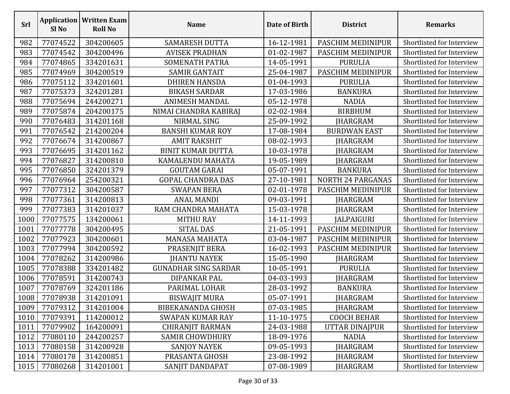| Srl  | Sl <sub>No</sub> | <b>Application   Written Exam</b><br><b>Roll No</b> | <b>Name</b>                 | Date of Birth | <b>District</b>          | <b>Remarks</b>            |
|------|------------------|-----------------------------------------------------|-----------------------------|---------------|--------------------------|---------------------------|
| 982  | 77074522         | 304200605                                           | <b>SAMARESH DUTTA</b>       | 16-12-1981    | PASCHIM MEDINIPUR        | Shortlisted for Interview |
| 983  | 77074542         | 304200496                                           | <b>AVISEK PRADHAN</b>       | 01-02-1987    | PASCHIM MEDINIPUR        | Shortlisted for Interview |
| 984  | 77074865         | 334201631                                           | <b>SOMENATH PATRA</b>       | 14-05-1991    | <b>PURULIA</b>           | Shortlisted for Interview |
| 985  | 77074969         | 304200519                                           | <b>SAMIR GANTAIT</b>        | 25-04-1987    | PASCHIM MEDINIPUR        | Shortlisted for Interview |
| 986  | 77075112         | 334201601                                           | <b>DHIREN HANSDA</b>        | 01-04-1993    | <b>PURULIA</b>           | Shortlisted for Interview |
| 987  | 77075373         | 324201281                                           | <b>BIKASH SARDAR</b>        | 17-03-1986    | <b>BANKURA</b>           | Shortlisted for Interview |
| 988  | 77075694         | 244200271                                           | <b>ANIMESH MANDAL</b>       | 05-12-1978    | <b>NADIA</b>             | Shortlisted for Interview |
| 989  | 77075874         | 204200175                                           | NIMAI CHANDRA KABIRAJ       | 02-02-1984    | <b>BIRBHUM</b>           | Shortlisted for Interview |
| 990  | 77076483         | 314201168                                           | NIRMAL SING                 | 25-09-1992    | JHARGRAM                 | Shortlisted for Interview |
| 991  | 77076542         | 214200204                                           | <b>BANSHI KUMAR ROY</b>     | 17-08-1984    | <b>BURDWAN EAST</b>      | Shortlisted for Interview |
| 992  | 77076674         | 314200867                                           | <b>AMIT RAKSHIT</b>         | 08-02-1993    | JHARGRAM                 | Shortlisted for Interview |
| 993  | 77076695         | 314201162                                           | <b>BINIT KUMAR DUTTA</b>    | 10-03-1978    | <b>JHARGRAM</b>          | Shortlisted for Interview |
| 994  | 77076827         | 314200810                                           | KAMALENDU MAHATA            | 19-05-1989    | <b>JHARGRAM</b>          | Shortlisted for Interview |
| 995  | 77076850         | 324201379                                           | <b>GOUTAM GARAI</b>         | 05-07-1991    | <b>BANKURA</b>           | Shortlisted for Interview |
| 996  | 77076964         | 254200321                                           | <b>GOPAL CHANDRA DAS</b>    | 27-10-1981    | <b>NORTH 24 PARGANAS</b> | Shortlisted for Interview |
| 997  | 77077312         | 304200587                                           | <b>SWAPAN BERA</b>          | 02-01-1978    | PASCHIM MEDINIPUR        | Shortlisted for Interview |
| 998  | 77077361         | 314200813                                           | <b>ANAL MANDI</b>           | 09-03-1991    | <b>JHARGRAM</b>          | Shortlisted for Interview |
| 999  | 77077383         | 314201037                                           | RAM CHANDRA MAHATA          | 15-03-1978    | <b>JHARGRAM</b>          | Shortlisted for Interview |
| 1000 | 77077575         | 134200061                                           | <b>MITHU RAY</b>            | 14-11-1993    | <b>JALPAIGURI</b>        | Shortlisted for Interview |
| 1001 | 77077778         | 304200495                                           | <b>SITAL DAS</b>            | 21-05-1991    | PASCHIM MEDINIPUR        | Shortlisted for Interview |
| 1002 | 77077923         | 304200601                                           | <b>MANASA MAHATA</b>        | 03-04-1987    | PASCHIM MEDINIPUR        | Shortlisted for Interview |
| 1003 | 77077994         | 304200592                                           | PRASENJIT BERA              | 16-02-1993    | PASCHIM MEDINIPUR        | Shortlisted for Interview |
| 1004 | 77078262         | 314200986                                           | <b>JHANTU NAYEK</b>         | 15-05-1990    | <b>JHARGRAM</b>          | Shortlisted for Interview |
| 1005 | 77078388         | 334201482                                           | <b>GUNADHAR SING SARDAR</b> | 10-05-1991    | <b>PURULIA</b>           | Shortlisted for Interview |
| 1006 | 77078591         | 314200743                                           | DIPANKAR PAL                | 04-03-1993    | JHARGRAM                 | Shortlisted for Interview |
| 1007 | 77078769         | 324201186                                           | PARIMAL LOHAR               | 28-03-1992    | <b>BANKURA</b>           | Shortlisted for Interview |
|      | 1008 77078938    | 314201091                                           | BISWAJIT MURA               | 05-07-1991    | <b>JHARGRAM</b>          | Shortlisted for Interview |
| 1009 | 77079312         | 314201004                                           | <b>BIBEKANANDA GHOSH</b>    | 07-03-1985    | JHARGRAM                 | Shortlisted for Interview |
| 1010 | 77079391         | 114200012                                           | <b>SWAPAN KUMAR RAY</b>     | 11-10-1975    | <b>COOCH BEHAR</b>       | Shortlisted for Interview |
| 1011 | 77079902         | 164200091                                           | <b>CHIRANJIT BARMAN</b>     | 24-03-1988    | <b>UTTAR DINAJPUR</b>    | Shortlisted for Interview |
| 1012 | 77080110         | 244200257                                           | <b>SAMIR CHOWDHURY</b>      | 18-09-1976    | <b>NADIA</b>             | Shortlisted for Interview |
| 1013 | 77080158         | 314200928                                           | <b>SANJOY NAYEK</b>         | 09-05-1993    | JHARGRAM                 | Shortlisted for Interview |
| 1014 | 77080178         | 314200851                                           | PRASANTA GHOSH              | 23-08-1992    | JHARGRAM                 | Shortlisted for Interview |
| 1015 | 77080268         | 314201001                                           | SANJIT DANDAPAT             | 07-08-1989    | <b>JHARGRAM</b>          | Shortlisted for Interview |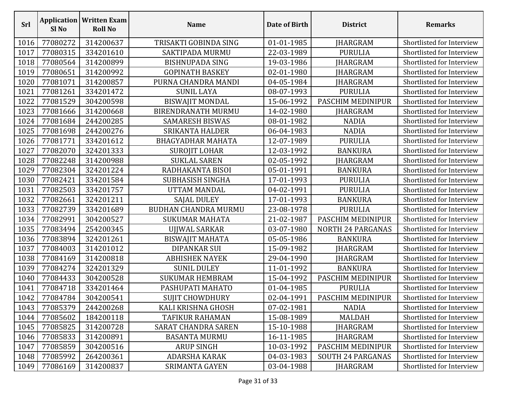| Srl  | Sl <sub>No</sub> | <b>Application   Written Exam</b><br><b>Roll No</b> | <b>Name</b>                 | Date of Birth | <b>District</b>          | <b>Remarks</b>            |
|------|------------------|-----------------------------------------------------|-----------------------------|---------------|--------------------------|---------------------------|
| 1016 | 77080272         | 314200637                                           | TRISAKTI GOBINDA SING       | 01-01-1985    | JHARGRAM                 | Shortlisted for Interview |
| 1017 | 77080315         | 334201610                                           | <b>SAKTIPADA MURMU</b>      | 22-03-1989    | <b>PURULIA</b>           | Shortlisted for Interview |
| 1018 | 77080564         | 314200899                                           | <b>BISHNUPADA SING</b>      | 19-03-1986    | JHARGRAM                 | Shortlisted for Interview |
| 1019 | 77080651         | 314200992                                           | <b>GOPINATH BASKEY</b>      | 02-01-1980    | <b>JHARGRAM</b>          | Shortlisted for Interview |
| 1020 | 77081071         | 314200857                                           | PURNA CHANDRA MANDI         | 04-05-1984    | JHARGRAM                 | Shortlisted for Interview |
| 1021 | 77081261         | 334201472                                           | <b>SUNIL LAYA</b>           | 08-07-1993    | <b>PURULIA</b>           | Shortlisted for Interview |
| 1022 | 77081529         | 304200598                                           | <b>BISWAJIT MONDAL</b>      | 15-06-1992    | PASCHIM MEDINIPUR        | Shortlisted for Interview |
| 1023 | 77081666         | 314200668                                           | <b>BIRENDRANATH MURMU</b>   | 14-02-1980    | JHARGRAM                 | Shortlisted for Interview |
| 1024 | 77081684         | 244200285                                           | <b>SAMARESH BISWAS</b>      | 08-01-1982    | <b>NADIA</b>             | Shortlisted for Interview |
| 1025 | 77081698         | 244200276                                           | <b>SRIKANTA HALDER</b>      | 06-04-1983    | <b>NADIA</b>             | Shortlisted for Interview |
| 1026 | 77081771         | 334201612                                           | <b>BHAGYADHAR MAHATA</b>    | 12-07-1989    | <b>PURULIA</b>           | Shortlisted for Interview |
| 1027 | 77082070         | 324201333                                           | <b>SUROJIT LOHAR</b>        | 12-03-1992    | <b>BANKURA</b>           | Shortlisted for Interview |
| 1028 | 77082248         | 314200988                                           | <b>SUKLAL SAREN</b>         | 02-05-1992    | JHARGRAM                 | Shortlisted for Interview |
| 1029 | 77082304         | 324201224                                           | RADHAKANTA BISOI            | 05-01-1991    | <b>BANKURA</b>           | Shortlisted for Interview |
| 1030 | 77082421         | 334201584                                           | <b>SUBHASISH SINGHA</b>     | 17-01-1993    | <b>PURULIA</b>           | Shortlisted for Interview |
| 1031 | 77082503         | 334201757                                           | UTTAM MANDAL                | 04-02-1991    | <b>PURULIA</b>           | Shortlisted for Interview |
| 1032 | 77082661         | 324201211                                           | SAJAL DULEY                 | 17-01-1993    | <b>BANKURA</b>           | Shortlisted for Interview |
| 1033 | 77082739         | 334201689                                           | <b>BUDHAN CHANDRA MURMU</b> | 23-08-1978    | <b>PURULIA</b>           | Shortlisted for Interview |
| 1034 | 77082991         | 304200527                                           | <b>SUKUMAR MAHATA</b>       | 21-02-1987    | PASCHIM MEDINIPUR        | Shortlisted for Interview |
| 1035 | 77083494         | 254200345                                           | UJJWAL SARKAR               | 03-07-1980    | <b>NORTH 24 PARGANAS</b> | Shortlisted for Interview |
| 1036 | 77083894         | 324201261                                           | <b>BISWAJIT MAHATA</b>      | 05-05-1986    | <b>BANKURA</b>           | Shortlisted for Interview |
| 1037 | 77084003         | 314201012                                           | <b>DIPANKAR SUI</b>         | 15-09-1982    | <b>JHARGRAM</b>          | Shortlisted for Interview |
| 1038 | 77084169         | 314200818                                           | <b>ABHISHEK NAYEK</b>       | 29-04-1990    | JHARGRAM                 | Shortlisted for Interview |
| 1039 | 77084274         | 324201329                                           | <b>SUNIL DULEY</b>          | 11-01-1992    | <b>BANKURA</b>           | Shortlisted for Interview |
| 1040 | 77084433         | 304200528                                           | <b>SUKUMAR HEMBRAM</b>      | 15-04-1992    | PASCHIM MEDINIPUR        | Shortlisted for Interview |
| 1041 | 77084718         | 334201464                                           | PASHUPATI MAHATO            | 01-04-1985    | <b>PURULIA</b>           | Shortlisted for Interview |
|      | 1042 77084784    | 304200541                                           | <b>SUJIT CHOWDHURY</b>      | 02-04-1991    | PASCHIM MEDINIPUR        | Shortlisted for Interview |
| 1043 | 77085379         | 244200268                                           | KALI KRISHNA GHOSH          | 07-02-1981    | <b>NADIA</b>             | Shortlisted for Interview |
| 1044 | 77085602         | 184200118                                           | TAFIKUR RAHAMAN             | 15-08-1989    | MALDAH                   | Shortlisted for Interview |
| 1045 | 77085825         | 314200728                                           | <b>SARAT CHANDRA SAREN</b>  | 15-10-1988    | JHARGRAM                 | Shortlisted for Interview |
| 1046 | 77085833         | 314200891                                           | <b>BASANTA MURMU</b>        | 16-11-1985    | <b>JHARGRAM</b>          | Shortlisted for Interview |
| 1047 | 77085859         | 304200516                                           | <b>ARUP SINGH</b>           | 10-03-1992    | PASCHIM MEDINIPUR        | Shortlisted for Interview |
| 1048 | 77085992         | 264200361                                           | <b>ADARSHA KARAK</b>        | 04-03-1983    | <b>SOUTH 24 PARGANAS</b> | Shortlisted for Interview |
| 1049 | 77086169         | 314200837                                           | <b>SRIMANTA GAYEN</b>       | 03-04-1988    | <b>JHARGRAM</b>          | Shortlisted for Interview |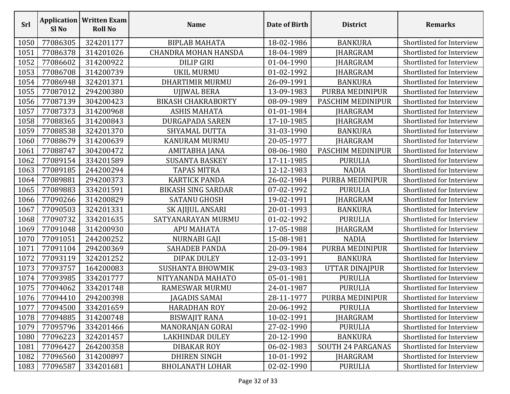| <b>Srl</b> | Sl <sub>No</sub> | <b>Application   Written Exam</b><br><b>Roll No</b> | <b>Name</b>                 | Date of Birth | <b>District</b>          | <b>Remarks</b>            |
|------------|------------------|-----------------------------------------------------|-----------------------------|---------------|--------------------------|---------------------------|
| 1050       | 77086305         | 324201177                                           | <b>BIPLAB MAHATA</b>        | 18-02-1986    | <b>BANKURA</b>           | Shortlisted for Interview |
| 1051       | 77086378         | 314201026                                           | <b>CHANDRA MOHAN HANSDA</b> | 18-04-1989    | JHARGRAM                 | Shortlisted for Interview |
| 1052       | 77086602         | 314200922                                           | <b>DILIP GIRI</b>           | 01-04-1990    | <b>JHARGRAM</b>          | Shortlisted for Interview |
| 1053       | 77086708         | 314200739                                           | <b>UKIL MURMU</b>           | 01-02-1992    | JHARGRAM                 | Shortlisted for Interview |
| 1054       | 77086948         | 324201371                                           | <b>DHARTIMIR MURMU</b>      | 26-09-1991    | <b>BANKURA</b>           | Shortlisted for Interview |
| 1055       | 77087012         | 294200380                                           | UJJWAL BERA                 | 13-09-1983    | PURBA MEDINIPUR          | Shortlisted for Interview |
| 1056       | 77087139         | 304200423                                           | <b>BIKASH CHAKRABORTY</b>   | 08-09-1989    | PASCHIM MEDINIPUR        | Shortlisted for Interview |
| 1057       | 77087373         | 314200968                                           | ASHIS MAHATA                | 01-01-1984    | JHARGRAM                 | Shortlisted for Interview |
| 1058       | 77088365         | 314200843                                           | <b>DURGAPADA SAREN</b>      | 17-10-1985    | <b>JHARGRAM</b>          | Shortlisted for Interview |
| 1059       | 77088538         | 324201370                                           | <b>SHYAMAL DUTTA</b>        | 31-03-1990    | <b>BANKURA</b>           | Shortlisted for Interview |
| 1060       | 77088679         | 314200639                                           | <b>KANURAM MURMU</b>        | 20-05-1977    | <b>JHARGRAM</b>          | Shortlisted for Interview |
| 1061       | 77088747         | 304200472                                           | AMITABHA JANA               | 08-06-1980    | PASCHIM MEDINIPUR        | Shortlisted for Interview |
| 1062       | 77089154         | 334201589                                           | <b>SUSANTA BASKEY</b>       | 17-11-1985    | <b>PURULIA</b>           | Shortlisted for Interview |
| 1063       | 77089185         | 244200294                                           | <b>TAPAS MITRA</b>          | 12-12-1983    | <b>NADIA</b>             | Shortlisted for Interview |
| 1064       | 77089881         | 294200373                                           | <b>KARTICK PANDA</b>        | 26-02-1984    | PURBA MEDINIPUR          | Shortlisted for Interview |
| 1065       | 77089883         | 334201591                                           | <b>BIKASH SING SARDAR</b>   | 07-02-1992    | <b>PURULIA</b>           | Shortlisted for Interview |
| 1066       | 77090266         | 314200829                                           | <b>SATANU GHOSH</b>         | 19-02-1991    | JHARGRAM                 | Shortlisted for Interview |
| 1067       | 77090503         | 324201331                                           | SK AJIJUL ANSARI            | 20-01-1993    | <b>BANKURA</b>           | Shortlisted for Interview |
| 1068       | 77090732         | 334201635                                           | SATYANARAYAN MURMU          | 01-02-1992    | <b>PURULIA</b>           | Shortlisted for Interview |
| 1069       | 77091048         | 314200930                                           | <b>APU MAHATA</b>           | 17-05-1988    | JHARGRAM                 | Shortlisted for Interview |
| 1070       | 77091051         | 244200252                                           | NURNABI GAJI                | 15-08-1981    | <b>NADIA</b>             | Shortlisted for Interview |
| 1071       | 77091104         | 294200369                                           | SAHADEB PANDA               | 20-09-1984    | PURBA MEDINIPUR          | Shortlisted for Interview |
| 1072       | 77093119         | 324201252                                           | <b>DIPAK DULEY</b>          | 12-03-1991    | <b>BANKURA</b>           | Shortlisted for Interview |
| 1073       | 77093757         | 164200083                                           | <b>SUSHANTA BHOWMIK</b>     | 29-03-1983    | UTTAR DINAJPUR           | Shortlisted for Interview |
| 1074       | 77093985         | 334201777                                           | NITYANANDA MAHATO           | 05-01-1981    | <b>PURULIA</b>           | Shortlisted for Interview |
| 1075       | 77094062         | 334201748                                           | <b>RAMESWAR MURMU</b>       | 24-01-1987    | <b>PURULIA</b>           | Shortlisted for Interview |
|            | 1076 77094410    | 294200398                                           | JAGADIS SAMAI               | 28-11-1977    | PURBA MEDINIPUR          | Shortlisted for Interview |
| 1077       | 77094500         | 334201659                                           | <b>HARADHAN ROY</b>         | 20-06-1992    | <b>PURULIA</b>           | Shortlisted for Interview |
| 1078       | 77094885         | 314200748                                           | <b>BISWAJIT RANA</b>        | 10-02-1991    | <b>JHARGRAM</b>          | Shortlisted for Interview |
| 1079       | 77095796         | 334201466                                           | MANORANJAN GORAI            | 27-02-1990    | <b>PURULIA</b>           | Shortlisted for Interview |
| 1080       | 77096223         | 324201457                                           | <b>LAKHINDAR DULEY</b>      | 20-12-1990    | <b>BANKURA</b>           | Shortlisted for Interview |
| 1081       | 77096427         | 264200358                                           | <b>DIBAKAR ROY</b>          | 06-02-1983    | <b>SOUTH 24 PARGANAS</b> | Shortlisted for Interview |
| 1082       | 77096560         | 314200897                                           | <b>DHIREN SINGH</b>         | 10-01-1992    | <b>JHARGRAM</b>          | Shortlisted for Interview |
| 1083       | 77096587         | 334201681                                           | <b>BHOLANATH LOHAR</b>      | 02-02-1990    | <b>PURULIA</b>           | Shortlisted for Interview |